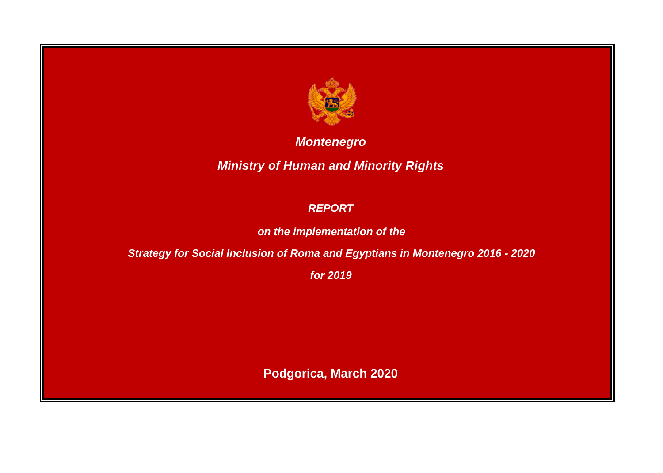

*Montenegro*

*Ministry of Human and Minority Rights*

## *REPORT*

*on the implementation of the* 

*Strategy for Social Inclusion of Roma and Egyptians in Montenegro 2016 - 2020*

*for 2019*

**Podgorica, March 2020**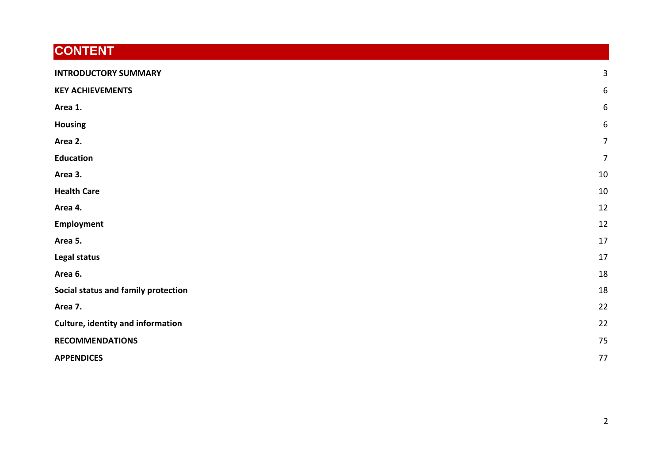# **CONTENT**

| <b>INTRODUCTORY SUMMARY</b>              | 3  |
|------------------------------------------|----|
| <b>KEY ACHIEVEMENTS</b>                  | 6  |
| Area 1.                                  | 6  |
| <b>Housing</b>                           | 6  |
| Area 2.                                  | 7  |
| <b>Education</b>                         | 7  |
| Area 3.                                  | 10 |
| <b>Health Care</b>                       | 10 |
| Area 4.                                  | 12 |
| Employment                               | 12 |
| Area 5.                                  | 17 |
| Legal status                             | 17 |
| Area 6.                                  | 18 |
| Social status and family protection      | 18 |
| Area 7.                                  | 22 |
| <b>Culture, identity and information</b> | 22 |
| <b>RECOMMENDATIONS</b>                   | 75 |
| <b>APPENDICES</b>                        | 77 |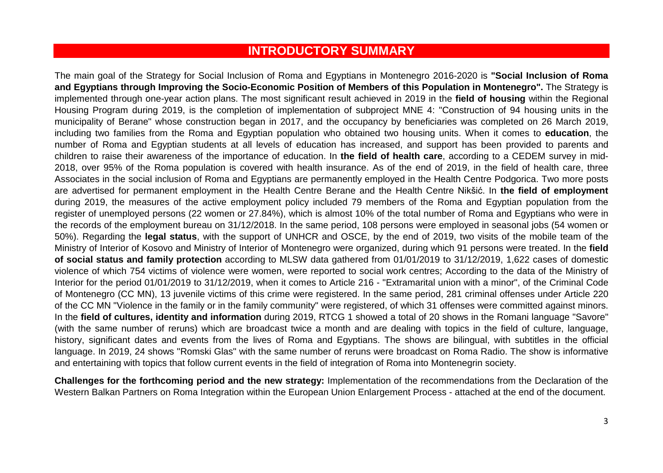## **INTRODUCTORY SUMMARY**

<span id="page-2-0"></span>The main goal of the Strategy for Social Inclusion of Roma and Egyptians in Montenegro 2016-2020 is **"Social Inclusion of Roma and Egyptians through Improving the Socio-Economic Position of Members of this Population in Montenegro".** The Strategy is implemented through one-year action plans. The most significant result achieved in 2019 in the **field of housing** within the Regional Housing Program during 2019, is the completion of implementation of subproject MNE 4: "Construction of 94 housing units in the municipality of Berane" whose construction began in 2017, and the occupancy by beneficiaries was completed on 26 March 2019, including two families from the Roma and Egyptian population who obtained two housing units. When it comes to **education**, the number of Roma and Egyptian students at all levels of education has increased, and support has been provided to parents and children to raise their awareness of the importance of education. In **the field of health care**, according to a CEDEM survey in mid-2018, over 95% of the Roma population is covered with health insurance. As of the end of 2019, in the field of health care, three Associates in the social inclusion of Roma and Egyptians are permanently employed in the Health Centre Podgorica. Two more posts are advertised for permanent employment in the Health Centre Berane and the Health Centre Nikšić. In **the field of employment**  during 2019, the measures of the active employment policy included 79 members of the Roma and Egyptian population from the register of unemployed persons (22 women or 27.84%), which is almost 10% of the total number of Roma and Egyptians who were in the records of the employment bureau on 31/12/2018. In the same period, 108 persons were employed in seasonal jobs (54 women or 50%). Regarding the **legal status**, with the support of UNHCR and OSCE, by the end of 2019, two visits of the mobile team of the Ministry of Interior of Kosovo and Ministry of Interior of Montenegro were organized, during which 91 persons were treated. In the **field of social status and family protection** according to MLSW data gathered from 01/01/2019 to 31/12/2019, 1,622 cases of domestic violence of which 754 victims of violence were women, were reported to social work centres; According to the data of the Ministry of Interior for the period 01/01/2019 to 31/12/2019, when it comes to Article 216 - "Extramarital union with a minor", of the Criminal Code of Montenegro (CC MN), 13 juvenile victims of this crime were registered. In the same period, 281 criminal offenses under Article 220 of the CC MN "Violence in the family or in the family community" were registered, of which 31 offenses were committed against minors. In the **field of cultures, identity and information** during 2019, RTCG 1 showed a total of 20 shows in the Romani language "Savore" (with the same number of reruns) which are broadcast twice a month and are dealing with topics in the field of culture, language, history, significant dates and events from the lives of Roma and Egyptians. The shows are bilingual, with subtitles in the official language. In 2019, 24 shows "Romski Glas" with the same number of reruns were broadcast on Roma Radio. The show is informative and entertaining with topics that follow current events in the field of integration of Roma into Montenegrin society.

**Challenges for the forthcoming period and the new strategy:** Implementation of the recommendations from the Declaration of the Western Balkan Partners on Roma Integration within the European Union Enlargement Process - attached at the end of the document.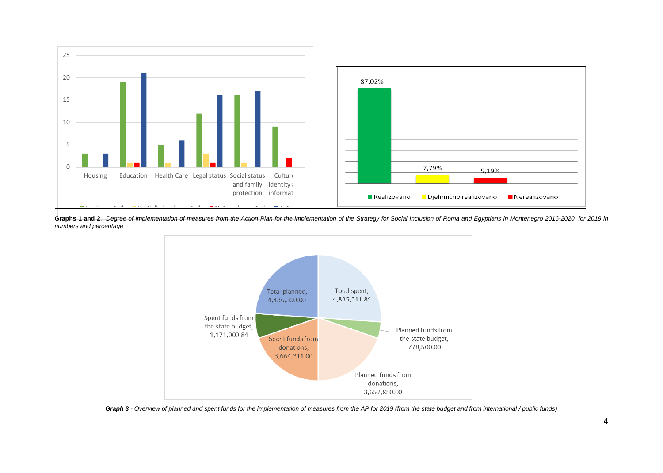

Graphs 1 and 2. Degree of implementation of measures from the Action Plan for the implementation of the Strategy for Social Inclusion of Roma and Egyptians in Montenegro 2016-2020, for 2019 in *numbers and percentage*



*Graph 3 - Overview of planned and spent funds for the implementation of measures from the AP for 2019 (from the state budget and from international / public funds)*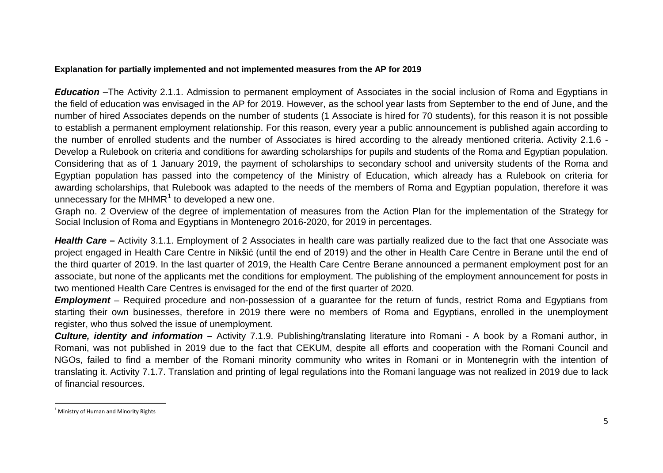#### <span id="page-4-0"></span>**Explanation for partially implemented and not implemented measures from the AP for 2019**

*Education* –The Activity 2.1.1. Admission to permanent employment of Associates in the social inclusion of Roma and Egyptians in the field of education was envisaged in the AP for 2019. However, as the school year lasts from September to the end of June, and the number of hired Associates depends on the number of students (1 Associate is hired for 70 students), for this reason it is not possible to establish a permanent employment relationship. For this reason, every year a public announcement is published again according to the number of enrolled students and the number of Associates is hired according to the already mentioned criteria. Activity 2.1.6 - Develop a Rulebook on criteria and conditions for awarding scholarships for pupils and students of the Roma and Egyptian population. Considering that as of 1 January 2019, the payment of scholarships to secondary school and university students of the Roma and Egyptian population has passed into the competency of the Ministry of Education, which already has a Rulebook on criteria for awarding scholarships, that Rulebook was adapted to the needs of the members of Roma and Egyptian population, therefore it was unnecessary for the MHMR $<sup>1</sup>$  $<sup>1</sup>$  $<sup>1</sup>$  to developed a new one.</sup>

Graph no. 2 Overview of the degree of implementation of measures from the Action Plan for the implementation of the Strategy for Social Inclusion of Roma and Egyptians in Montenegro 2016-2020, for 2019 in percentages.

*Health Care* **–** Activity 3.1.1. Employment of 2 Associates in health care was partially realized due to the fact that one Associate was project engaged in Health Care Centre in Nikšić (until the end of 2019) and the other in Health Care Centre in Berane until the end of the third quarter of 2019. In the last quarter of 2019, the Health Care Centre Berane announced a permanent employment post for an associate, but none of the applicants met the conditions for employment. The publishing of the employment announcement for posts in two mentioned Health Care Centres is envisaged for the end of the first quarter of 2020.

*Employment* – Required procedure and non-possession of a guarantee for the return of funds, restrict Roma and Egyptians from starting their own businesses, therefore in 2019 there were no members of Roma and Egyptians, enrolled in the unemployment register, who thus solved the issue of unemployment.

*Culture, identity and information* **–** Activity 7.1.9. Publishing/translating literature into Romani - A book by a Romani author, in Romani, was not published in 2019 due to the fact that CEKUM, despite all efforts and cooperation with the Romani Council and NGOs, failed to find a member of the Romani minority community who writes in Romani or in Montenegrin with the intention of translating it. Activity 7.1.7. Translation and printing of legal regulations into the Romani language was not realized in 2019 due to lack of financial resources.

<sup>&</sup>lt;sup>1</sup> Ministry of Human and Minority Rights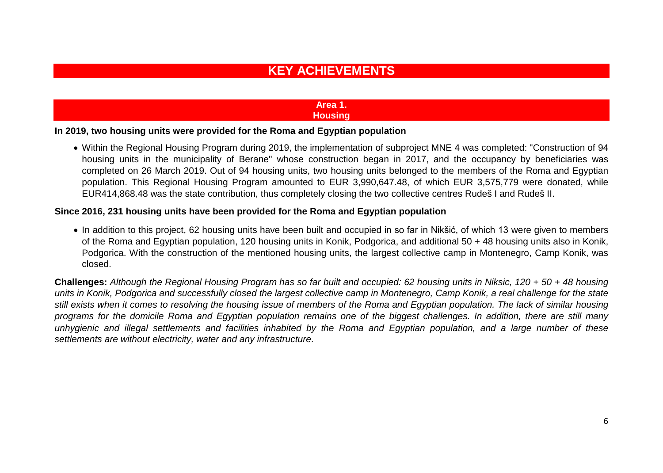## **KEY ACHIEVEMENTS**

#### **Area 1. Housing**

#### <span id="page-5-2"></span><span id="page-5-1"></span><span id="page-5-0"></span>**In 2019, two housing units were provided for the Roma and Egyptian population**

• Within the Regional Housing Program during 2019, the implementation of subproject MNE 4 was completed: "Construction of 94 housing units in the municipality of Berane" whose construction began in 2017, and the occupancy by beneficiaries was completed on 26 March 2019. Out of 94 housing units, two housing units belonged to the members of the Roma and Egyptian population. This Regional Housing Program amounted to EUR 3,990,647.48, of which EUR 3,575,779 were donated, while EUR414,868.48 was the state contribution, thus completely closing the two collective centres Rudeš I and Rudeš II.

#### **Since 2016, 231 housing units have been provided for the Roma and Egyptian population**

• In addition to this project, 62 housing units have been built and occupied in so far in Nikšić, of which 13 were given to members of the Roma and Egyptian population, 120 housing units in Konik, Podgorica, and additional 50 + 48 housing units also in Konik, Podgorica. With the construction of the mentioned housing units, the largest collective camp in Montenegro, Camp Konik, was closed.

**Challenges:** *Although the Regional Housing Program has so far built and occupied: 62 housing units in Niksic, 120 + 50 + 48 housing units in Konik, Podgorica and successfully closed the largest collective camp in Montenegro, Camp Konik, a real challenge for the state*  still exists when it comes to resolving the housing issue of members of the Roma and Egyptian population. The lack of similar housing *programs for the domicile Roma and Egyptian population remains one of the biggest challenges. In addition, there are still many unhygienic and illegal settlements and facilities inhabited by the Roma and Egyptian population, and a large number of these settlements are without electricity, water and any infrastructure*.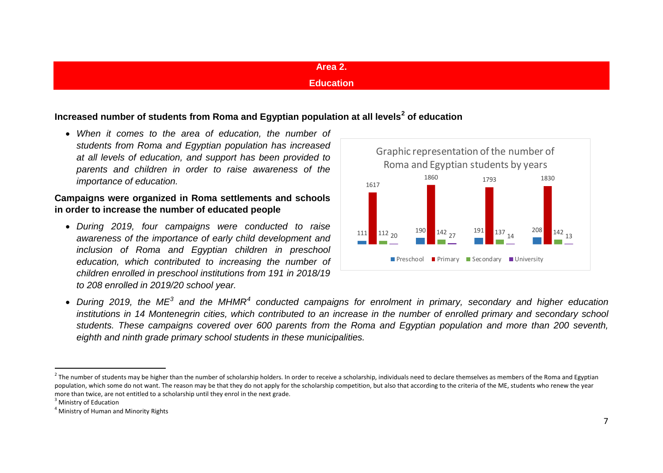## <span id="page-6-4"></span><span id="page-6-3"></span><span id="page-6-2"></span>**Area 2.**

## **Education**

## <span id="page-6-1"></span><span id="page-6-0"></span>**Increased number of students from Roma and Egyptian population at all levels[2](#page-6-2) of education**

• *When it comes to the area of education, the number of students from Roma and Egyptian population has increased at all levels of education, and support has been provided to parents and children in order to raise awareness of the importance of education.*

## **Campaigns were organized in Roma settlements and schools in order to increase the number of educated people**

• *During 2019, four campaigns were conducted to raise awareness of the importance of early child development and inclusion of Roma and Egyptian children in preschool education, which contributed to increasing the number of children enrolled in preschool institutions from 191 in 2018/19 to 208 enrolled in 2019/20 school year.*



• *During 2019, the ME[3](#page-6-3) and the MHMR[4](#page-6-4) conducted campaigns for enrolment in primary, secondary and higher education*  institutions in 14 Montenegrin cities, which contributed to an increase in the number of enrolled primary and secondary school *students. These campaigns covered over 600 parents from the Roma and Egyptian population and more than 200 seventh, eighth and ninth grade primary school students in these municipalities.*

 $<sup>2</sup>$  The number of students may be higher than the number of scholarship holders. In order to receive a scholarship, individuals need to declare themselves as members of the Roma and Egyptian</sup> population, which some do not want. The reason may be that they do not apply for the scholarship competition, but also that according to the criteria of the ME, students who renew the year more than twice, are not entitled to a scholarship until they enrol in the next grade.<br><sup>3</sup> Ministry of Education

<sup>4</sup> Ministry of Human and Minority Rights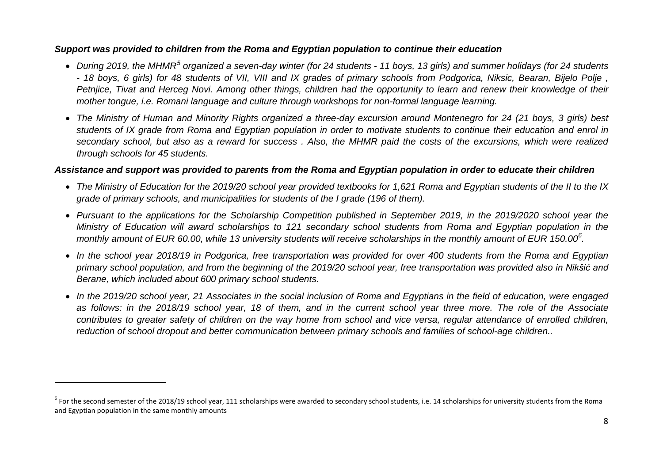## <span id="page-7-1"></span><span id="page-7-0"></span>*Support was provided to children from the Roma and Egyptian population to continue their education*

- *During 2019, the MHMR[5](#page-7-0) organized a seven-day winter (for 24 students - 11 boys, 13 girls) and summer holidays (for 24 students - 18 boys, 6 girls) for 48 students of VII, VIII and IX grades of primary schools from Podgorica, Niksic, Bearan, Bijelo Polje , Petnjice, Tivat and Herceg Novi. Among other things, children had the opportunity to learn and renew their knowledge of their mother tongue, i.e. Romani language and culture through workshops for non-formal language learning.*
- *The Ministry of Human and Minority Rights organized a three-day excursion around Montenegro for 24 (21 boys, 3 girls) best students of IX grade from Roma and Egyptian population in order to motivate students to continue their education and enrol in secondary school, but also as a reward for success . Also, the MHMR paid the costs of the excursions, which were realized through schools for 45 students.*

## *Assistance and support was provided to parents from the Roma and Egyptian population in order to educate their children*

- *The Ministry of Education for the 2019/20 school year provided textbooks for 1,621 Roma and Egyptian students of the II to the IX grade of primary schools, and municipalities for students of the I grade (196 of them).*
- *Pursuant to the applications for the Scholarship Competition published in September 2019, in the 2019/2020 school year the Ministry of Education will award scholarships to 121 secondary school students from Roma and Egyptian population in the monthly amount of EUR 60.00, while 13 university students will receive scholarships in the monthly amount of EUR 150.00[6](#page-7-1) .*
- *In the school year 2018/19 in Podgorica, free transportation was provided for over 400 students from the Roma and Egyptian*  primary school population, and from the beginning of the 2019/20 school year, free transportation was provided also in Nikšić and *Berane, which included about 600 primary school students.*
- *In the 2019/20 school year, 21 Associates in the social inclusion of Roma and Egyptians in the field of education, were engaged as follows: in the 2018/19 school year, 18 of them, and in the current school year three more. The role of the Associate contributes to greater safety of children on the way home from school and vice versa, regular attendance of enrolled children, reduction of school dropout and better communication between primary schools and families of school-age children..*

 $\overline{a}$ 

 $6$  For the second semester of the 2018/19 school year, 111 scholarships were awarded to secondary school students, i.e. 14 scholarships for university students from the Roma and Egyptian population in the same monthly amounts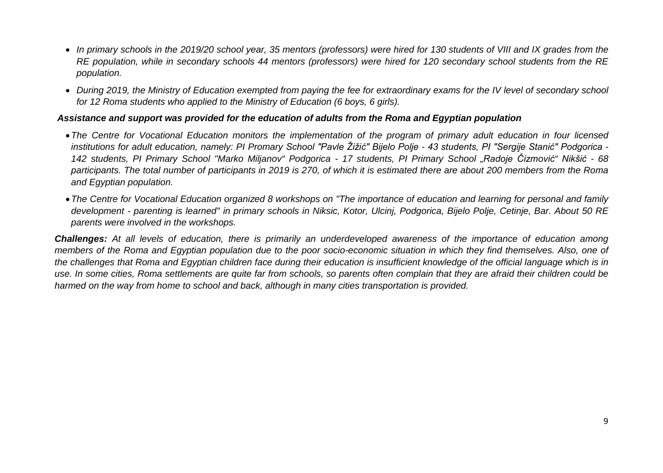- *In primary schools in the 2019/20 school year, 35 mentors (professors) were hired for 130 students of VIII and IX grades from the RE population, while in secondary schools 44 mentors (professors) were hired for 120 secondary school students from the RE population.*
- *During 2019, the Ministry of Education exempted from paying the fee for extraordinary exams for the IV level of secondary school for 12 Roma students who applied to the Ministry of Education (6 boys, 6 girls).*

#### *Assistance and support was provided for the education of adults from the Roma and Egyptian population*

- •*The Centre for Vocational Education monitors the implementation of the program of primary adult education in four licensed institutions for adult education, namely: PI Promary School "Pavle Žižić" Bijelo Polje - 43 students, PI "Sergije Stanić" Podgorica - 142 students, PI Primary School "Marko Miljanov" Podgorica - 17 students, PI Primary School "Radoje Čizmović" Nikšić - 68 participants. The total number of participants in 2019 is 270, of which it is estimated there are about 200 members from the Roma and Egyptian population.*
- •*The Centre for Vocational Education organized 8 workshops on "The importance of education and learning for personal and family development - parenting is learned" in primary schools in Niksic, Kotor, Ulcinj, Podgorica, Bijelo Polje, Cetinje, Bar. About 50 RE parents were involved in the workshops.*

*Challenges: At all levels of education, there is primarily an underdeveloped awareness of the importance of education among members of the Roma and Egyptian population due to the poor socio-economic situation in which they find themselves. Also, one of*  the challenges that Roma and Egyptian children face during their education is insufficient knowledge of the official language which is in *use. In some cities, Roma settlements are quite far from schools, so parents often complain that they are afraid their children could be harmed on the way from home to school and back, although in many cities transportation is provided.*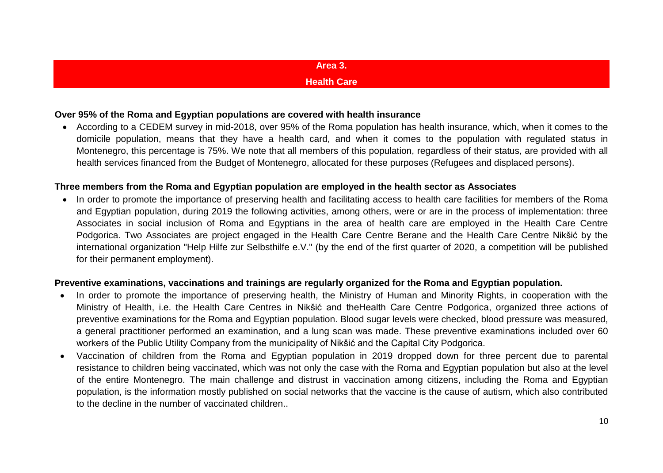## **Area 3.**

#### **Health Care**

#### <span id="page-9-1"></span><span id="page-9-0"></span>**Over 95% of the Roma and Egyptian populations are covered with health insurance**

• According to a CEDEM survey in mid-2018, over 95% of the Roma population has health insurance, which, when it comes to the domicile population, means that they have a health card, and when it comes to the population with regulated status in Montenegro, this percentage is 75%. We note that all members of this population, regardless of their status, are provided with all health services financed from the Budget of Montenegro, allocated for these purposes (Refugees and displaced persons).

#### **Three members from the Roma and Egyptian population are employed in the health sector as Associates**

• In order to promote the importance of preserving health and facilitating access to health care facilities for members of the Roma and Egyptian population, during 2019 the following activities, among others, were or are in the process of implementation: three Associates in social inclusion of Roma and Egyptians in the area of health care are employed in the Health Care Centre Podgorica. Two Associates are project engaged in the Health Care Centre Berane and the Health Care Centre Nikšić by the international organization "Help Hilfe zur Selbsthilfe e.V." (by the end of the first quarter of 2020, a competition will be published for their permanent employment).

#### **Preventive examinations, vaccinations and trainings are regularly organized for the Roma and Egyptian population.**

- In order to promote the importance of preserving health, the Ministry of Human and Minority Rights, in cooperation with the Ministry of Health, i.e. the Health Care Centres in Nikšić and theHealth Care Centre Podgorica, organized three actions of preventive examinations for the Roma and Egyptian population. Blood sugar levels were checked, blood pressure was measured, a general practitioner performed an examination, and a lung scan was made. These preventive examinations included over 60 workers of the Public Utility Company from the municipality of Nikšić and the Capital City Podgorica.
- Vaccination of children from the Roma and Egyptian population in 2019 dropped down for three percent due to parental resistance to children being vaccinated, which was not only the case with the Roma and Egyptian population but also at the level of the entire Montenegro. The main challenge and distrust in vaccination among citizens, including the Roma and Egyptian population, is the information mostly published on social networks that the vaccine is the cause of autism, which also contributed to the decline in the number of vaccinated children..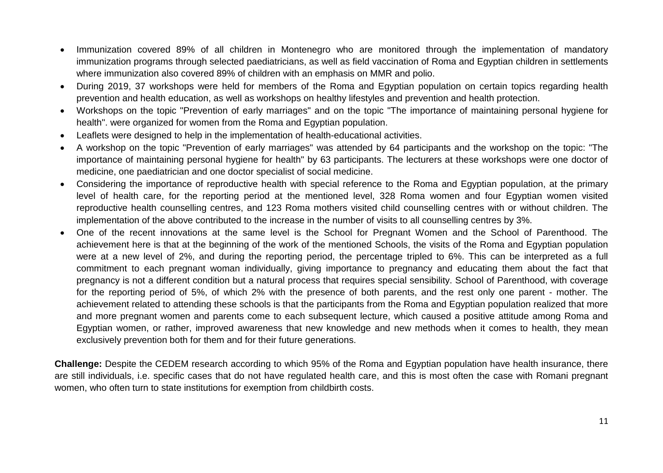- Immunization covered 89% of all children in Montenegro who are monitored through the implementation of mandatory immunization programs through selected paediatricians, as well as field vaccination of Roma and Egyptian children in settlements where immunization also covered 89% of children with an emphasis on MMR and polio.
- During 2019, 37 workshops were held for members of the Roma and Egyptian population on certain topics regarding health prevention and health education, as well as workshops on healthy lifestyles and prevention and health protection.
- Workshops on the topic "Prevention of early marriages" and on the topic "The importance of maintaining personal hygiene for health". were organized for women from the Roma and Egyptian population.
- Leaflets were designed to help in the implementation of health-educational activities.
- A workshop on the topic "Prevention of early marriages" was attended by 64 participants and the workshop on the topic: "The importance of maintaining personal hygiene for health" by 63 participants. The lecturers at these workshops were one doctor of medicine, one paediatrician and one doctor specialist of social medicine.
- Considering the importance of reproductive health with special reference to the Roma and Egyptian population, at the primary level of health care, for the reporting period at the mentioned level, 328 Roma women and four Egyptian women visited reproductive health counselling centres, and 123 Roma mothers visited child counselling centres with or without children. The implementation of the above contributed to the increase in the number of visits to all counselling centres by 3%.
- One of the recent innovations at the same level is the School for Pregnant Women and the School of Parenthood. The achievement here is that at the beginning of the work of the mentioned Schools, the visits of the Roma and Egyptian population were at a new level of 2%, and during the reporting period, the percentage tripled to 6%. This can be interpreted as a full commitment to each pregnant woman individually, giving importance to pregnancy and educating them about the fact that pregnancy is not a different condition but a natural process that requires special sensibility. School of Parenthood, with coverage for the reporting period of 5%, of which 2% with the presence of both parents, and the rest only one parent - mother. The achievement related to attending these schools is that the participants from the Roma and Egyptian population realized that more and more pregnant women and parents come to each subsequent lecture, which caused a positive attitude among Roma and Egyptian women, or rather, improved awareness that new knowledge and new methods when it comes to health, they mean exclusively prevention both for them and for their future generations.

**Challenge:** Despite the CEDEM research according to which 95% of the Roma and Egyptian population have health insurance, there are still individuals, i.e. specific cases that do not have regulated health care, and this is most often the case with Romani pregnant women, who often turn to state institutions for exemption from childbirth costs.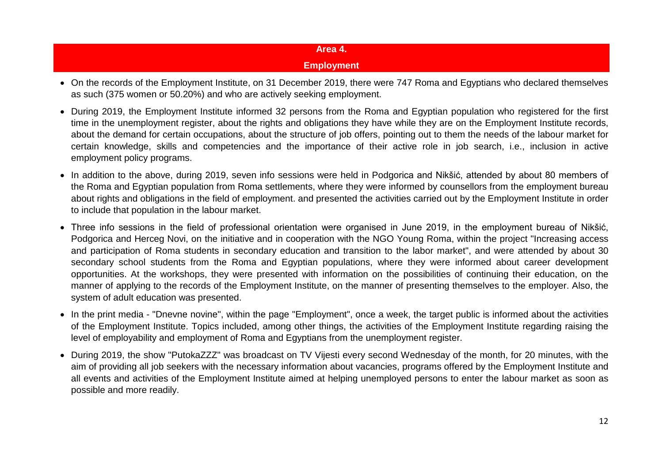## **Area 4. Employment**

- <span id="page-11-1"></span><span id="page-11-0"></span>• On the records of the Employment Institute, on 31 December 2019, there were 747 Roma and Egyptians who declared themselves as such (375 women or 50.20%) and who are actively seeking employment.
- During 2019, the Employment Institute informed 32 persons from the Roma and Egyptian population who registered for the first time in the unemployment register, about the rights and obligations they have while they are on the Employment Institute records, about the demand for certain occupations, about the structure of job offers, pointing out to them the needs of the labour market for certain knowledge, skills and competencies and the importance of their active role in job search, i.e., inclusion in active employment policy programs.
- In addition to the above, during 2019, seven info sessions were held in Podgorica and Nikšić, attended by about 80 members of the Roma and Egyptian population from Roma settlements, where they were informed by counsellors from the employment bureau about rights and obligations in the field of employment. and presented the activities carried out by the Employment Institute in order to include that population in the labour market.
- Three info sessions in the field of professional orientation were organised in June 2019, in the employment bureau of Nikšić, Podgorica and Herceg Novi, on the initiative and in cooperation with the NGO Young Roma, within the project "Increasing access and participation of Roma students in secondary education and transition to the labor market", and were attended by about 30 secondary school students from the Roma and Egyptian populations, where they were informed about career development opportunities. At the workshops, they were presented with information on the possibilities of continuing their education, on the manner of applying to the records of the Employment Institute, on the manner of presenting themselves to the employer. Also, the system of adult education was presented.
- In the print media "Dnevne novine", within the page "Employment", once a week, the target public is informed about the activities of the Employment Institute. Topics included, among other things, the activities of the Employment Institute regarding raising the level of employability and employment of Roma and Egyptians from the unemployment register.
- During 2019, the show "PutokaZZZ" was broadcast on TV Vijesti every second Wednesday of the month, for 20 minutes, with the aim of providing all job seekers with the necessary information about vacancies, programs offered by the Employment Institute and all events and activities of the Employment Institute aimed at helping unemployed persons to enter the labour market as soon as possible and more readily.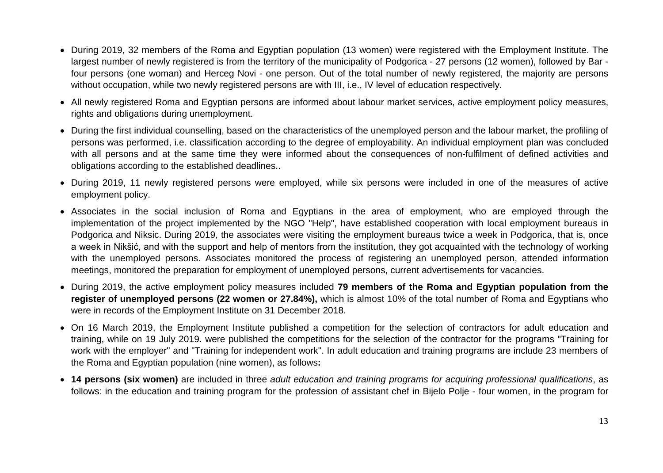- During 2019, 32 members of the Roma and Egyptian population (13 women) were registered with the Employment Institute. The largest number of newly registered is from the territory of the municipality of Podgorica - 27 persons (12 women), followed by Bar four persons (one woman) and Herceg Novi - one person. Out of the total number of newly registered, the majority are persons without occupation, while two newly registered persons are with III, i.e., IV level of education respectively.
- All newly registered Roma and Egyptian persons are informed about labour market services, active employment policy measures, rights and obligations during unemployment.
- During the first individual counselling, based on the characteristics of the unemployed person and the labour market, the profiling of persons was performed, i.e. classification according to the degree of employability. An individual employment plan was concluded with all persons and at the same time they were informed about the consequences of non-fulfilment of defined activities and obligations according to the established deadlines..
- During 2019, 11 newly registered persons were employed, while six persons were included in one of the measures of active employment policy.
- Associates in the social inclusion of Roma and Egyptians in the area of employment, who are employed through the implementation of the project implemented by the NGO "Help", have established cooperation with local employment bureaus in Podgorica and Niksic. During 2019, the associates were visiting the employment bureaus twice a week in Podgorica, that is, once a week in Nikšić, and with the support and help of mentors from the institution, they got acquainted with the technology of working with the unemployed persons. Associates monitored the process of registering an unemployed person, attended information meetings, monitored the preparation for employment of unemployed persons, current advertisements for vacancies.
- During 2019, the active employment policy measures included **79 members of the Roma and Egyptian population from the register of unemployed persons (22 women or 27.84%),** which is almost 10% of the total number of Roma and Egyptians who were in records of the Employment Institute on 31 December 2018.
- On 16 March 2019, the Employment Institute published a competition for the selection of contractors for adult education and training, while on 19 July 2019. were published the competitions for the selection of the contractor for the programs "Training for work with the employer" and "Training for independent work". In adult education and training programs are include 23 members of the Roma and Egyptian population (nine women), as follows**:**
- **14 persons (six women)** are included in three *adult education and training programs for acquiring professional qualifications*, as follows: in the education and training program for the profession of assistant chef in Bijelo Polje - four women, in the program for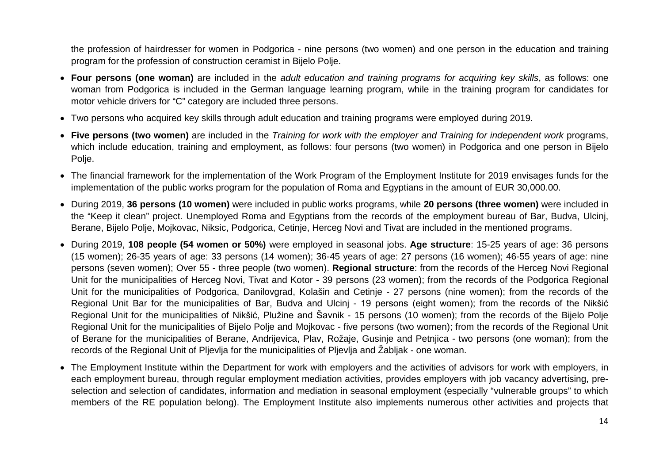the profession of hairdresser for women in Podgorica - nine persons (two women) and one person in the education and training program for the profession of construction ceramist in Bijelo Polje.

- **Four persons (one woman)** are included in the *adult education and training programs for acquiring key skills*, as follows: one woman from Podgorica is included in the German language learning program, while in the training program for candidates for motor vehicle drivers for "C" category are included three persons.
- Two persons who acquired key skills through adult education and training programs were employed during 2019.
- **Five persons (two women)** are included in the *Training for work with the employer and Training for independent work* programs, which include education, training and employment, as follows: four persons (two women) in Podgorica and one person in Bijelo Polje.
- The financial framework for the implementation of the Work Program of the Employment Institute for 2019 envisages funds for the implementation of the public works program for the population of Roma and Egyptians in the amount of EUR 30,000.00.
- During 2019, **36 persons (10 women)** were included in public works programs, while **20 persons (three women)** were included in the "Keep it clean" project. Unemployed Roma and Egyptians from the records of the employment bureau of Bar, Budva, Ulcinj, Berane, Bijelo Polje, Mojkovac, Niksic, Podgorica, Cetinje, Herceg Novi and Tivat are included in the mentioned programs.
- During 2019, **108 people (54 women or 50%)** were employed in seasonal jobs. **Age structure**: 15-25 years of age: 36 persons (15 women); 26-35 years of age: 33 persons (14 women); 36-45 years of age: 27 persons (16 women); 46-55 years of age: nine persons (seven women); Over 55 - three people (two women). **Regional structure**: from the records of the Herceg Novi Regional Unit for the municipalities of Herceg Novi, Tivat and Kotor - 39 persons (23 women); from the records of the Podgorica Regional Unit for the municipalities of Podgorica, Danilovgrad, Kolašin and Cetinje - 27 persons (nine women); from the records of the Regional Unit Bar for the municipalities of Bar, Budva and Ulcinj - 19 persons (eight women); from the records of the Nikšić Regional Unit for the municipalities of Nikšić, Plužine and Šavnik - 15 persons (10 women); from the records of the Bijelo Polje Regional Unit for the municipalities of Bijelo Polje and Mojkovac - five persons (two women); from the records of the Regional Unit of Berane for the municipalities of Berane, Andrijevica, Plav, Rožaje, Gusinje and Petnjica - two persons (one woman); from the records of the Regional Unit of Pljevlja for the municipalities of Pljevlja and Žabljak - one woman.
- The Employment Institute within the Department for work with employers and the activities of advisors for work with employers, in each employment bureau, through regular employment mediation activities, provides employers with job vacancy advertising, preselection and selection of candidates, information and mediation in seasonal employment (especially "vulnerable groups" to which members of the RE population belong). The Employment Institute also implements numerous other activities and projects that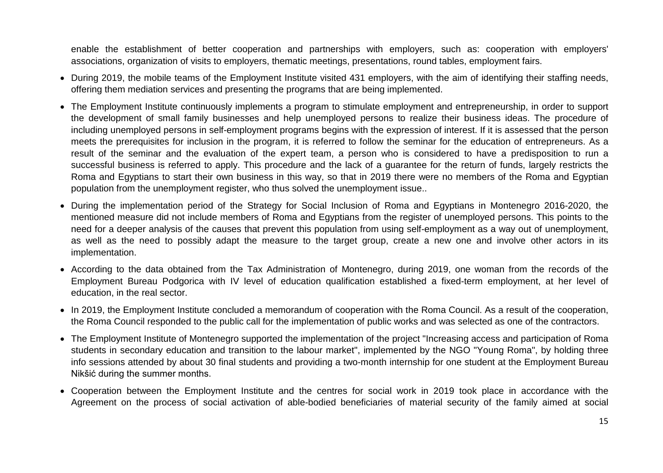enable the establishment of better cooperation and partnerships with employers, such as: cooperation with employers' associations, organization of visits to employers, thematic meetings, presentations, round tables, employment fairs.

- During 2019, the mobile teams of the Employment Institute visited 431 employers, with the aim of identifying their staffing needs, offering them mediation services and presenting the programs that are being implemented.
- The Employment Institute continuously implements a program to stimulate employment and entrepreneurship, in order to support the development of small family businesses and help unemployed persons to realize their business ideas. The procedure of including unemployed persons in self-employment programs begins with the expression of interest. If it is assessed that the person meets the prerequisites for inclusion in the program, it is referred to follow the seminar for the education of entrepreneurs. As a result of the seminar and the evaluation of the expert team, a person who is considered to have a predisposition to run a successful business is referred to apply. This procedure and the lack of a guarantee for the return of funds, largely restricts the Roma and Egyptians to start their own business in this way, so that in 2019 there were no members of the Roma and Egyptian population from the unemployment register, who thus solved the unemployment issue..
- During the implementation period of the Strategy for Social Inclusion of Roma and Egyptians in Montenegro 2016-2020, the mentioned measure did not include members of Roma and Egyptians from the register of unemployed persons. This points to the need for a deeper analysis of the causes that prevent this population from using self-employment as a way out of unemployment, as well as the need to possibly adapt the measure to the target group, create a new one and involve other actors in its implementation.
- According to the data obtained from the Tax Administration of Montenegro, during 2019, one woman from the records of the Employment Bureau Podgorica with IV level of education qualification established a fixed-term employment, at her level of education, in the real sector.
- In 2019, the Employment Institute concluded a memorandum of cooperation with the Roma Council. As a result of the cooperation, the Roma Council responded to the public call for the implementation of public works and was selected as one of the contractors.
- The Employment Institute of Montenegro supported the implementation of the project "Increasing access and participation of Roma students in secondary education and transition to the labour market", implemented by the NGO "Young Roma", by holding three info sessions attended by about 30 final students and providing a two-month internship for one student at the Employment Bureau Nikšić during the summer months.
- Cooperation between the Employment Institute and the centres for social work in 2019 took place in accordance with the Agreement on the process of social activation of able-bodied beneficiaries of material security of the family aimed at social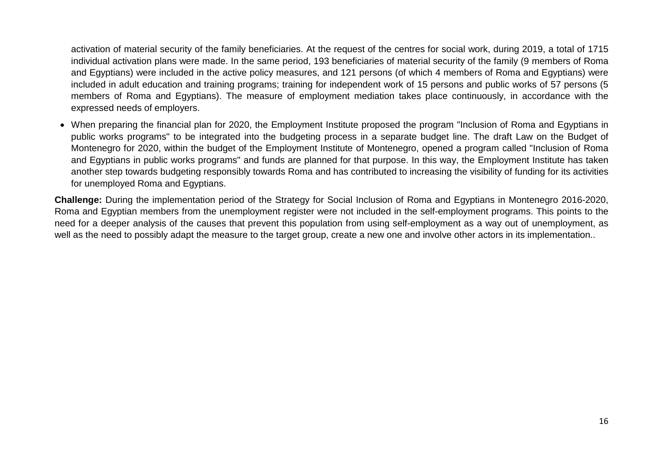activation of material security of the family beneficiaries. At the request of the centres for social work, during 2019, a total of 1715 individual activation plans were made. In the same period, 193 beneficiaries of material security of the family (9 members of Roma and Egyptians) were included in the active policy measures, and 121 persons (of which 4 members of Roma and Egyptians) were included in adult education and training programs; training for independent work of 15 persons and public works of 57 persons (5 members of Roma and Egyptians). The measure of employment mediation takes place continuously, in accordance with the expressed needs of employers.

• When preparing the financial plan for 2020, the Employment Institute proposed the program "Inclusion of Roma and Egyptians in public works programs" to be integrated into the budgeting process in a separate budget line. The draft Law on the Budget of Montenegro for 2020, within the budget of the Employment Institute of Montenegro, opened a program called "Inclusion of Roma and Egyptians in public works programs" and funds are planned for that purpose. In this way, the Employment Institute has taken another step towards budgeting responsibly towards Roma and has contributed to increasing the visibility of funding for its activities for unemployed Roma and Egyptians.

**Challenge:** During the implementation period of the Strategy for Social Inclusion of Roma and Egyptians in Montenegro 2016-2020, Roma and Egyptian members from the unemployment register were not included in the self-employment programs. This points to the need for a deeper analysis of the causes that prevent this population from using self-employment as a way out of unemployment, as well as the need to possibly adapt the measure to the target group, create a new one and involve other actors in its implementation..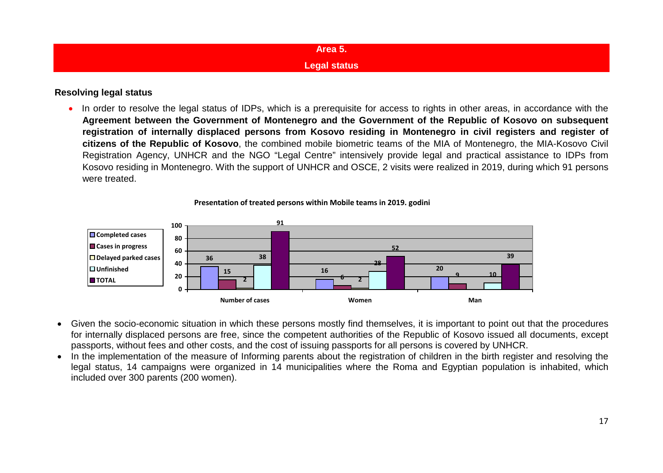<span id="page-16-1"></span><span id="page-16-0"></span>

| Area 5.             |  |
|---------------------|--|
| <b>Legal status</b> |  |

#### **Resolving legal status**

• In order to resolve the legal status of IDPs, which is a prerequisite for access to rights in other areas, in accordance with the **Agreement between the Government of Montenegro and the Government of the Republic of Kosovo on subsequent registration of internally displaced persons from Kosovo residing in Montenegro in civil registers and register of citizens of the Republic of Kosovo**, the combined mobile biometric teams of the MIA of Montenegro, the MIA-Kosovo Civil Registration Agency, UNHCR and the NGO "Legal Centre" intensively provide legal and practical assistance to IDPs from Kosovo residing in Montenegro. With the support of UNHCR and OSCE, 2 visits were realized in 2019, during which 91 persons were treated.





- Given the socio-economic situation in which these persons mostly find themselves, it is important to point out that the procedures for internally displaced persons are free, since the competent authorities of the Republic of Kosovo issued all documents, except passports, without fees and other costs, and the cost of issuing passports for all persons is covered by UNHCR.
- In the implementation of the measure of Informing parents about the registration of children in the birth register and resolving the legal status, 14 campaigns were organized in 14 municipalities where the Roma and Egyptian population is inhabited, which included over 300 parents (200 women).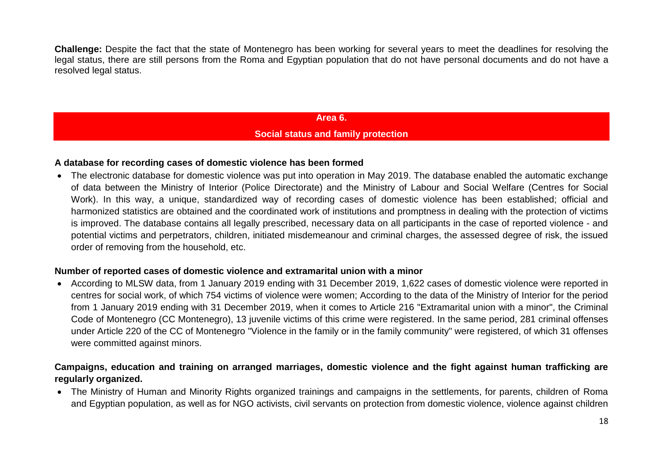**Challenge:** Despite the fact that the state of Montenegro has been working for several years to meet the deadlines for resolving the legal status, there are still persons from the Roma and Egyptian population that do not have personal documents and do not have a resolved legal status.

## **Area 6. Social status and family protection**

#### <span id="page-17-1"></span><span id="page-17-0"></span>**A database for recording cases of domestic violence has been formed**

• The electronic database for domestic violence was put into operation in May 2019. The database enabled the automatic exchange of data between the Ministry of Interior (Police Directorate) and the Ministry of Labour and Social Welfare (Centres for Social Work). In this way, a unique, standardized way of recording cases of domestic violence has been established; official and harmonized statistics are obtained and the coordinated work of institutions and promptness in dealing with the protection of victims is improved. The database contains all legally prescribed, necessary data on all participants in the case of reported violence - and potential victims and perpetrators, children, initiated misdemeanour and criminal charges, the assessed degree of risk, the issued order of removing from the household, etc.

#### **Number of reported cases of domestic violence and extramarital union with a minor**

• According to MLSW data, from 1 January 2019 ending with 31 December 2019, 1,622 cases of domestic violence were reported in centres for social work, of which 754 victims of violence were women; According to the data of the Ministry of Interior for the period from 1 January 2019 ending with 31 December 2019, when it comes to Article 216 "Extramarital union with a minor", the Criminal Code of Montenegro (CC Montenegro), 13 juvenile victims of this crime were registered. In the same period, 281 criminal offenses under Article 220 of the CC of Montenegro "Violence in the family or in the family community" were registered, of which 31 offenses were committed against minors.

## **Campaigns, education and training on arranged marriages, domestic violence and the fight against human trafficking are regularly organized.**

• The Ministry of Human and Minority Rights organized trainings and campaigns in the settlements, for parents, children of Roma and Egyptian population, as well as for NGO activists, civil servants on protection from domestic violence, violence against children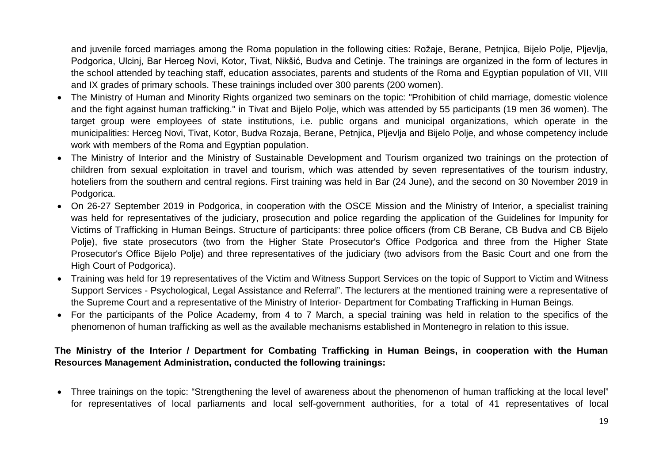and juvenile forced marriages among the Roma population in the following cities: Rožaje, Berane, Petnjica, Bijelo Polje, Pljevlja, Podgorica, Ulcinj, Bar Herceg Novi, Kotor, Tivat, Nikšić, Budva and Cetinje. The trainings are organized in the form of lectures in the school attended by teaching staff, education associates, parents and students of the Roma and Egyptian population of VII, VIII and IX grades of primary schools. These trainings included over 300 parents (200 women).

- The Ministry of Human and Minority Rights organized two seminars on the topic: "Prohibition of child marriage, domestic violence and the fight against human trafficking." in Tivat and Bijelo Polje, which was attended by 55 participants (19 men 36 women). The target group were employees of state institutions, i.e. public organs and municipal organizations, which operate in the municipalities: Herceg Novi, Tivat, Kotor, Budva Rozaja, Berane, Petnjica, Pljevlja and Bijelo Polje, and whose competency include work with members of the Roma and Egyptian population.
- The Ministry of Interior and the Ministry of Sustainable Development and Tourism organized two trainings on the protection of children from sexual exploitation in travel and tourism, which was attended by seven representatives of the tourism industry, hoteliers from the southern and central regions. First training was held in Bar (24 June), and the second on 30 November 2019 in Podgorica.
- On 26-27 September 2019 in Podgorica, in cooperation with the OSCE Mission and the Ministry of Interior, a specialist training was held for representatives of the judiciary, prosecution and police regarding the application of the Guidelines for Impunity for Victims of Trafficking in Human Beings. Structure of participants: three police officers (from CB Berane, CB Budva and CB Bijelo Polje), five state prosecutors (two from the Higher State Prosecutor's Office Podgorica and three from the Higher State Prosecutor's Office Bijelo Polje) and three representatives of the judiciary (two advisors from the Basic Court and one from the High Court of Podgorica).
- Training was held for 19 representatives of the Victim and Witness Support Services on the topic of Support to Victim and Witness Support Services - Psychological, Legal Assistance and Referral". The lecturers at the mentioned training were a representative of the Supreme Court and a representative of the Ministry of Interior- Department for Combating Trafficking in Human Beings.
- For the participants of the Police Academy, from 4 to 7 March, a special training was held in relation to the specifics of the phenomenon of human trafficking as well as the available mechanisms established in Montenegro in relation to this issue.

## **The Ministry of the Interior / Department for Combating Trafficking in Human Beings, in cooperation with the Human Resources Management Administration, conducted the following trainings:**

• Three trainings on the topic: "Strengthening the level of awareness about the phenomenon of human trafficking at the local level" for representatives of local parliaments and local self-government authorities, for a total of 41 representatives of local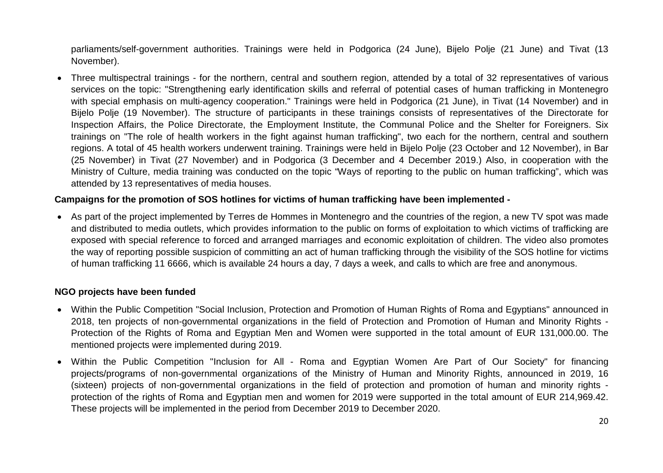parliaments/self-government authorities. Trainings were held in Podgorica (24 June), Bijelo Polje (21 June) and Tivat (13 November).

• Three multispectral trainings - for the northern, central and southern region, attended by a total of 32 representatives of various services on the topic: "Strengthening early identification skills and referral of potential cases of human trafficking in Montenegro with special emphasis on multi-agency cooperation." Trainings were held in Podgorica (21 June), in Tivat (14 November) and in Bijelo Polje (19 November). The structure of participants in these trainings consists of representatives of the Directorate for Inspection Affairs, the Police Directorate, the Employment Institute, the Communal Police and the Shelter for Foreigners. Six trainings on "The role of health workers in the fight against human trafficking", two each for the northern, central and southern regions. A total of 45 health workers underwent training. Trainings were held in Bijelo Polje (23 October and 12 November), in Bar (25 November) in Tivat (27 November) and in Podgorica (3 December and 4 December 2019.) Also, in cooperation with the Ministry of Culture, media training was conducted on the topic "Ways of reporting to the public on human trafficking", which was attended by 13 representatives of media houses.

## **Campaigns for the promotion of SOS hotlines for victims of human trafficking have been implemented -**

• As part of the project implemented by Terres de Hommes in Montenegro and the countries of the region, a new TV spot was made and distributed to media outlets, which provides information to the public on forms of exploitation to which victims of trafficking are exposed with special reference to forced and arranged marriages and economic exploitation of children. The video also promotes the way of reporting possible suspicion of committing an act of human trafficking through the visibility of the SOS hotline for victims of human trafficking 11 6666, which is available 24 hours a day, 7 days a week, and calls to which are free and anonymous.

#### **NGO projects have been funded**

- Within the Public Competition "Social Inclusion, Protection and Promotion of Human Rights of Roma and Egyptians" announced in 2018, ten projects of non-governmental organizations in the field of Protection and Promotion of Human and Minority Rights - Protection of the Rights of Roma and Egyptian Men and Women were supported in the total amount of EUR 131,000.00. The mentioned projects were implemented during 2019.
- Within the Public Competition "Inclusion for All Roma and Egyptian Women Are Part of Our Society" for financing projects/programs of non-governmental organizations of the Ministry of Human and Minority Rights, announced in 2019, 16 (sixteen) projects of non-governmental organizations in the field of protection and promotion of human and minority rights protection of the rights of Roma and Egyptian men and women for 2019 were supported in the total amount of EUR 214,969.42. These projects will be implemented in the period from December 2019 to December 2020.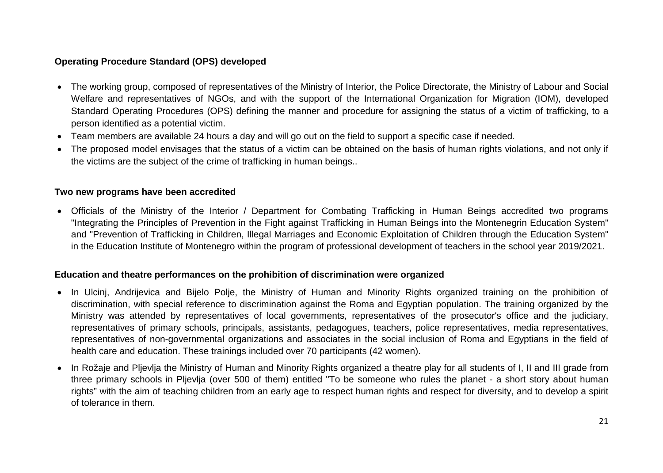## **Operating Procedure Standard (OPS) developed**

- The working group, composed of representatives of the Ministry of Interior, the Police Directorate, the Ministry of Labour and Social Welfare and representatives of NGOs, and with the support of the International Organization for Migration (IOM), developed Standard Operating Procedures (OPS) defining the manner and procedure for assigning the status of a victim of trafficking, to a person identified as a potential victim.
- Team members are available 24 hours a day and will go out on the field to support a specific case if needed.
- The proposed model envisages that the status of a victim can be obtained on the basis of human rights violations, and not only if the victims are the subject of the crime of trafficking in human beings..

#### **Two new programs have been accredited**

• Officials of the Ministry of the Interior / Department for Combating Trafficking in Human Beings accredited two programs "Integrating the Principles of Prevention in the Fight against Trafficking in Human Beings into the Montenegrin Education System" and "Prevention of Trafficking in Children, Illegal Marriages and Economic Exploitation of Children through the Education System" in the Education Institute of Montenegro within the program of professional development of teachers in the school year 2019/2021.

#### **Education and theatre performances on the prohibition of discrimination were organized**

- In Ulcinj, Andrijevica and Bijelo Polje, the Ministry of Human and Minority Rights organized training on the prohibition of discrimination, with special reference to discrimination against the Roma and Egyptian population. The training organized by the Ministry was attended by representatives of local governments, representatives of the prosecutor's office and the judiciary, representatives of primary schools, principals, assistants, pedagogues, teachers, police representatives, media representatives, representatives of non-governmental organizations and associates in the social inclusion of Roma and Egyptians in the field of health care and education. These trainings included over 70 participants (42 women).
- In Rožaje and Pljevlja the Ministry of Human and Minority Rights organized a theatre play for all students of I, II and III grade from three primary schools in Pljevlja (over 500 of them) entitled "To be someone who rules the planet - a short story about human rights" with the aim of teaching children from an early age to respect human rights and respect for diversity, and to develop a spirit of tolerance in them.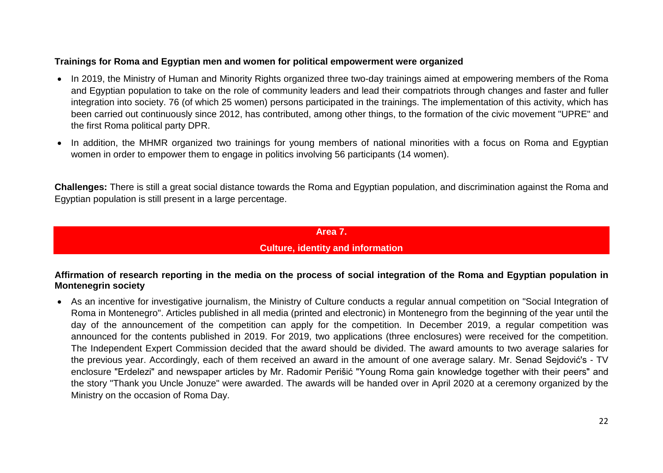## **Trainings for Roma and Egyptian men and women for political empowerment were organized**

- In 2019, the Ministry of Human and Minority Rights organized three two-day trainings aimed at empowering members of the Roma and Egyptian population to take on the role of community leaders and lead their compatriots through changes and faster and fuller integration into society. 76 (of which 25 women) persons participated in the trainings. The implementation of this activity, which has been carried out continuously since 2012, has contributed, among other things, to the formation of the civic movement "UPRE" and the first Roma political party DPR.
- In addition, the MHMR organized two trainings for young members of national minorities with a focus on Roma and Egyptian women in order to empower them to engage in politics involving 56 participants (14 women).

**Challenges:** There is still a great social distance towards the Roma and Egyptian population, and discrimination against the Roma and Egyptian population is still present in a large percentage.

#### **Area 7.**

## **Culture, identity and information**

#### <span id="page-21-1"></span><span id="page-21-0"></span>**Affirmation of research reporting in the media on the process of social integration of the Roma and Egyptian population in Montenegrin society**

• As an incentive for investigative journalism, the Ministry of Culture conducts a regular annual competition on "Social Integration of Roma in Montenegro". Articles published in all media (printed and electronic) in Montenegro from the beginning of the year until the day of the announcement of the competition can apply for the competition. In December 2019, a regular competition was announced for the contents published in 2019. For 2019, two applications (three enclosures) were received for the competition. The Independent Expert Commission decided that the award should be divided. The award amounts to two average salaries for the previous year. Accordingly, each of them received an award in the amount of one average salary. Mr. Senad Sejdović's - TV enclosure "Erdelezi" and newspaper articles by Mr. Radomir Perišić "Young Roma gain knowledge together with their peers" and the story "Thank you Uncle Jonuze" were awarded. The awards will be handed over in April 2020 at a ceremony organized by the Ministry on the occasion of Roma Day.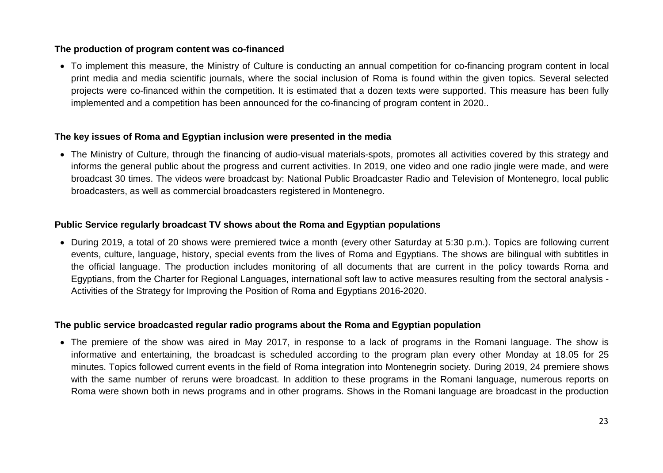### **The production of program content was co-financed**

• To implement this measure, the Ministry of Culture is conducting an annual competition for co-financing program content in local print media and media scientific journals, where the social inclusion of Roma is found within the given topics. Several selected projects were co-financed within the competition. It is estimated that a dozen texts were supported. This measure has been fully implemented and a competition has been announced for the co-financing of program content in 2020..

#### **The key issues of Roma and Egyptian inclusion were presented in the media**

• The Ministry of Culture, through the financing of audio-visual materials-spots, promotes all activities covered by this strategy and informs the general public about the progress and current activities. In 2019, one video and one radio jingle were made, and were broadcast 30 times. The videos were broadcast by: National Public Broadcaster Radio and Television of Montenegro, local public broadcasters, as well as commercial broadcasters registered in Montenegro.

#### **Public Service regularly broadcast TV shows about the Roma and Egyptian populations**

• During 2019, a total of 20 shows were premiered twice a month (every other Saturday at 5:30 p.m.). Topics are following current events, culture, language, history, special events from the lives of Roma and Egyptians. The shows are bilingual with subtitles in the official language. The production includes monitoring of all documents that are current in the policy towards Roma and Egyptians, from the Charter for Regional Languages, international soft law to active measures resulting from the sectoral analysis - Activities of the Strategy for Improving the Position of Roma and Egyptians 2016-2020.

## **The public service broadcasted regular radio programs about the Roma and Egyptian population**

• The premiere of the show was aired in May 2017, in response to a lack of programs in the Romani language. The show is informative and entertaining, the broadcast is scheduled according to the program plan every other Monday at 18.05 for 25 minutes. Topics followed current events in the field of Roma integration into Montenegrin society. During 2019, 24 premiere shows with the same number of reruns were broadcast. In addition to these programs in the Romani language, numerous reports on Roma were shown both in news programs and in other programs. Shows in the Romani language are broadcast in the production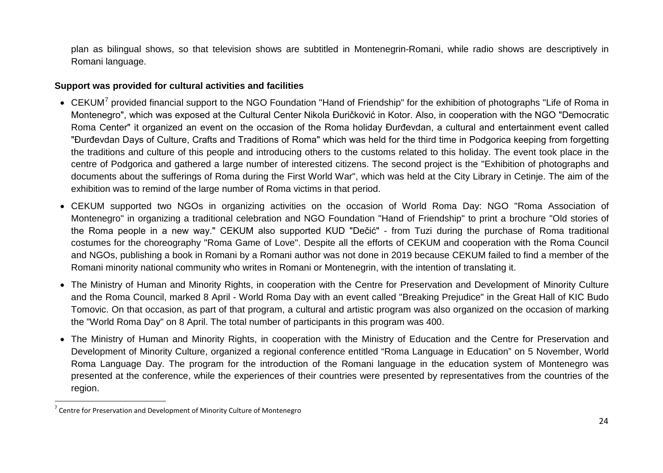<span id="page-23-0"></span>plan as bilingual shows, so that television shows are subtitled in Montenegrin-Romani, while radio shows are descriptively in Romani language.

#### **Support was provided for cultural activities and facilities**

- CEKUM<sup>[7](#page-23-0)</sup> provided financial support to the NGO Foundation "Hand of Friendship" for the exhibition of photographs "Life of Roma in Montenegro", which was exposed at the Cultural Center Nikola Đuričković in Kotor. Also, in cooperation with the NGO "Democratic Roma Center" it organized an event on the occasion of the Roma holiday Đurđevdan, a cultural and entertainment event called "Đurđevdan Days of Culture, Crafts and Traditions of Roma" which was held for the third time in Podgorica keeping from forgetting the traditions and culture of this people and introducing others to the customs related to this holiday. The event took place in the centre of Podgorica and gathered a large number of interested citizens. The second project is the "Exhibition of photographs and documents about the sufferings of Roma during the First World War", which was held at the City Library in Cetinje. The aim of the exhibition was to remind of the large number of Roma victims in that period.
- CEKUM supported two NGOs in organizing activities on the occasion of World Roma Day: NGO "Roma Association of Montenegro" in organizing a traditional celebration and NGO Foundation "Hand of Friendship" to print a brochure "Old stories of the Roma people in a new way." CEKUM also supported KUD "Dečić" - from Tuzi during the purchase of Roma traditional costumes for the choreography "Roma Game of Love". Despite all the efforts of CEKUM and cooperation with the Roma Council and NGOs, publishing a book in Romani by a Romani author was not done in 2019 because CEKUM failed to find a member of the Romani minority national community who writes in Romani or Montenegrin, with the intention of translating it.
- The Ministry of Human and Minority Rights, in cooperation with the Centre for Preservation and Development of Minority Culture and the Roma Council, marked 8 April - World Roma Day with an event called "Breaking Prejudice" in the Great Hall of KIC Budo Tomovic. On that occasion, as part of that program, a cultural and artistic program was also organized on the occasion of marking the "World Roma Day" on 8 April. The total number of participants in this program was 400.
- The Ministry of Human and Minority Rights, in cooperation with the Ministry of Education and the Centre for Preservation and Development of Minority Culture, organized a regional conference entitled "Roma Language in Education" on 5 November, World Roma Language Day. The program for the introduction of the Romani language in the education system of Montenegro was presented at the conference, while the experiences of their countries were presented by representatives from the countries of the region.

 $7$  Centre for Preservation and Development of Minority Culture of Montenegro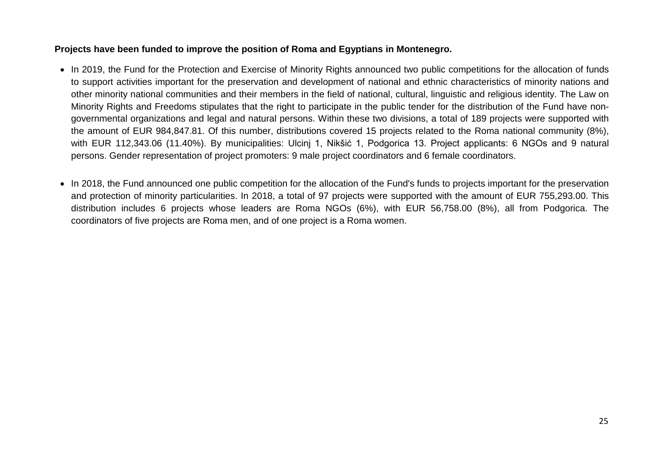## **Projects have been funded to improve the position of Roma and Egyptians in Montenegro.**

- In 2019, the Fund for the Protection and Exercise of Minority Rights announced two public competitions for the allocation of funds to support activities important for the preservation and development of national and ethnic characteristics of minority nations and other minority national communities and their members in the field of national, cultural, linguistic and religious identity. The Law on Minority Rights and Freedoms stipulates that the right to participate in the public tender for the distribution of the Fund have nongovernmental organizations and legal and natural persons. Within these two divisions, a total of 189 projects were supported with the amount of EUR 984,847.81. Of this number, distributions covered 15 projects related to the Roma national community (8%), with EUR 112,343.06 (11.40%). By municipalities: Ulcinj 1, Nikšić 1, Podgorica 13. Project applicants: 6 NGOs and 9 natural persons. Gender representation of project promoters: 9 male project coordinators and 6 female coordinators.
- In 2018, the Fund announced one public competition for the allocation of the Fund's funds to projects important for the preservation and protection of minority particularities. In 2018, a total of 97 projects were supported with the amount of EUR 755,293.00. This distribution includes 6 projects whose leaders are Roma NGOs (6%), with EUR 56,758.00 (8%), all from Podgorica. The coordinators of five projects are Roma men, and of one project is a Roma women.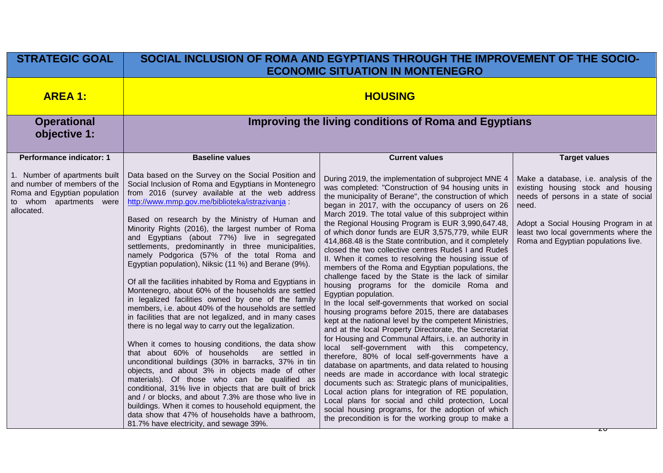| <b>STRATEGIC GOAL</b>                                                                                                                                                     | SOCIAL INCLUSION OF ROMA AND EGYPTIANS THROUGH THE IMPROVEMENT OF THE SOCIO-<br><b>ECONOMIC SITUATION IN MONTENEGRO</b>                                                                                                                                                                                                                                                                                                                                                                                                                                                                                                                                                                                                                                                                                                                                                                                                                                                                                                                                                             |                                                                                                                                                                                                                                                                                                                                                                                                                                                                                                                                                                                                                                                                                                                                                                                                                                                                                                                                                                                                                                                                                                                                                                                                                                     |                                                                                                                                                                                                                                                                               |  |  |  |  |  |  |
|---------------------------------------------------------------------------------------------------------------------------------------------------------------------------|-------------------------------------------------------------------------------------------------------------------------------------------------------------------------------------------------------------------------------------------------------------------------------------------------------------------------------------------------------------------------------------------------------------------------------------------------------------------------------------------------------------------------------------------------------------------------------------------------------------------------------------------------------------------------------------------------------------------------------------------------------------------------------------------------------------------------------------------------------------------------------------------------------------------------------------------------------------------------------------------------------------------------------------------------------------------------------------|-------------------------------------------------------------------------------------------------------------------------------------------------------------------------------------------------------------------------------------------------------------------------------------------------------------------------------------------------------------------------------------------------------------------------------------------------------------------------------------------------------------------------------------------------------------------------------------------------------------------------------------------------------------------------------------------------------------------------------------------------------------------------------------------------------------------------------------------------------------------------------------------------------------------------------------------------------------------------------------------------------------------------------------------------------------------------------------------------------------------------------------------------------------------------------------------------------------------------------------|-------------------------------------------------------------------------------------------------------------------------------------------------------------------------------------------------------------------------------------------------------------------------------|--|--|--|--|--|--|
| <b>AREA 1:</b>                                                                                                                                                            | <b>HOUSING</b>                                                                                                                                                                                                                                                                                                                                                                                                                                                                                                                                                                                                                                                                                                                                                                                                                                                                                                                                                                                                                                                                      |                                                                                                                                                                                                                                                                                                                                                                                                                                                                                                                                                                                                                                                                                                                                                                                                                                                                                                                                                                                                                                                                                                                                                                                                                                     |                                                                                                                                                                                                                                                                               |  |  |  |  |  |  |
| <b>Operational</b><br>objective 1:                                                                                                                                        | Improving the living conditions of Roma and Egyptians                                                                                                                                                                                                                                                                                                                                                                                                                                                                                                                                                                                                                                                                                                                                                                                                                                                                                                                                                                                                                               |                                                                                                                                                                                                                                                                                                                                                                                                                                                                                                                                                                                                                                                                                                                                                                                                                                                                                                                                                                                                                                                                                                                                                                                                                                     |                                                                                                                                                                                                                                                                               |  |  |  |  |  |  |
| <b>Performance indicator: 1</b><br>1. Number of apartments built<br>and number of members of the<br>Roma and Egyptian population<br>to whom apartments were<br>allocated. | <b>Baseline values</b><br>Data based on the Survey on the Social Position and<br>Social Inclusion of Roma and Egyptians in Montenegro<br>from 2016 (survey available at the web address<br>http://www.mmp.gov.me/biblioteka/istrazivanja<br>Based on research by the Ministry of Human and<br>Minority Rights (2016), the largest number of Roma<br>and Egyptians (about 77%) live in segregated<br>settlements, predominantly in three municipalities,<br>namely Podgorica (57% of the total Roma and<br>Egyptian population), Niksic (11 %) and Berane (9%).<br>Of all the facilities inhabited by Roma and Egyptians in<br>Montenegro, about 60% of the households are settled<br>in legalized facilities owned by one of the family<br>members, i.e. about 40% of the households are settled<br>in facilities that are not legalized, and in many cases<br>there is no legal way to carry out the legalization.<br>When it comes to housing conditions, the data show<br>that about 60% of households<br>are settled in<br>unconditional buildings (30% in barracks, 37% in tin | <b>Current values</b><br>During 2019, the implementation of subproject MNE 4<br>was completed: "Construction of 94 housing units in<br>the municipality of Berane", the construction of which<br>began in 2017, with the occupancy of users on 26<br>March 2019. The total value of this subproject within<br>the Regional Housing Program is EUR 3,990,647.48,<br>of which donor funds are EUR 3,575,779, while EUR<br>414,868.48 is the State contribution, and it completely<br>closed the two collective centres Rudeš I and Rudeš<br>II. When it comes to resolving the housing issue of<br>members of the Roma and Egyptian populations, the<br>challenge faced by the State is the lack of similar<br>housing programs for the domicile Roma and<br>Egyptian population.<br>In the local self-governments that worked on social<br>housing programs before 2015, there are databases<br>kept at the national level by the competent Ministries,<br>and at the local Property Directorate, the Secretariat<br>for Housing and Communal Affairs, i.e. an authority in<br>local self-government with this competency,<br>therefore, 80% of local self-governments have a<br>database on apartments, and data related to housing | <b>Target values</b><br>Make a database, i.e. analysis of the<br>existing housing stock and housing<br>needs of persons in a state of social<br>need.<br>Adopt a Social Housing Program in at<br>least two local governments where the<br>Roma and Egyptian populations live. |  |  |  |  |  |  |
|                                                                                                                                                                           | objects, and about 3% in objects made of other<br>materials). Of those who can be qualified as<br>conditional, 31% live in objects that are built of brick<br>and / or blocks, and about 7.3% are those who live in<br>buildings. When it comes to household equipment, the<br>data show that 47% of households have a bathroom,<br>81.7% have electricity, and sewage 39%.                                                                                                                                                                                                                                                                                                                                                                                                                                                                                                                                                                                                                                                                                                         | needs are made in accordance with local strategic<br>documents such as: Strategic plans of municipalities,<br>Local action plans for integration of RE population,<br>Local plans for social and child protection, Local<br>social housing programs, for the adoption of which<br>the precondition is for the working group to make a                                                                                                                                                                                                                                                                                                                                                                                                                                                                                                                                                                                                                                                                                                                                                                                                                                                                                               |                                                                                                                                                                                                                                                                               |  |  |  |  |  |  |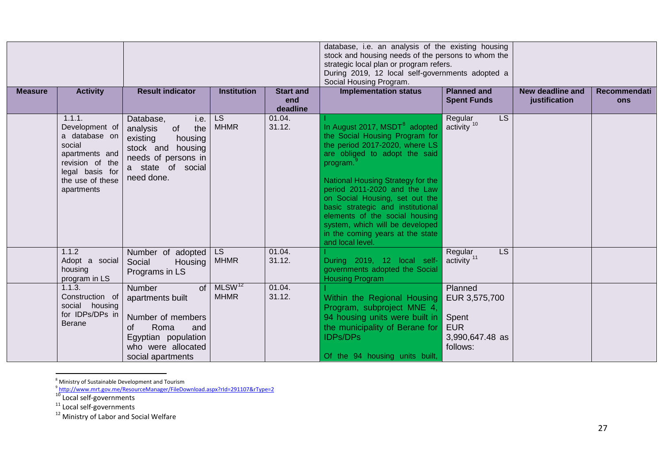<span id="page-26-4"></span><span id="page-26-3"></span><span id="page-26-2"></span><span id="page-26-1"></span><span id="page-26-0"></span>

|                |                                                                                                                                               |                                                                                                                                                     |                                   |                                     | database, i.e. an analysis of the existing housing<br>stock and housing needs of the persons to whom the<br>strategic local plan or program refers.<br>During 2019, 12 local self-governments adopted a<br>Social Housing Program.                                                                                                                                                                                                  |                                                                                |                                   |                     |
|----------------|-----------------------------------------------------------------------------------------------------------------------------------------------|-----------------------------------------------------------------------------------------------------------------------------------------------------|-----------------------------------|-------------------------------------|-------------------------------------------------------------------------------------------------------------------------------------------------------------------------------------------------------------------------------------------------------------------------------------------------------------------------------------------------------------------------------------------------------------------------------------|--------------------------------------------------------------------------------|-----------------------------------|---------------------|
| <b>Measure</b> | <b>Activity</b>                                                                                                                               | <b>Result indicator</b>                                                                                                                             | <b>Institution</b>                | <b>Start and</b><br>end<br>deadline | <b>Implementation status</b>                                                                                                                                                                                                                                                                                                                                                                                                        | <b>Planned and</b><br><b>Spent Funds</b>                                       | New deadline and<br>justification | Recommendati<br>ons |
|                | 1.1.1.<br>Development of<br>a database on<br>social<br>apartments and<br>revision of the<br>legal basis for<br>the use of these<br>apartments | Database,<br>i.e.<br>of<br>the<br>analysis<br>existing<br>housing<br>stock and housing<br>needs of persons in<br>a state of social<br>need done.    | LS<br><b>MHMR</b>                 | 01.04.<br>31.12.                    | In August 2017, MSDT <sup>8</sup> adopted<br>the Social Housing Program for<br>the period 2017-2020, where LS<br>are obliged to adopt the said<br>program.<br>National Housing Strategy for the<br>period 2011-2020 and the Law<br>on Social Housing, set out the<br>basic strategic and institutional<br>elements of the social housing<br>system, which will be developed<br>in the coming years at the state<br>and local level. | LS<br>Regular<br>$\arcsin y$ <sup>10</sup>                                     |                                   |                     |
|                | 1.1.2<br>Adopt a social<br>housing<br>program in LS                                                                                           | Number of adopted<br>Social<br>Housing<br>Programs in LS                                                                                            | <b>LS</b><br><b>MHMR</b>          | 01.04.<br>31.12.                    | During 2019, 12 local self-<br>governments adopted the Social<br><b>Housing Program</b>                                                                                                                                                                                                                                                                                                                                             | LS.<br>Regular<br>activity <sup>11</sup>                                       |                                   |                     |
|                | 1.1.3.<br>Construction of<br>social housing<br>for IDPs/DPs in<br><b>Berane</b>                                                               | of<br><b>Number</b><br>apartments built<br>Number of members<br>Roma<br>οf<br>and<br>Egyptian population<br>who were allocated<br>social apartments | MLSW <sup>12</sup><br><b>MHMR</b> | 01.04.<br>31.12.                    | Within the Regional Housing<br>Program, subproject MNE 4,<br>94 housing units were built in<br>the municipality of Berane for<br><b>IDPs/DPs</b><br>Of the 94 housing units built,                                                                                                                                                                                                                                                  | Planned<br>EUR 3,575,700<br>Spent<br><b>EUR</b><br>3,990,647.48 as<br>follows: |                                   |                     |

e<br>B Ministry of Sustainable Development and Tourism<br>B

<sup>9</sup> <http://www.mrt.gov.me/ResourceManager/FileDownload.aspx?rId=291107&rType=2>

<sup>10</sup> Local self-governments<br><sup>11</sup> Local self-governments<br><sup>12</sup> Ministry of Labor and Social Welfare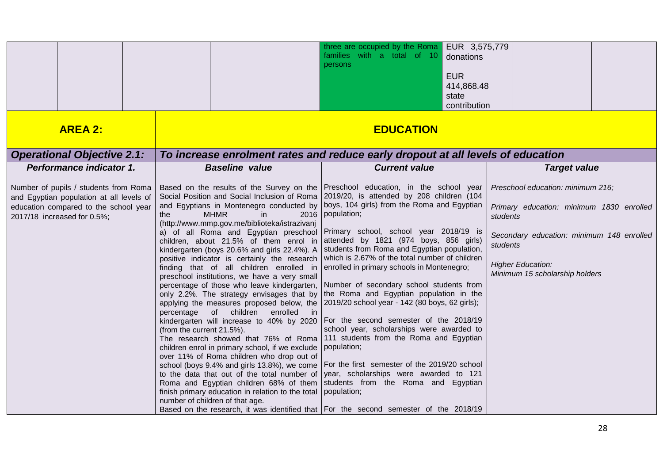|                                                                                                                                                           |                                                                                                                                                                                                                                                                                                                                                                                                                                                                                                                                                                                                                                                                                                                                                                                                                                                                                                                                                                                                                                                                                                                                                                                                                                                                                                                                                                                                                                        | three are occupied by the Roma $\vert$ EUR 3,575,779<br>families with a total of 10<br>donations<br>persons<br><b>EUR</b><br>414,868.48<br>state<br>contribution                                                                                                                                                                                                                                                                                                                                                                                                               |                                                                                                                                                                                                                  |  |  |  |  |  |  |
|-----------------------------------------------------------------------------------------------------------------------------------------------------------|----------------------------------------------------------------------------------------------------------------------------------------------------------------------------------------------------------------------------------------------------------------------------------------------------------------------------------------------------------------------------------------------------------------------------------------------------------------------------------------------------------------------------------------------------------------------------------------------------------------------------------------------------------------------------------------------------------------------------------------------------------------------------------------------------------------------------------------------------------------------------------------------------------------------------------------------------------------------------------------------------------------------------------------------------------------------------------------------------------------------------------------------------------------------------------------------------------------------------------------------------------------------------------------------------------------------------------------------------------------------------------------------------------------------------------------|--------------------------------------------------------------------------------------------------------------------------------------------------------------------------------------------------------------------------------------------------------------------------------------------------------------------------------------------------------------------------------------------------------------------------------------------------------------------------------------------------------------------------------------------------------------------------------|------------------------------------------------------------------------------------------------------------------------------------------------------------------------------------------------------------------|--|--|--|--|--|--|
| <b>AREA 2:</b>                                                                                                                                            |                                                                                                                                                                                                                                                                                                                                                                                                                                                                                                                                                                                                                                                                                                                                                                                                                                                                                                                                                                                                                                                                                                                                                                                                                                                                                                                                                                                                                                        | <b>EDUCATION</b>                                                                                                                                                                                                                                                                                                                                                                                                                                                                                                                                                               |                                                                                                                                                                                                                  |  |  |  |  |  |  |
| <b>Operational Objective 2.1:</b>                                                                                                                         | To increase enrolment rates and reduce early dropout at all levels of education                                                                                                                                                                                                                                                                                                                                                                                                                                                                                                                                                                                                                                                                                                                                                                                                                                                                                                                                                                                                                                                                                                                                                                                                                                                                                                                                                        |                                                                                                                                                                                                                                                                                                                                                                                                                                                                                                                                                                                |                                                                                                                                                                                                                  |  |  |  |  |  |  |
| Performance indicator 1.                                                                                                                                  | <b>Baseline value</b>                                                                                                                                                                                                                                                                                                                                                                                                                                                                                                                                                                                                                                                                                                                                                                                                                                                                                                                                                                                                                                                                                                                                                                                                                                                                                                                                                                                                                  | <b>Current value</b>                                                                                                                                                                                                                                                                                                                                                                                                                                                                                                                                                           | <b>Target value</b>                                                                                                                                                                                              |  |  |  |  |  |  |
| Number of pupils / students from Roma<br>and Egyptian population at all levels of<br>education compared to the school year<br>2017/18 increased for 0.5%; | Based on the results of the Survey on the Preschool education, in the school year<br><b>MHMR</b><br>in<br>the<br>(http://www.mmp.gov.me/biblioteka/istrazivanj<br>a) of all Roma and Egyptian preschool Primary school, school year 2018/19 is<br>children, about 21.5% of them enrol in attended by 1821 (974 boys, 856 girls)<br>kindergarten (boys 20.6% and girls 22.4%). A Students from Roma and Egyptian population,<br>finding that of all children enrolled in<br>preschool institutions, we have a very small<br>only 2.2%. The strategy envisages that by the Roma and Egyptian population in the<br>applying the measures proposed below, the 2019/20 school year - 142 (80 boys, 62 girls);<br>percentage of children<br>enrolled in<br>kindergarten will increase to 40% by 2020 For the second semester of the 2018/19<br>(from the current 21.5%).<br>The research showed that 76% of Roma 111 students from the Roma and Egyptian<br>children enrol in primary school, if we exclude   population;<br>over 11% of Roma children who drop out of<br>school (boys 9.4% and girls 13.8%), we come   For the first semester of the 2019/20 school<br>to the data that out of the total number of year, scholarships were awarded to 121<br>Roma and Egyptian children 68% of them students from the Roma and Egyptian<br>finish primary education in relation to the total population;<br>number of children of that age. | Social Position and Social Inclusion of Roma 2019/20, is attended by 208 children (104<br>and Egyptians in Montenegro conducted by boys, 104 girls) from the Roma and Egyptian<br>2016 population;<br>positive indicator is certainly the research which is 2.67% of the total number of children<br>enrolled in primary schools in Montenegro;<br>percentage of those who leave kindergarten, Number of secondary school students from<br>school year, scholarships were awarded to<br>Based on the research, it was identified that   For the second semester of the 2018/19 | Preschool education: minimum 216;<br>Primary education: minimum 1830 enrolled<br>students<br>Secondary education: minimum 148 enrolled<br>students<br><b>Higher Education:</b><br>Minimum 15 scholarship holders |  |  |  |  |  |  |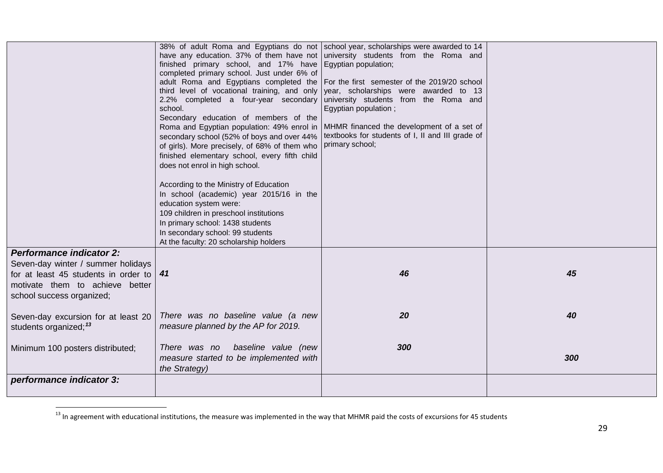<span id="page-28-0"></span>

|                                                                                                                                                                               | have any education. 37% of them have not<br>finished primary school, and 17% have<br>completed primary school. Just under 6% of<br>adult Roma and Egyptians completed the For the first semester of the 2019/20 school<br>third level of vocational training, and only<br>2.2% completed a four-year secondary<br>school.<br>Secondary education of members of the<br>Roma and Egyptian population: 49% enrol in<br>secondary school (52% of boys and over 44%<br>of girls). More precisely, of 68% of them who<br>finished elementary school, every fifth child<br>does not enrol in high school.<br>According to the Ministry of Education<br>In school (academic) year 2015/16 in the<br>education system were:<br>109 children in preschool institutions<br>In primary school: 1438 students<br>In secondary school: 99 students<br>At the faculty: 20 scholarship holders | 38% of adult Roma and Egyptians do not school year, scholarships were awarded to 14<br>university students from the Roma and<br>Egyptian population;<br>year, scholarships were awarded to 13<br>university students from the Roma and<br>Egyptian population;<br>MHMR financed the development of a set of<br>textbooks for students of I, II and III grade of<br>primary school; |     |
|-------------------------------------------------------------------------------------------------------------------------------------------------------------------------------|--------------------------------------------------------------------------------------------------------------------------------------------------------------------------------------------------------------------------------------------------------------------------------------------------------------------------------------------------------------------------------------------------------------------------------------------------------------------------------------------------------------------------------------------------------------------------------------------------------------------------------------------------------------------------------------------------------------------------------------------------------------------------------------------------------------------------------------------------------------------------------|------------------------------------------------------------------------------------------------------------------------------------------------------------------------------------------------------------------------------------------------------------------------------------------------------------------------------------------------------------------------------------|-----|
| <b>Performance indicator 2:</b><br>Seven-day winter / summer holidays<br>for at least 45 students in order to<br>motivate them to achieve better<br>school success organized; | 41                                                                                                                                                                                                                                                                                                                                                                                                                                                                                                                                                                                                                                                                                                                                                                                                                                                                             | 46                                                                                                                                                                                                                                                                                                                                                                                 | 45  |
| Seven-day excursion for at least 20<br>students organized; <sup>13</sup>                                                                                                      | There was no baseline value (a new<br>measure planned by the AP for 2019.                                                                                                                                                                                                                                                                                                                                                                                                                                                                                                                                                                                                                                                                                                                                                                                                      | 20                                                                                                                                                                                                                                                                                                                                                                                 | 40  |
| Minimum 100 posters distributed;                                                                                                                                              | baseline value (new<br>There was no<br>measure started to be implemented with<br>the Strategy)                                                                                                                                                                                                                                                                                                                                                                                                                                                                                                                                                                                                                                                                                                                                                                                 | 300                                                                                                                                                                                                                                                                                                                                                                                | 300 |
| performance indicator 3:                                                                                                                                                      |                                                                                                                                                                                                                                                                                                                                                                                                                                                                                                                                                                                                                                                                                                                                                                                                                                                                                |                                                                                                                                                                                                                                                                                                                                                                                    |     |

<sup>&</sup>lt;sup>13</sup> In agreement with educational institutions, the measure was implemented in the way that MHMR paid the costs of excursions for 45 students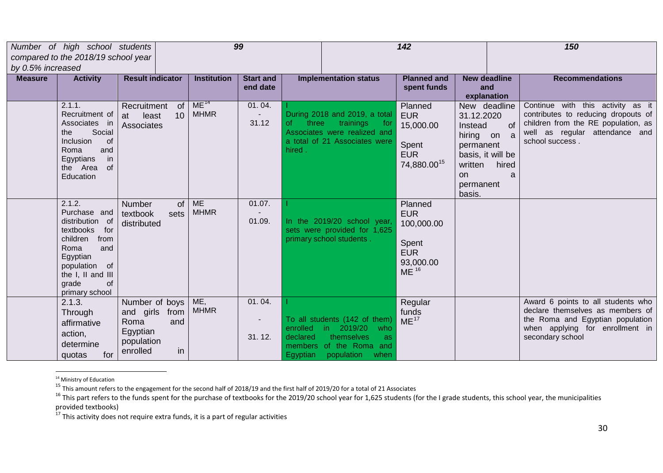<span id="page-29-3"></span><span id="page-29-2"></span><span id="page-29-1"></span><span id="page-29-0"></span>

| by 0.5% increased |                                                                                                                                                                                     | 99<br>142<br>150<br>Number of high school students<br>compared to the 2018/19 school year      |                                 |                              |                        |                                                                                                                                |                                                                                             |                                                                                                                                       |                  |                                                                                                                                                                      |
|-------------------|-------------------------------------------------------------------------------------------------------------------------------------------------------------------------------------|------------------------------------------------------------------------------------------------|---------------------------------|------------------------------|------------------------|--------------------------------------------------------------------------------------------------------------------------------|---------------------------------------------------------------------------------------------|---------------------------------------------------------------------------------------------------------------------------------------|------------------|----------------------------------------------------------------------------------------------------------------------------------------------------------------------|
| <b>Measure</b>    | <b>Activity</b>                                                                                                                                                                     | <b>Result indicator</b>                                                                        | <b>Institution</b>              | <b>Start and</b><br>end date |                        | <b>Implementation status</b>                                                                                                   | <b>Planned and</b><br>spent funds                                                           | <b>New deadline</b><br>and<br>explanation                                                                                             |                  | <b>Recommendations</b>                                                                                                                                               |
|                   | 2.1.1.<br>Recruitment of<br>Associates in<br>Social<br>the<br>Inclusion<br>of<br>Roma<br>and<br>in<br>Egyptians<br>the Area<br>0f<br>Education                                      | Recruitment<br>of<br>10<br>least<br>at<br>Associates                                           | ME <sup>14</sup><br><b>MHMR</b> | 01.04.<br>31.12              | 0f.<br>three<br>hired. | During 2018 and 2019, a total<br>trainings<br>for<br>Associates were realized and<br>a total of 21 Associates were             | Planned<br><b>EUR</b><br>15,000.00<br>Spent<br><b>EUR</b><br>74,880.00 <sup>15</sup>        | New deadline<br>31.12.2020<br>Instead<br>hiring on a<br>permanent<br>basis, it will be<br>written<br><b>on</b><br>permanent<br>basis. | of<br>hired<br>a | Continue with this activity as it<br>contributes to reducing dropouts of<br>children from the RE population, as<br>well as regular attendance and<br>school success. |
|                   | 2.1.2.<br>Purchase and<br>distribution of<br>textbooks<br>for<br>children<br>from<br>Roma<br>and<br>Egyptian<br>population of<br>the I, II and III<br>grade<br>of<br>primary school | <b>Number</b><br>0f<br>textbook<br>sets<br>distributed                                         | <b>ME</b><br><b>MHMR</b>        | 01.07.<br>01.09.             |                        | In the 2019/20 school year,<br>sets were provided for 1,625<br>primary school students.                                        | Planned<br><b>EUR</b><br>100,000.00<br>Spent<br><b>EUR</b><br>93,000.00<br>ME <sup>16</sup> |                                                                                                                                       |                  |                                                                                                                                                                      |
|                   | 2.1.3.<br>Through<br>affirmative<br>action,<br>determine<br>for<br>quotas                                                                                                           | Number of boys<br>and girls<br>from<br>Roma<br>and<br>Egyptian<br>population<br>enrolled<br>in | ME,<br><b>MHMR</b>              | 01.04.<br>31.12.             | enrolled<br>declared   | To all students (142 of them)<br>in 2019/20<br>who<br>themselves<br>as.<br>members of the Roma and<br>Egyptian population when | Regular<br>funds<br>ME <sup>17</sup>                                                        |                                                                                                                                       |                  | Award 6 points to all students who<br>declare themselves as members of<br>the Roma and Egyptian population<br>when applying for enrollment in<br>secondary school    |

<sup>&</sup>lt;sup>14</sup> Ministry of Education<br><sup>15</sup> This amount refers to the engagement for the second half of 2018/19 and the first half of 2019/20 for a total of 21 Associates

Ins amount refers to the engagement for the second non-or-zer, so we we meen as seen, the municipalities of the 1 grade students, this school year, the municipalities and the I grade students, this school year, the municip provided textbooks)<br><sup>17</sup> This activity does not require extra funds, it is a part of regular activities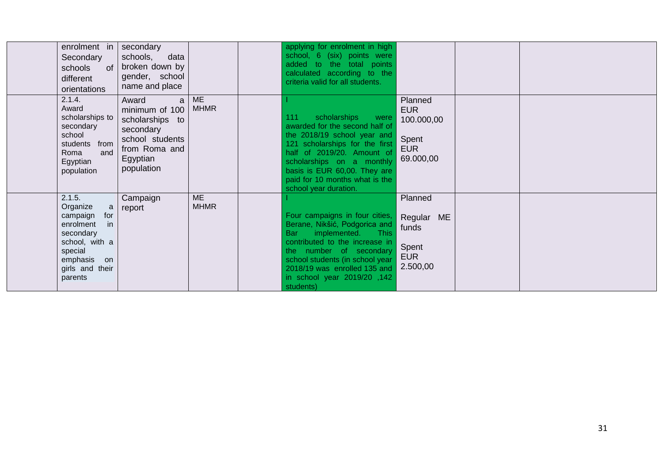| enrolment in<br>Secondary<br>schools<br><b>of</b><br>different<br>orientations                                                                       | secondary<br>data<br>schools,<br>broken down by<br>gender, school<br>name and place                                        |                          | applying for enrolment in high<br>school, 6 (six) points were<br>added to the total points<br>calculated according to the<br>criteria valid for all students.                                                                                                                        |                                                                         |  |  |
|------------------------------------------------------------------------------------------------------------------------------------------------------|----------------------------------------------------------------------------------------------------------------------------|--------------------------|--------------------------------------------------------------------------------------------------------------------------------------------------------------------------------------------------------------------------------------------------------------------------------------|-------------------------------------------------------------------------|--|--|
| 2.1.4.<br>Award<br>scholarships to<br>secondary<br>school<br>from<br>students<br>Roma<br>and<br>Egyptian<br>population                               | Award<br>a<br>minimum of 100<br>scholarships to<br>secondary<br>school students<br>from Roma and<br>Egyptian<br>population | <b>ME</b><br><b>MHMR</b> | 111<br>scholarships<br>were<br>awarded for the second half of<br>the 2018/19 school year and<br>121 scholarships for the first<br>half of 2019/20. Amount of<br>scholarships on a monthly<br>basis is EUR 60,00. They are<br>paid for 10 months what is the<br>school year duration. | Planned<br><b>EUR</b><br>100.000,00<br>Spent<br><b>EUR</b><br>69.000,00 |  |  |
| 2.1.5.<br>Organize<br>a<br>for<br>campaign<br>in<br>enrolment<br>secondary<br>school, with a<br>special<br>emphasis on<br>girls and their<br>parents | Campaign<br>report                                                                                                         | <b>ME</b><br><b>MHMR</b> | Four campaigns in four cities,<br>Berane, Nikšić, Podgorica and<br>implemented. This<br>Bar<br>contributed to the increase in<br>the number of secondary<br>school students (in school year<br>2018/19 was enrolled 135 and<br>in school year 2019/20, 142<br>students)              | Planned<br>Regular ME<br>funds<br>Spent<br><b>EUR</b><br>2.500,00       |  |  |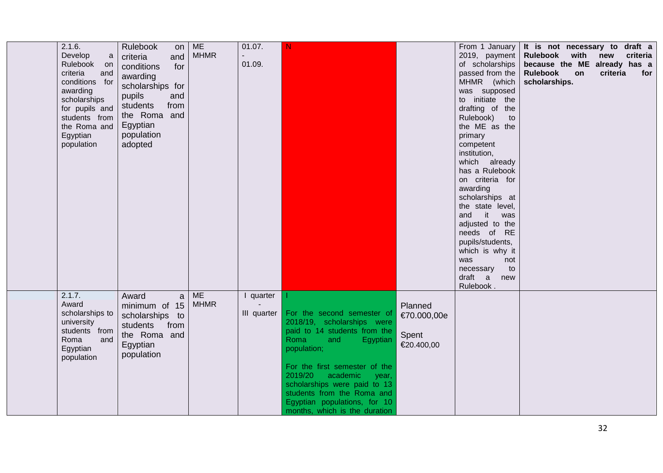| 2.1.6.<br>Develop<br>a<br>Rulebook on<br>criteria<br>and<br>conditions for<br>awarding<br>scholarships<br>for pupils and<br>students from<br>the Roma and<br>Egyptian<br>population | Rulebook<br>on<br>and<br>criteria<br>for<br>conditions<br>awarding<br>scholarships for<br>pupils<br>and<br>students<br>from<br>the Roma and<br>Egyptian<br>population<br>adopted | <b>ME</b><br><b>MHMR</b> | 01.07.<br>01.09.         | N                                                                                                                                                                                                                                                                                                                               |                                               | From 1 January<br>2019, payment<br>of scholarships<br>passed from the<br>MHMR (which<br>was supposed<br>to initiate the<br>drafting of the<br>Rulebook)<br>to<br>the ME as the<br>primary<br>competent<br>institution,<br>which already<br>has a Rulebook<br>on criteria for<br>awarding<br>scholarships at<br>the state level,<br>and it was<br>adjusted to the<br>needs of RE<br>pupils/students,<br>which is why it<br>was<br>not<br>necessary<br>to<br>draft a<br>new<br>Rulebook. | It is not necessary to draft a<br>Rulebook with<br>because the ME already has a<br><b>Rulebook</b><br>on<br>scholarships. | new criteria<br>criteria<br>for |
|-------------------------------------------------------------------------------------------------------------------------------------------------------------------------------------|----------------------------------------------------------------------------------------------------------------------------------------------------------------------------------|--------------------------|--------------------------|---------------------------------------------------------------------------------------------------------------------------------------------------------------------------------------------------------------------------------------------------------------------------------------------------------------------------------|-----------------------------------------------|----------------------------------------------------------------------------------------------------------------------------------------------------------------------------------------------------------------------------------------------------------------------------------------------------------------------------------------------------------------------------------------------------------------------------------------------------------------------------------------|---------------------------------------------------------------------------------------------------------------------------|---------------------------------|
| 2.1.7.<br>Award<br>scholarships to<br>university<br>students from<br>Roma<br>and<br>Egyptian<br>population                                                                          | $\mathsf{a}$<br>Award<br>minimum of 15<br>scholarships to<br>students<br>from<br>the Roma and<br>Egyptian<br>population                                                          | <b>ME</b><br><b>MHMR</b> | I quarter<br>III quarter | For the second semester of<br>2018/19, scholarships were<br>paid to 14 students from the<br>Roma<br>and<br>Egyptian<br>population;<br>For the first semester of the<br>2019/20 academic<br>year,<br>scholarships were paid to 13<br>students from the Roma and<br>Egyptian populations, for 10<br>months, which is the duration | Planned<br>€70.000,00e<br>Spent<br>€20.400,00 |                                                                                                                                                                                                                                                                                                                                                                                                                                                                                        |                                                                                                                           |                                 |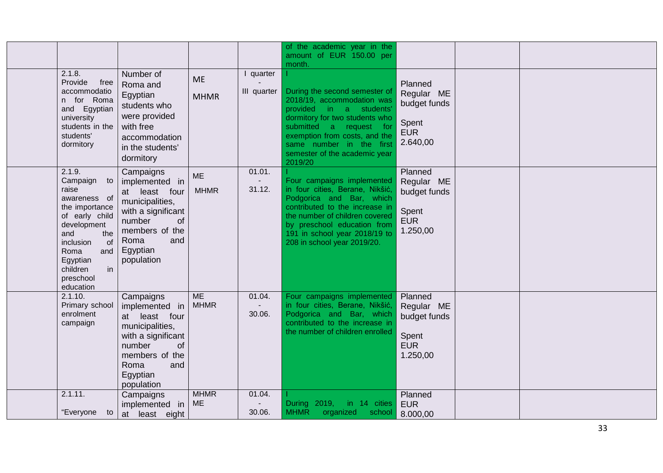|                                                                                                                                                                                                           |                                                                                                                                                                  |                          |                          | of the academic year in the<br>amount of EUR 150.00 per<br>month.                                                                                                                                                                                                 |                                                                          |  |  |
|-----------------------------------------------------------------------------------------------------------------------------------------------------------------------------------------------------------|------------------------------------------------------------------------------------------------------------------------------------------------------------------|--------------------------|--------------------------|-------------------------------------------------------------------------------------------------------------------------------------------------------------------------------------------------------------------------------------------------------------------|--------------------------------------------------------------------------|--|--|
| 2.1.8.<br>Provide<br>free<br>accommodatio<br>n for Roma<br>and Egyptian<br>university<br>students in the<br>students'<br>dormitory                                                                        | Number of<br>Roma and<br>Egyptian<br>students who<br>were provided<br>with free<br>accommodation<br>in the students'<br>dormitory                                | <b>ME</b><br><b>MHMR</b> | I quarter<br>III quarter | During the second semester of<br>2018/19, accommodation was<br>provided in a students'<br>dormitory for two students who<br>submitted a request<br>for -<br>exemption from costs, and the<br>same number in the first<br>semester of the academic year<br>2019/20 | Planned<br>Regular ME<br>budget funds<br>Spent<br><b>EUR</b><br>2.640,00 |  |  |
| 2.1.9.<br>Campaign to<br>raise<br>awareness of<br>the importance<br>of early child<br>development<br>and<br>the<br>inclusion<br>of<br>Roma<br>and<br>Egyptian<br>in<br>children<br>preschool<br>education | Campaigns<br>implemented in<br>at least four<br>municipalities,<br>with a significant<br>number<br>of<br>members of the<br>Roma<br>and<br>Egyptian<br>population | <b>ME</b><br><b>MHMR</b> | 01.01.<br>31.12.         | Four campaigns implemented<br>in four cities, Berane, Nikšić,<br>Podgorica and Bar, which<br>contributed to the increase in<br>the number of children covered<br>by preschool education from<br>191 in school year 2018/19 to<br>208 in school year 2019/20.      | Planned<br>Regular ME<br>budget funds<br>Spent<br><b>EUR</b><br>1.250,00 |  |  |
| 2.1.10.<br>Primary school<br>enrolment<br>campaign                                                                                                                                                        | Campaigns<br>implemented in<br>at least four<br>municipalities,<br>with a significant<br>number<br>οf<br>members of the<br>Roma<br>and<br>Egyptian<br>population | <b>ME</b><br><b>MHMR</b> | 01.04.<br>30.06.         | Four campaigns implemented<br>in four cities, Berane, Nikšić,<br>Podgorica and Bar, which<br>contributed to the increase in<br>the number of children enrolled                                                                                                    | Planned<br>Regular ME<br>budget funds<br>Spent<br><b>EUR</b><br>1.250,00 |  |  |
| 2.1.11.<br>"Everyone to                                                                                                                                                                                   | Campaigns<br>implemented in<br>at least eight                                                                                                                    | <b>MHMR</b><br><b>ME</b> | 01.04.<br>30.06.         | During 2019,<br>in 14 cities<br><b>MHMR</b><br>organized<br>school                                                                                                                                                                                                | Planned<br><b>EUR</b><br>8.000,00                                        |  |  |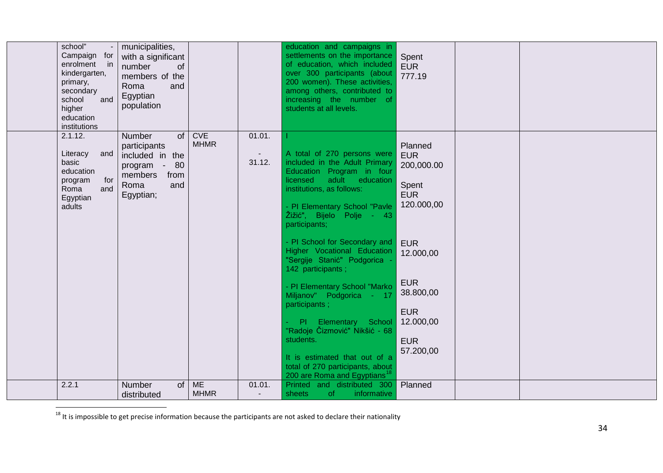<span id="page-33-0"></span>

| school"<br>Campaign for<br>enrolment<br>$\mathsf{in}$<br>kindergarten,<br>primary,<br>secondary<br>school<br>and<br>higher<br>education<br>institutions | municipalities,<br>with a significant<br>number<br><b>of</b><br>members of the<br>Roma<br>and<br>Egyptian<br>population  |                                           |                            | education and campaigns in<br>settlements on the importance<br>of education, which included<br>over 300 participants (about<br>200 women). These activities,<br>among others, contributed to<br>increasing the number of<br>students at all levels.                 | Spent<br><b>EUR</b><br>777.19                                                 |  |
|---------------------------------------------------------------------------------------------------------------------------------------------------------|--------------------------------------------------------------------------------------------------------------------------|-------------------------------------------|----------------------------|---------------------------------------------------------------------------------------------------------------------------------------------------------------------------------------------------------------------------------------------------------------------|-------------------------------------------------------------------------------|--|
| 2.1.12.<br>Literacy<br>and<br>basic<br>education<br>for<br>program<br>Roma<br>and<br>Egyptian<br>adults                                                 | of<br><b>Number</b><br>participants<br>included in the<br>80<br>program -<br>members<br>from<br>Roma<br>and<br>Egyptian; | <b>CVE</b><br><b>MHMR</b>                 | 01.01.<br>$\sim$<br>31.12. | A total of 270 persons were<br>included in the Adult Primary<br>Education Program in four<br>licensed<br>adult education<br>institutions, as follows:<br>- PI Elementary School "Pavle<br>Žižić", Bijelo Polje - 43<br>participants;                                | Planned<br><b>EUR</b><br>200,000.00<br>Spent<br><b>EUR</b><br>120.000,00      |  |
|                                                                                                                                                         |                                                                                                                          |                                           |                            | - PI School for Secondary and<br>Higher Vocational Education<br>"Sergije Stanić" Podgorica -<br>142 participants;                                                                                                                                                   | <b>EUR</b><br>12.000,00                                                       |  |
|                                                                                                                                                         |                                                                                                                          |                                           |                            | - PI Elementary School "Marko<br>Miljanov" Podgorica - 17<br>participants;<br>- PI Elementary School<br>"Radoje Čizmović" Nikšić - 68<br>students.<br>It is estimated that out of a<br>total of 270 participants, about<br>200 are Roma and Egyptians <sup>18</sup> | <b>EUR</b><br>38.800,00<br><b>EUR</b><br>12.000,00<br><b>EUR</b><br>57.200,00 |  |
| 2.2.1                                                                                                                                                   | <b>Number</b><br>distributed                                                                                             | $of \, \vert \, \text{ME}$<br><b>MHMR</b> | 01.01.<br>$\blacksquare$   | Printed and distributed 300<br>sheets<br><b>of</b><br>informative                                                                                                                                                                                                   | Planned                                                                       |  |

 $18$  It is impossible to get precise information because the participants are not asked to declare their nationality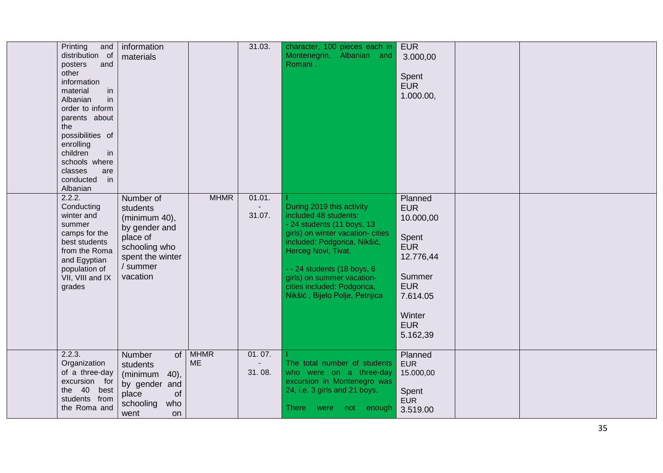| Printing<br>and<br>distribution of<br>posters<br>and<br>other<br>information<br>material<br>in<br>in<br>Albanian<br>order to inform<br>parents about<br>the<br>possibilities of<br>enrolling<br>in<br>children<br>schools where<br>classes<br>are<br>conducted<br>in<br>Albanian | information<br>materials                                                                                                         |                          | 31.03.           | character, 100 pieces each in<br>Albanian and<br>Montenegrin,<br>Romani.                                                                                                                                                                                                                                   | <b>EUR</b><br>3.000,00<br>Spent<br><b>EUR</b><br>1.000.00,                                                                                     |  |
|----------------------------------------------------------------------------------------------------------------------------------------------------------------------------------------------------------------------------------------------------------------------------------|----------------------------------------------------------------------------------------------------------------------------------|--------------------------|------------------|------------------------------------------------------------------------------------------------------------------------------------------------------------------------------------------------------------------------------------------------------------------------------------------------------------|------------------------------------------------------------------------------------------------------------------------------------------------|--|
| 2.2.2.<br>Conducting<br>winter and<br>summer<br>camps for the<br>best students<br>from the Roma<br>and Egyptian<br>population of<br>VII, VIII and IX<br>grades                                                                                                                   | Number of<br>students<br>(minimum 40),<br>by gender and<br>place of<br>schooling who<br>spent the winter<br>/ summer<br>vacation | <b>MHMR</b>              | 01.01.<br>31.07. | During 2019 this activity<br>included 48 students:<br>- 24 students (11 boys, 13<br>girls) on winter vacation- cities<br>included: Podgorica, Nikšić,<br>Herceg Novi, Tivat.<br>- - 24 students (18 boys, 6<br>girls) on summer vacation-<br>cities included: Podgorica,<br>Nikšić, Bijelo Polje, Petnjica | Planned<br><b>EUR</b><br>10.000,00<br>Spent<br><b>EUR</b><br>12.776,44<br>Summer<br><b>EUR</b><br>7.614.05<br>Winter<br><b>EUR</b><br>5.162,39 |  |
| 2.2.3.<br>Organization<br>of a three-day<br>excursion for<br>the 40<br>best<br>students from<br>the Roma and                                                                                                                                                                     | Number<br><b>of</b><br>students<br>(minimum<br>$(40)$ ,<br>by gender and<br>place<br>of<br>schooling<br>who<br>went<br><b>on</b> | <b>MHMR</b><br><b>ME</b> | 01.07.<br>31.08. | The total number of students<br>who were on a three-day<br>excursion in Montenegro was<br>24, i.e. 3 girls and 21 boys.<br>There <b>a</b><br>not enough<br>were                                                                                                                                            | Planned<br><b>EUR</b><br>15.000,00<br>Spent<br><b>EUR</b><br>3.519.00                                                                          |  |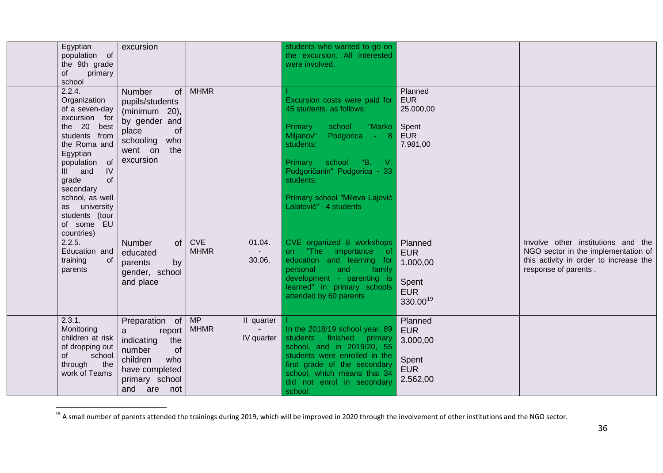<span id="page-35-0"></span>

| Egyptian<br>population of<br>the 9th grade<br>primary<br>οf<br>school                                                                                                                                                                                                 | excursion                                                                                                                                |                           |                                    | students who wanted to go on<br>the excursion. All interested<br>were involved.                                                                                                                                                                                                 |                                                                       |                                                                                                                                             |
|-----------------------------------------------------------------------------------------------------------------------------------------------------------------------------------------------------------------------------------------------------------------------|------------------------------------------------------------------------------------------------------------------------------------------|---------------------------|------------------------------------|---------------------------------------------------------------------------------------------------------------------------------------------------------------------------------------------------------------------------------------------------------------------------------|-----------------------------------------------------------------------|---------------------------------------------------------------------------------------------------------------------------------------------|
| 2.2.4.<br>Organization<br>of a seven-day<br>excursion for<br>the 20 best<br>students from<br>the Roma and<br>Egyptian<br>population of<br>IV<br>III and<br>grade<br>of<br>secondary<br>school, as well<br>as university<br>students (tour<br>of some EU<br>countries) | Number<br>of<br>pupils/students<br>(minimum $20$ ),<br>by gender and<br>place<br>of<br>who<br>schooling<br>the<br>went on<br>excursion   | <b>MHMR</b>               |                                    | Excursion costs were paid for<br>45 students, as follows:<br>school<br>"Marko<br>Primary<br>Podgorica<br>Miljanov"<br>$-8$<br>students;<br>Primary school "B.<br>- V.<br>Podgoričanin" Podgorica - 33<br>students;<br>Primary school "Mileva Lajović<br>Lalatović" - 4 students | Planned<br><b>EUR</b><br>25.000,00<br>Spent<br><b>EUR</b><br>7.981,00 |                                                                                                                                             |
| 2.2.5.<br>Education and<br>training<br>of<br>parents                                                                                                                                                                                                                  | of<br><b>Number</b><br>educated<br>parents<br>by<br>gender, school<br>and place                                                          | <b>CVE</b><br><b>MHMR</b> | 01.04.<br>30.06.                   | CVE organized 8 workshops<br>"The importance<br>on.<br>of.<br>education and learning for<br>family<br>personal<br>and<br>development - parenting is<br>learned" in primary schools<br>attended by 60 parents.                                                                   | Planned<br><b>EUR</b><br>1.000,00<br>Spent<br><b>EUR</b><br>330.0019  | Involve other institutions and the<br>NGO sector in the implementation of<br>this activity in order to increase the<br>response of parents. |
| 2.3.1.<br>Monitoring<br>children at risk<br>of dropping out<br>school<br>οf<br>through<br>the<br>work of Teams                                                                                                                                                        | Preparation of<br>report<br>a<br>the<br>indicating<br>number<br>of<br>children<br>who<br>have completed<br>primary school<br>and are not | MP<br><b>MHMR</b>         | II quarter<br>$\sim$<br>IV quarter | In the 2018/19 school year, 89<br>students finished primary<br>school, and in 2019/20, 55<br>students were enrolled in the<br>first grade of the secondary<br>school, which means that 34<br>did not enrol in secondary<br>school                                               | Planned<br><b>EUR</b><br>3.000,00<br>Spent<br><b>EUR</b><br>2.562,00  |                                                                                                                                             |

<sup>&</sup>lt;sup>19</sup> A small number of parents attended the trainings during 2019, which will be improved in 2020 through the involvement of other institutions and the NGO sector.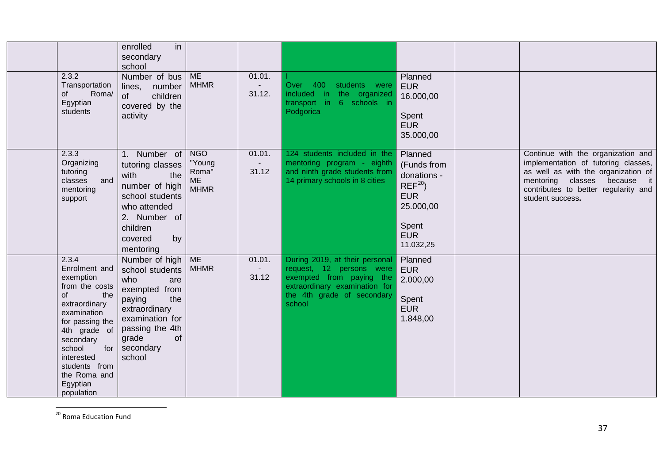<span id="page-36-0"></span>

|                                                                                                                                                                                                                                              | in<br>enrolled<br>secondary<br>school                                                                                                                                          |                                                           |                            |                                                                                                                                                                 |                                                                                                                    |                                                                                                                                                                                                              |
|----------------------------------------------------------------------------------------------------------------------------------------------------------------------------------------------------------------------------------------------|--------------------------------------------------------------------------------------------------------------------------------------------------------------------------------|-----------------------------------------------------------|----------------------------|-----------------------------------------------------------------------------------------------------------------------------------------------------------------|--------------------------------------------------------------------------------------------------------------------|--------------------------------------------------------------------------------------------------------------------------------------------------------------------------------------------------------------|
| 2.3.2<br>Transportation<br>Roma/<br>0f<br>Egyptian<br>students                                                                                                                                                                               | Number of bus<br>lines,<br>number<br>children<br>of<br>covered by the<br>activity                                                                                              | <b>ME</b><br><b>MHMR</b>                                  | 01.01.<br>$\sim$<br>31.12. | Over 400<br>students were<br>included in the organized<br>transport in<br>6 schools in<br>Podgorica                                                             | Planned<br><b>EUR</b><br>16.000,00<br>Spent<br><b>EUR</b><br>35.000,00                                             |                                                                                                                                                                                                              |
| 2.3.3<br>Organizing<br>tutoring<br>and<br>classes<br>mentoring<br>support                                                                                                                                                                    | 1. Number of<br>tutoring classes<br>with<br>the<br>number of high<br>school students<br>who attended<br>2. Number of<br>children<br>by<br>covered<br>mentoring                 | <b>NGO</b><br>"Young<br>Roma"<br><b>ME</b><br><b>MHMR</b> | 01.01.<br>31.12            | 124 students included in the<br>mentoring program - eighth<br>and ninth grade students from<br>14 primary schools in 8 cities                                   | Planned<br>(Funds from<br>donations -<br>$REF^{20}$<br><b>EUR</b><br>25.000,00<br>Spent<br><b>EUR</b><br>11.032,25 | Continue with the organization and<br>implementation of tutoring classes,<br>as well as with the organization of<br>mentoring classes because it<br>contributes to better regularity and<br>student success. |
| 2.3.4<br>Enrolment and<br>exemption<br>from the costs<br>of<br>the<br>extraordinary<br>examination<br>for passing the<br>4th grade of<br>secondary<br>school<br>for<br>interested<br>students from<br>the Roma and<br>Egyptian<br>population | Number of high<br>school students<br>who<br>are<br>exempted from<br>the<br>paying<br>extraordinary<br>examination for<br>passing the 4th<br>grade<br>of<br>secondary<br>school | <b>ME</b><br><b>MHMR</b>                                  | 01.01.<br>31.12            | During 2019, at their personal<br>request, 12 persons were<br>exempted from paying the<br>extraordinary examination for<br>the 4th grade of secondary<br>school | Planned<br><b>EUR</b><br>2.000,00<br>Spent<br><b>EUR</b><br>1.848,00                                               |                                                                                                                                                                                                              |

<sup>&</sup>lt;sup>20</sup> Roma Education Fund

Т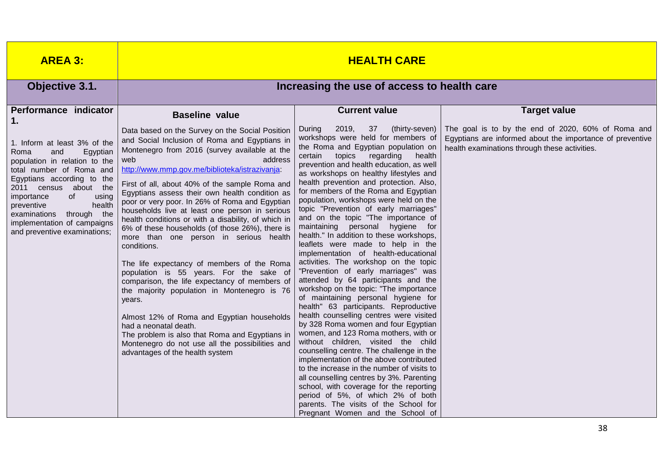| <b>AREA 3:</b>                                                                                                                                                                                                                                                                                                                                                         | <b>HEALTH CARE</b>                                                                                                                                                                                                                                                                                                                                                                                                                                                                                                                                                                                                                                                                                                                                                                                                                                                                                                                                                                                                                          |                                                                                                                                                                                                                                                                                                                                                                                                                                                                                                                                                                                                                                                                                                                                                                                                                                                                                                                                                                                                                                                                                                                                                                                                                                                                                                                                                                                   |                                                                                                                                                                                         |  |  |  |  |  |  |
|------------------------------------------------------------------------------------------------------------------------------------------------------------------------------------------------------------------------------------------------------------------------------------------------------------------------------------------------------------------------|---------------------------------------------------------------------------------------------------------------------------------------------------------------------------------------------------------------------------------------------------------------------------------------------------------------------------------------------------------------------------------------------------------------------------------------------------------------------------------------------------------------------------------------------------------------------------------------------------------------------------------------------------------------------------------------------------------------------------------------------------------------------------------------------------------------------------------------------------------------------------------------------------------------------------------------------------------------------------------------------------------------------------------------------|-----------------------------------------------------------------------------------------------------------------------------------------------------------------------------------------------------------------------------------------------------------------------------------------------------------------------------------------------------------------------------------------------------------------------------------------------------------------------------------------------------------------------------------------------------------------------------------------------------------------------------------------------------------------------------------------------------------------------------------------------------------------------------------------------------------------------------------------------------------------------------------------------------------------------------------------------------------------------------------------------------------------------------------------------------------------------------------------------------------------------------------------------------------------------------------------------------------------------------------------------------------------------------------------------------------------------------------------------------------------------------------|-----------------------------------------------------------------------------------------------------------------------------------------------------------------------------------------|--|--|--|--|--|--|
| Objective 3.1.                                                                                                                                                                                                                                                                                                                                                         | Increasing the use of access to health care                                                                                                                                                                                                                                                                                                                                                                                                                                                                                                                                                                                                                                                                                                                                                                                                                                                                                                                                                                                                 |                                                                                                                                                                                                                                                                                                                                                                                                                                                                                                                                                                                                                                                                                                                                                                                                                                                                                                                                                                                                                                                                                                                                                                                                                                                                                                                                                                                   |                                                                                                                                                                                         |  |  |  |  |  |  |
| Performance indicator<br>1 <sub>1</sub><br>1. Inform at least 3% of the<br>and<br>Roma<br>Egyptian<br>population in relation to the<br>total number of Roma and<br>Egyptians according to the<br>2011 census about the<br>of<br>importance<br>using<br>preventive<br>health<br>examinations through the<br>implementation of campaigns<br>and preventive examinations; | <b>Baseline value</b><br>Data based on the Survey on the Social Position<br>and Social Inclusion of Roma and Egyptians in<br>Montenegro from 2016 (survey available at the<br>address<br>web<br>http://www.mmp.gov.me/biblioteka/istrazivanja:<br>First of all, about 40% of the sample Roma and<br>Egyptians assess their own health condition as<br>poor or very poor. In 26% of Roma and Egyptian<br>households live at least one person in serious<br>health conditions or with a disability, of which in<br>6% of these households (of those 26%), there is<br>more than one person in serious health<br>conditions.<br>The life expectancy of members of the Roma<br>population is 55 years. For the sake of<br>comparison, the life expectancy of members of<br>the majority population in Montenegro is 76<br>years.<br>Almost 12% of Roma and Egyptian households<br>had a neonatal death.<br>The problem is also that Roma and Egyptians in<br>Montenegro do not use all the possibilities and<br>advantages of the health system | <b>Current value</b><br>2019,<br>37<br>(thirty-seven)<br>During<br>workshops were held for members of<br>the Roma and Egyptian population on<br>certain<br>topics regarding<br>health<br>prevention and health education, as well<br>as workshops on healthy lifestyles and<br>health prevention and protection. Also,<br>for members of the Roma and Egyptian<br>population, workshops were held on the<br>topic "Prevention of early marriages"<br>and on the topic "The importance of<br>maintaining personal hygiene for<br>health." In addition to these workshops,<br>leaflets were made to help in the<br>implementation of health-educational<br>activities. The workshop on the topic<br>"Prevention of early marriages" was<br>attended by 64 participants and the<br>workshop on the topic: "The importance<br>of maintaining personal hygiene for<br>health" 63 participants. Reproductive<br>health counselling centres were visited<br>by 328 Roma women and four Egyptian<br>women, and 123 Roma mothers, with or<br>without children, visited the child<br>counselling centre. The challenge in the<br>implementation of the above contributed<br>to the increase in the number of visits to<br>all counselling centres by 3%. Parenting<br>school, with coverage for the reporting<br>period of 5%, of which 2% of both<br>parents. The visits of the School for | <b>Target value</b><br>The goal is to by the end of 2020, 60% of Roma and<br>Egyptians are informed about the importance of preventive<br>health examinations through these activities. |  |  |  |  |  |  |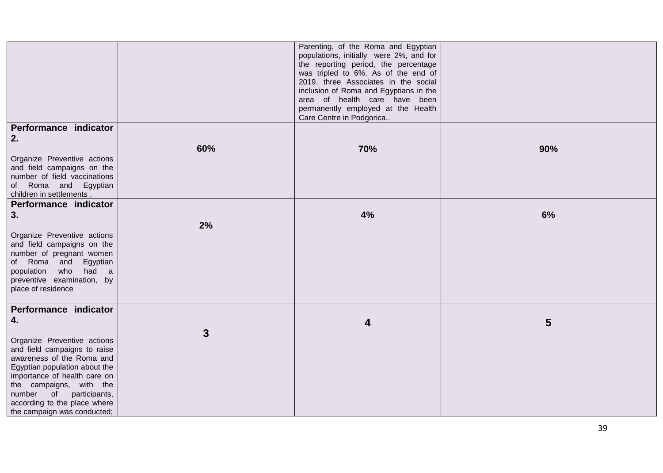|                                                                                                                                                                                                                    |              | Parenting, of the Roma and Egyptian<br>populations, initially were 2%, and for<br>the reporting period, the percentage<br>was tripled to 6%. As of the end of<br>2019, three Associates in the social |     |
|--------------------------------------------------------------------------------------------------------------------------------------------------------------------------------------------------------------------|--------------|-------------------------------------------------------------------------------------------------------------------------------------------------------------------------------------------------------|-----|
|                                                                                                                                                                                                                    |              | inclusion of Roma and Egyptians in the<br>area of health care have been<br>permanently employed at the Health<br>Care Centre in Podgorica                                                             |     |
| Performance indicator<br>2.                                                                                                                                                                                        |              |                                                                                                                                                                                                       |     |
| Organize Preventive actions<br>and field campaigns on the<br>number of field vaccinations<br>of Roma and Egyptian<br>children in settlements.                                                                      | 60%          | 70%                                                                                                                                                                                                   | 90% |
| Performance indicator<br>3.                                                                                                                                                                                        |              | 4%                                                                                                                                                                                                    | 6%  |
| Organize Preventive actions<br>and field campaigns on the<br>number of pregnant women<br>of Roma and Egyptian<br>population who<br>had a<br>preventive examination, by<br>place of residence                       | 2%           |                                                                                                                                                                                                       |     |
| Performance indicator<br>4.<br>Organize Preventive actions<br>and field campaigns to raise                                                                                                                         | $\mathbf{3}$ | $\overline{\mathbf{4}}$                                                                                                                                                                               | 5   |
| awareness of the Roma and<br>Egyptian population about the<br>importance of health care on<br>the campaigns, with the<br>participants,<br>number of<br>according to the place where<br>the campaign was conducted; |              |                                                                                                                                                                                                       |     |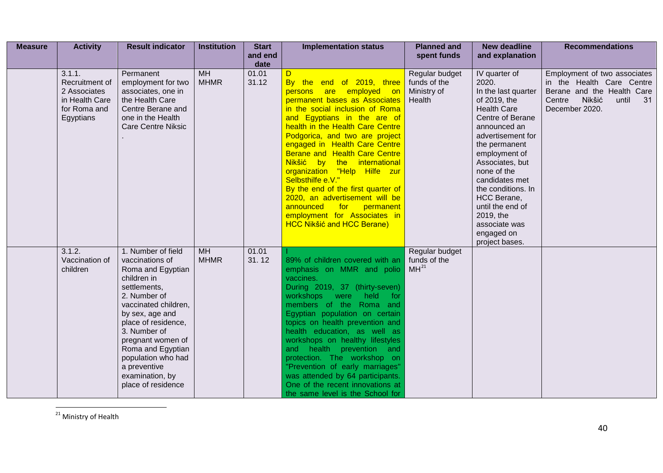<span id="page-39-0"></span>

| <b>Measure</b> | <b>Activity</b>                                                                         | <b>Result indicator</b>                                                                                                                                                                                                                                                                                              | <b>Institution</b>       | <b>Start</b><br>and end | <b>Implementation status</b>                                                                                                                                                                                                                                                                                                                                                                                                                                                                                                                                        | <b>Planned and</b><br>spent funds                       | <b>New deadline</b><br>and explanation                                                                                                                                                                                                                                                                                                                    | <b>Recommendations</b>                                                                                                                       |
|----------------|-----------------------------------------------------------------------------------------|----------------------------------------------------------------------------------------------------------------------------------------------------------------------------------------------------------------------------------------------------------------------------------------------------------------------|--------------------------|-------------------------|---------------------------------------------------------------------------------------------------------------------------------------------------------------------------------------------------------------------------------------------------------------------------------------------------------------------------------------------------------------------------------------------------------------------------------------------------------------------------------------------------------------------------------------------------------------------|---------------------------------------------------------|-----------------------------------------------------------------------------------------------------------------------------------------------------------------------------------------------------------------------------------------------------------------------------------------------------------------------------------------------------------|----------------------------------------------------------------------------------------------------------------------------------------------|
|                |                                                                                         |                                                                                                                                                                                                                                                                                                                      |                          | date                    |                                                                                                                                                                                                                                                                                                                                                                                                                                                                                                                                                                     |                                                         |                                                                                                                                                                                                                                                                                                                                                           |                                                                                                                                              |
|                | 3.1.1.<br>Recruitment of<br>2 Associates<br>in Health Care<br>for Roma and<br>Egyptians | Permanent<br>employment for two<br>associates, one in<br>the Health Care<br>Centre Berane and<br>one in the Health<br><b>Care Centre Niksic</b>                                                                                                                                                                      | <b>MH</b><br><b>MHMR</b> | 01.01<br>31.12          | D<br>By the end of 2019, three<br>persons are employed on<br>permanent bases as Associates<br>in the social inclusion of Roma<br>and Egyptians in the are of<br>health in the Health Care Centre<br>Podgorica, and two are project<br>engaged in Health Care Centre<br>Berane and Health Care Centre<br>Nikšić by the international<br>organization "Help Hilfe zur<br>Selbsthilfe e.V."<br>By the end of the first quarter of<br>2020, an advertisement will be<br>announced for<br>permanent<br>employment for Associates in<br><b>HCC Nikšić and HCC Berane)</b> | Regular budget<br>funds of the<br>Ministry of<br>Health | IV quarter of<br>2020.<br>In the last quarter<br>of 2019, the<br><b>Health Care</b><br>Centre of Berane<br>announced an<br>advertisement for<br>the permanent<br>employment of<br>Associates, but<br>none of the<br>candidates met<br>the conditions. In<br>HCC Berane,<br>until the end of<br>2019, the<br>associate was<br>engaged on<br>project bases. | Employment of two associates<br>in the Health Care Centre<br>Berane and the Health Care<br>Nikšić<br>Centre<br>until<br>31<br>December 2020. |
|                | 3.1.2.<br>Vaccination of<br>children                                                    | 1. Number of field<br>vaccinations of<br>Roma and Egyptian<br>children in<br>settlements,<br>2. Number of<br>vaccinated children,<br>by sex, age and<br>place of residence,<br>3. Number of<br>pregnant women of<br>Roma and Egyptian<br>population who had<br>a preventive<br>examination, by<br>place of residence | <b>MH</b><br><b>MHMR</b> | 01.01<br>31.12          | 89% of children covered with an<br>emphasis on MMR and polio<br>vaccines.<br>During 2019, 37 (thirty-seven)<br>workshops<br>held<br>were<br>for<br>members of the Roma and<br>Egyptian population on certain<br>topics on health prevention and<br>health education, as well as<br>workshops on healthy lifestyles<br>and health prevention and<br>protection. The workshop on<br>"Prevention of early marriages"<br>was attended by 64 participants.<br>One of the recent innovations at<br>the same level is the School for                                       | Regular budget<br>funds of the<br>MH <sup>21</sup>      |                                                                                                                                                                                                                                                                                                                                                           |                                                                                                                                              |

<sup>&</sup>lt;sup>21</sup> Ministry of Health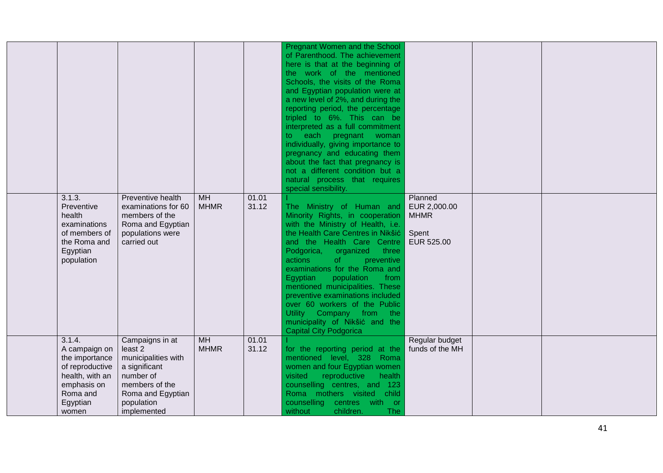|                                                                                                                                 |                                                                                                                                                     |                          |                | <b>Pregnant Women and the School</b><br>of Parenthood. The achievement<br>here is that at the beginning of<br>the work of the mentioned<br>Schools, the visits of the Roma<br>and Egyptian population were at<br>a new level of 2%, and during the<br>reporting period, the percentage<br>tripled to 6%. This can be<br>interpreted as a full commitment<br>to each pregnant woman<br>individually, giving importance to<br>pregnancy and educating them<br>about the fact that pregnancy is<br>not a different condition but a<br>natural process that requires<br>special sensibility. |                                                               |  |
|---------------------------------------------------------------------------------------------------------------------------------|-----------------------------------------------------------------------------------------------------------------------------------------------------|--------------------------|----------------|------------------------------------------------------------------------------------------------------------------------------------------------------------------------------------------------------------------------------------------------------------------------------------------------------------------------------------------------------------------------------------------------------------------------------------------------------------------------------------------------------------------------------------------------------------------------------------------|---------------------------------------------------------------|--|
| 3.1.3.<br>Preventive<br>health<br>examinations<br>of members of<br>the Roma and<br>Egyptian<br>population                       | Preventive health<br>examinations for 60<br>members of the<br>Roma and Egyptian<br>populations were<br>carried out                                  | <b>MH</b><br><b>MHMR</b> | 01.01<br>31.12 | The Ministry of Human and<br>Minority Rights, in cooperation<br>with the Ministry of Health, i.e.<br>the Health Care Centres in Nikšić<br>and the Health Care Centre<br>Podgorica,<br>organized<br>three<br>actions<br>of<br>preventive<br>examinations for the Roma and<br>population<br>from<br>Egyptian<br>mentioned municipalities. These<br>preventive examinations included<br>over 60 workers of the Public<br>Utility Company from the<br>municipality of Nikšić and the<br><b>Capital City Podgorica</b>                                                                        | Planned<br>EUR 2,000.00<br><b>MHMR</b><br>Spent<br>EUR 525.00 |  |
| 3.1.4.<br>A campaign on<br>the importance<br>of reproductive<br>health, with an<br>emphasis on<br>Roma and<br>Egyptian<br>women | Campaigns in at<br>least 2<br>municipalities with<br>a significant<br>number of<br>members of the<br>Roma and Egyptian<br>population<br>implemented | <b>MH</b><br><b>MHMR</b> | 01.01<br>31.12 | for the reporting period at the<br>mentioned level, 328 Roma<br>women and four Egyptian women<br>visited<br>reproductive<br>health<br>counselling centres, and 123<br>Roma mothers visited<br>child<br>counselling<br>centres with or<br>without<br>children.<br><b>The</b>                                                                                                                                                                                                                                                                                                              | Regular budget<br>funds of the MH                             |  |

 $\blacksquare$ 

-L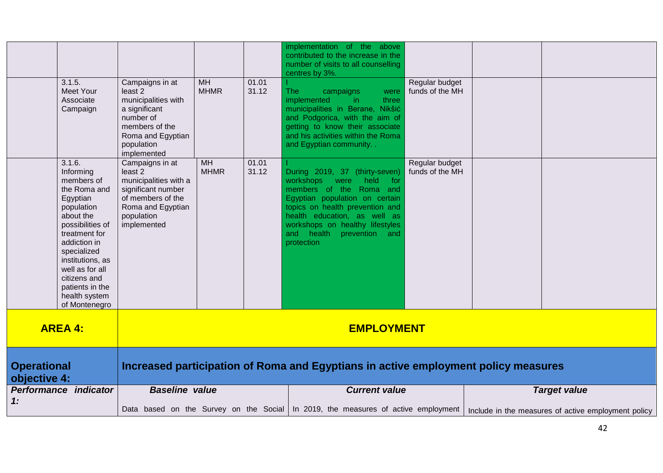| 3.1.5.<br><b>Meet Your</b><br>Associate<br>Campaign                                                                                                                                                                                                                      | Campaigns in at<br>least <sub>2</sub><br>municipalities with<br>a significant<br>number of<br>members of the<br>Roma and Egyptian<br>population<br>implemented | <b>MH</b><br><b>MHMR</b> | 01.01<br>31.12 | implementation of the above<br>contributed to the increase in the<br>number of visits to all counselling<br>centres by 3%.<br><b>The</b><br>campaigns<br>were<br>implemented<br>three<br>in.<br>municipalities in Berane, Nikšić<br>and Podgorica, with the aim of<br>getting to know their associate<br>and his activities within the Roma<br>and Egyptian community | Regular budget<br>funds of the MH |                                                                                                                                                                  |  |
|--------------------------------------------------------------------------------------------------------------------------------------------------------------------------------------------------------------------------------------------------------------------------|----------------------------------------------------------------------------------------------------------------------------------------------------------------|--------------------------|----------------|-----------------------------------------------------------------------------------------------------------------------------------------------------------------------------------------------------------------------------------------------------------------------------------------------------------------------------------------------------------------------|-----------------------------------|------------------------------------------------------------------------------------------------------------------------------------------------------------------|--|
| 3.1.6.<br>Informing<br>members of<br>the Roma and<br>Egyptian<br>population<br>about the<br>possibilities of<br>treatment for<br>addiction in<br>specialized<br>institutions, as<br>well as for all<br>citizens and<br>patients in the<br>health system<br>of Montenegro | Campaigns in at<br>least <sub>2</sub><br>municipalities with a<br>significant number<br>of members of the<br>Roma and Egyptian<br>population<br>implemented    | MH<br><b>MHMR</b>        | 01.01<br>31.12 | During 2019, 37 (thirty-seven)<br>workshops<br>held<br>for<br>were<br>members of the Roma and<br>Egyptian population on certain<br>topics on health prevention and<br>health education, as well as<br>workshops on healthy lifestyles<br>and health prevention and<br>protection                                                                                      | Regular budget<br>funds of the MH |                                                                                                                                                                  |  |
| <b>AREA 4:</b>                                                                                                                                                                                                                                                           | <b>EMPLOYMENT</b>                                                                                                                                              |                          |                |                                                                                                                                                                                                                                                                                                                                                                       |                                   |                                                                                                                                                                  |  |
| <b>Operational</b><br>objective 4:                                                                                                                                                                                                                                       | Increased participation of Roma and Egyptians in active employment policy measures                                                                             |                          |                |                                                                                                                                                                                                                                                                                                                                                                       |                                   |                                                                                                                                                                  |  |
| Performance indicator<br>1:                                                                                                                                                                                                                                              | <b>Baseline value</b>                                                                                                                                          |                          |                | <b>Current value</b>                                                                                                                                                                                                                                                                                                                                                  |                                   | <b>Target value</b><br>Data based on the Survey on the Social   In 2019, the measures of active employment   Include in the measures of active employment policy |  |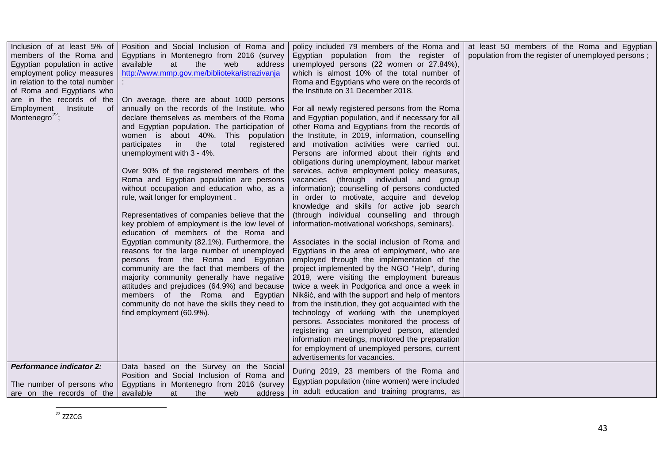<span id="page-42-0"></span>

| Inclusion of at least 5% of     | Position and Social Inclusion of Roma and                             | policy included 79 members of the Roma and                                                       | at least 50 members of the Roma and Egyptian        |
|---------------------------------|-----------------------------------------------------------------------|--------------------------------------------------------------------------------------------------|-----------------------------------------------------|
| members of the Roma and         | Egyptians in Montenegro from 2016 (survey                             | Egyptian population from the register of                                                         | population from the register of unemployed persons; |
| Egyptian population in active   | available<br>at<br>the<br>web<br>address                              | unemployed persons (22 women or 27.84%),                                                         |                                                     |
| employment policy measures      | http://www.mmp.gov.me/biblioteka/istrazivanja                         | which is almost 10% of the total number of                                                       |                                                     |
| in relation to the total number |                                                                       | Roma and Egyptians who were on the records of                                                    |                                                     |
| of Roma and Egyptians who       |                                                                       | the Institute on 31 December 2018.                                                               |                                                     |
| are in the records of the       | On average, there are about 1000 persons                              |                                                                                                  |                                                     |
| Institute<br>Employment<br>- of | annually on the records of the Institute, who                         | For all newly registered persons from the Roma                                                   |                                                     |
| Montenegro <sup>22</sup> ;      | declare themselves as members of the Roma                             | and Egyptian population, and if necessary for all                                                |                                                     |
|                                 | and Egyptian population. The participation of                         | other Roma and Egyptians from the records of                                                     |                                                     |
|                                 | women is about 40%. This population                                   | the Institute, in 2019, information, counselling                                                 |                                                     |
|                                 | in the<br>participates<br>total<br>registered                         | and motivation activities were carried out.                                                      |                                                     |
|                                 | unemployment with 3 - 4%.                                             | Persons are informed about their rights and                                                      |                                                     |
|                                 |                                                                       | obligations during unemployment, labour market                                                   |                                                     |
|                                 | Over 90% of the registered members of the                             | services, active employment policy measures,                                                     |                                                     |
|                                 | Roma and Egyptian population are persons                              | vacancies (through individual and group                                                          |                                                     |
|                                 | without occupation and education who, as a                            | information); counselling of persons conducted                                                   |                                                     |
|                                 | rule, wait longer for employment.                                     | in order to motivate, acquire and develop                                                        |                                                     |
|                                 |                                                                       | knowledge and skills for active job search                                                       |                                                     |
|                                 | Representatives of companies believe that the                         | (through individual counselling and through                                                      |                                                     |
|                                 | key problem of employment is the low level of                         | information-motivational workshops, seminars).                                                   |                                                     |
|                                 | education of members of the Roma and                                  |                                                                                                  |                                                     |
|                                 | Egyptian community (82.1%). Furthermore, the                          | Associates in the social inclusion of Roma and                                                   |                                                     |
|                                 | reasons for the large number of unemployed                            | Egyptians in the area of employment, who are                                                     |                                                     |
|                                 | persons from the Roma and Egyptian                                    | employed through the implementation of the                                                       |                                                     |
|                                 | community are the fact that members of the                            | project implemented by the NGO "Help", during                                                    |                                                     |
|                                 | majority community generally have negative                            | 2019, were visiting the employment bureaus                                                       |                                                     |
|                                 | attitudes and prejudices (64.9%) and because                          | twice a week in Podgorica and once a week in                                                     |                                                     |
|                                 | members of the Roma and Egyptian                                      | Nikšić, and with the support and help of mentors                                                 |                                                     |
|                                 | community do not have the skills they need to                         | from the institution, they got acquainted with the                                               |                                                     |
|                                 | find employment (60.9%).                                              | technology of working with the unemployed                                                        |                                                     |
|                                 |                                                                       | persons. Associates monitored the process of                                                     |                                                     |
|                                 |                                                                       | registering an unemployed person, attended                                                       |                                                     |
|                                 |                                                                       | information meetings, monitored the preparation<br>for employment of unemployed persons, current |                                                     |
|                                 |                                                                       | advertisements for vacancies.                                                                    |                                                     |
| <b>Performance indicator 2:</b> | Data based on the Survey on the Social                                |                                                                                                  |                                                     |
|                                 | Position and Social Inclusion of Roma and                             | During 2019, 23 members of the Roma and                                                          |                                                     |
|                                 | The number of persons who   Egyptians in Montenegro from 2016 (survey | Egyptian population (nine women) were included                                                   |                                                     |
| are on the records of the       | available<br>the<br>at<br>address<br>web                              | in adult education and training programs, as                                                     |                                                     |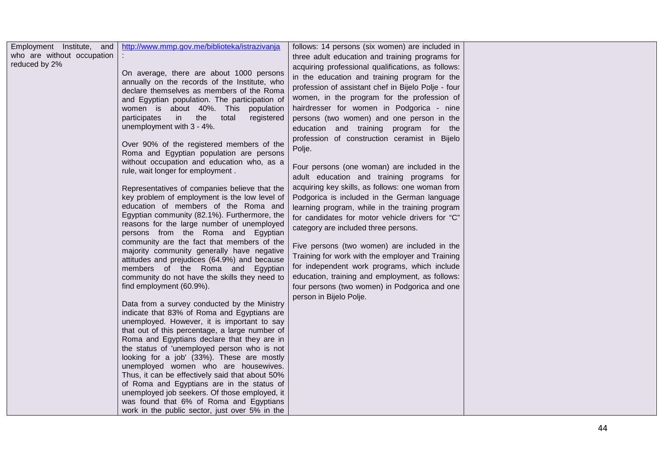| Employment Institute, and                   | http://www.mmp.gov.me/biblioteka/istrazivanja   | follows: 14 persons (six women) are included in     |  |
|---------------------------------------------|-------------------------------------------------|-----------------------------------------------------|--|
| who are without occupation<br>reduced by 2% |                                                 | three adult education and training programs for     |  |
|                                             | On average, there are about 1000 persons        | acquiring professional qualifications, as follows:  |  |
|                                             | annually on the records of the Institute, who   | in the education and training program for the       |  |
|                                             | declare themselves as members of the Roma       | profession of assistant chef in Bijelo Polje - four |  |
|                                             | and Egyptian population. The participation of   | women, in the program for the profession of         |  |
|                                             | women is about 40%. This population             | hairdresser for women in Podgorica - nine           |  |
|                                             | participates<br>in the<br>total<br>registered   | persons (two women) and one person in the           |  |
|                                             | unemployment with 3 - 4%.                       | education and training program for the              |  |
|                                             |                                                 | profession of construction ceramist in Bijelo       |  |
|                                             | Over 90% of the registered members of the       | Polje.                                              |  |
|                                             | Roma and Egyptian population are persons        |                                                     |  |
|                                             | without occupation and education who, as a      | Four persons (one woman) are included in the        |  |
|                                             | rule, wait longer for employment.               | adult education and training programs for           |  |
|                                             | Representatives of companies believe that the   | acquiring key skills, as follows: one woman from    |  |
|                                             | key problem of employment is the low level of   | Podgorica is included in the German language        |  |
|                                             | education of members of the Roma and            | learning program, while in the training program     |  |
|                                             | Egyptian community (82.1%). Furthermore, the    | for candidates for motor vehicle drivers for "C"    |  |
|                                             | reasons for the large number of unemployed      |                                                     |  |
|                                             | persons from the Roma and Egyptian              | category are included three persons.                |  |
|                                             | community are the fact that members of the      | Five persons (two women) are included in the        |  |
|                                             | majority community generally have negative      | Training for work with the employer and Training    |  |
|                                             | attitudes and prejudices (64.9%) and because    |                                                     |  |
|                                             | members of the Roma and Egyptian                | for independent work programs, which include        |  |
|                                             | community do not have the skills they need to   | education, training and employment, as follows:     |  |
|                                             | find employment (60.9%).                        | four persons (two women) in Podgorica and one       |  |
|                                             | Data from a survey conducted by the Ministry    | person in Bijelo Polje.                             |  |
|                                             | indicate that 83% of Roma and Egyptians are     |                                                     |  |
|                                             | unemployed. However, it is important to say     |                                                     |  |
|                                             | that out of this percentage, a large number of  |                                                     |  |
|                                             | Roma and Egyptians declare that they are in     |                                                     |  |
|                                             | the status of 'unemployed person who is not     |                                                     |  |
|                                             | looking for a job' (33%). These are mostly      |                                                     |  |
|                                             | unemployed women who are housewives.            |                                                     |  |
|                                             | Thus, it can be effectively said that about 50% |                                                     |  |
|                                             | of Roma and Egyptians are in the status of      |                                                     |  |
|                                             | unemployed job seekers. Of those employed, it   |                                                     |  |
|                                             | was found that 6% of Roma and Egyptians         |                                                     |  |
|                                             | work in the public sector, just over 5% in the  |                                                     |  |
|                                             |                                                 |                                                     |  |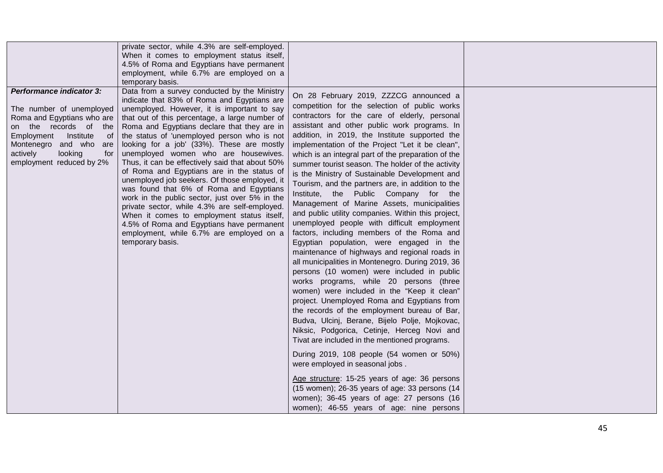|                                                                                                                                                                                                                                            | private sector, while 4.3% are self-employed.<br>When it comes to employment status itself,<br>4.5% of Roma and Egyptians have permanent<br>employment, while 6.7% are employed on a<br>temporary basis.                                                                                                                                                                                                                                                                                                                                                                                                                                                                                                                                                                                                                                    |                                                                                                                                                                                                                                                                                                                                                                                                                                                                                                                                                                                                                                                                                                                                                                                                                                                                                                                                                                                                                                                                                                                                                                                                                                                                                                                                                                                                                                                                                                                                                                                      |  |
|--------------------------------------------------------------------------------------------------------------------------------------------------------------------------------------------------------------------------------------------|---------------------------------------------------------------------------------------------------------------------------------------------------------------------------------------------------------------------------------------------------------------------------------------------------------------------------------------------------------------------------------------------------------------------------------------------------------------------------------------------------------------------------------------------------------------------------------------------------------------------------------------------------------------------------------------------------------------------------------------------------------------------------------------------------------------------------------------------|--------------------------------------------------------------------------------------------------------------------------------------------------------------------------------------------------------------------------------------------------------------------------------------------------------------------------------------------------------------------------------------------------------------------------------------------------------------------------------------------------------------------------------------------------------------------------------------------------------------------------------------------------------------------------------------------------------------------------------------------------------------------------------------------------------------------------------------------------------------------------------------------------------------------------------------------------------------------------------------------------------------------------------------------------------------------------------------------------------------------------------------------------------------------------------------------------------------------------------------------------------------------------------------------------------------------------------------------------------------------------------------------------------------------------------------------------------------------------------------------------------------------------------------------------------------------------------------|--|
| <b>Performance indicator 3:</b><br>The number of unemployed<br>Roma and Egyptians who are<br>on the records of<br>the<br>Institute<br>Employment<br>0t<br>Montenegro and who are<br>looking<br>actively<br>for<br>employment reduced by 2% | Data from a survey conducted by the Ministry<br>indicate that 83% of Roma and Egyptians are<br>unemployed. However, it is important to say<br>that out of this percentage, a large number of<br>Roma and Egyptians declare that they are in<br>the status of 'unemployed person who is not<br>looking for a job' (33%). These are mostly<br>unemployed women who are housewives.<br>Thus, it can be effectively said that about 50%<br>of Roma and Egyptians are in the status of<br>unemployed job seekers. Of those employed, it<br>was found that 6% of Roma and Egyptians<br>work in the public sector, just over 5% in the<br>private sector, while 4.3% are self-employed.<br>When it comes to employment status itself,<br>4.5% of Roma and Egyptians have permanent<br>employment, while 6.7% are employed on a<br>temporary basis. | On 28 February 2019, ZZZCG announced a<br>competition for the selection of public works<br>contractors for the care of elderly, personal<br>assistant and other public work programs. In<br>addition, in 2019, the Institute supported the<br>implementation of the Project "Let it be clean",<br>which is an integral part of the preparation of the<br>summer tourist season. The holder of the activity<br>is the Ministry of Sustainable Development and<br>Tourism, and the partners are, in addition to the<br>Institute, the Public Company for the<br>Management of Marine Assets, municipalities<br>and public utility companies. Within this project,<br>unemployed people with difficult employment<br>factors, including members of the Roma and<br>Egyptian population, were engaged in the<br>maintenance of highways and regional roads in<br>all municipalities in Montenegro. During 2019, 36<br>persons (10 women) were included in public<br>works programs, while 20 persons (three<br>women) were included in the "Keep it clean"<br>project. Unemployed Roma and Egyptians from<br>the records of the employment bureau of Bar,<br>Budva, Ulcinj, Berane, Bijelo Polje, Mojkovac,<br>Niksic, Podgorica, Cetinje, Herceg Novi and<br>Tivat are included in the mentioned programs.<br>During 2019, 108 people (54 women or 50%)<br>were employed in seasonal jobs.<br>Age structure: 15-25 years of age: 36 persons<br>(15 women); 26-35 years of age: 33 persons (14<br>women); 36-45 years of age: 27 persons (16<br>women); 46-55 years of age: nine persons |  |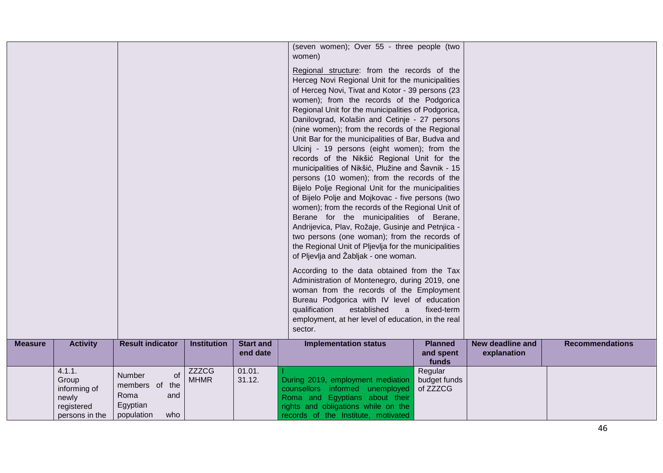|                |                                                                          |                                                                                          |                             |                              | (seven women); Over 55 - three people (two<br>women)<br>Regional structure: from the records of the<br>Herceg Novi Regional Unit for the municipalities<br>of Herceg Novi, Tivat and Kotor - 39 persons (23<br>women); from the records of the Podgorica<br>Regional Unit for the municipalities of Podgorica,<br>Danilovgrad, Kolašin and Cetinje - 27 persons<br>(nine women); from the records of the Regional<br>Unit Bar for the municipalities of Bar, Budva and<br>Ulcinj - 19 persons (eight women); from the<br>records of the Nikšić Regional Unit for the<br>municipalities of Nikšić, Plužine and Šavnik - 15<br>persons (10 women); from the records of the<br>Bijelo Polje Regional Unit for the municipalities<br>of Bijelo Polje and Mojkovac - five persons (two<br>women); from the records of the Regional Unit of<br>Berane for the municipalities of Berane,<br>Andrijevica, Plav, Rožaje, Gusinje and Petnjica -<br>two persons (one woman); from the records of<br>the Regional Unit of Pljevlja for the municipalities<br>of Pljevlja and Žabljak - one woman.<br>According to the data obtained from the Tax<br>Administration of Montenegro, during 2019, one<br>woman from the records of the Employment<br>Bureau Podgorica with IV level of education<br>qualification<br>established<br>$\mathbf{a}$<br>employment, at her level of education, in the real<br>sector. | fixed-term                           |                                        |                        |
|----------------|--------------------------------------------------------------------------|------------------------------------------------------------------------------------------|-----------------------------|------------------------------|-----------------------------------------------------------------------------------------------------------------------------------------------------------------------------------------------------------------------------------------------------------------------------------------------------------------------------------------------------------------------------------------------------------------------------------------------------------------------------------------------------------------------------------------------------------------------------------------------------------------------------------------------------------------------------------------------------------------------------------------------------------------------------------------------------------------------------------------------------------------------------------------------------------------------------------------------------------------------------------------------------------------------------------------------------------------------------------------------------------------------------------------------------------------------------------------------------------------------------------------------------------------------------------------------------------------------------------------------------------------------------------------------------|--------------------------------------|----------------------------------------|------------------------|
| <b>Measure</b> | <b>Activity</b>                                                          | <b>Result indicator</b>                                                                  | <b>Institution</b>          | <b>Start and</b><br>end date | <b>Implementation status</b>                                                                                                                                                                                                                                                                                                                                                                                                                                                                                                                                                                                                                                                                                                                                                                                                                                                                                                                                                                                                                                                                                                                                                                                                                                                                                                                                                                        | <b>Planned</b><br>and spent<br>funds | <b>New deadline and</b><br>explanation | <b>Recommendations</b> |
|                | 4.1.1.<br>Group<br>informing of<br>newly<br>registered<br>persons in the | of<br><b>Number</b><br>members of<br>the<br>Roma<br>and<br>Egyptian<br>population<br>who | <b>ZZZCG</b><br><b>MHMR</b> | 01.01.<br>31.12.             | During 2019, employment mediation<br>counsellors informed unemployed<br>Roma and Egyptians about their<br>rights and obligations while on the<br>records of the Institute, motivated                                                                                                                                                                                                                                                                                                                                                                                                                                                                                                                                                                                                                                                                                                                                                                                                                                                                                                                                                                                                                                                                                                                                                                                                                | Regular<br>budget funds<br>of ZZZCG  |                                        |                        |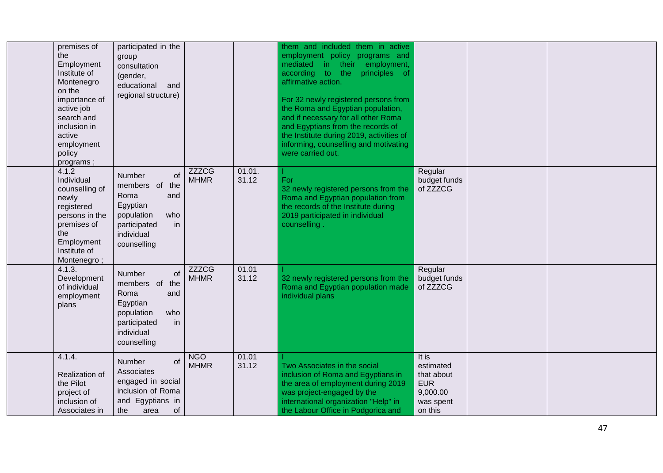| premises of<br>the<br>Employment<br>Institute of<br>Montenegro<br>on the<br>importance of<br>active job<br>search and<br>inclusion in<br>active<br>employment<br>policy<br>programs; | participated in the<br>group<br>consultation<br>(gender,<br>educational<br>and<br>regional structure)                                       |                             |                 | them and included them in active<br>employment policy programs and<br>mediated in their<br>employment,<br>according to the<br>principles of<br>affirmative action.<br>For 32 newly registered persons from<br>the Roma and Egyptian population,<br>and if necessary for all other Roma<br>and Egyptians from the records of<br>the Institute during 2019, activities of<br>informing, counselling and motivating<br>were carried out. |                                                                                    |  |
|--------------------------------------------------------------------------------------------------------------------------------------------------------------------------------------|---------------------------------------------------------------------------------------------------------------------------------------------|-----------------------------|-----------------|---------------------------------------------------------------------------------------------------------------------------------------------------------------------------------------------------------------------------------------------------------------------------------------------------------------------------------------------------------------------------------------------------------------------------------------|------------------------------------------------------------------------------------|--|
| 4.1.2<br>Individual<br>counselling of<br>newly<br>registered<br>persons in the<br>premises of<br>the<br>Employment<br>Institute of<br>Montenegro;                                    | Number<br>of<br>members of<br>the<br>Roma<br>and<br>Egyptian<br>population<br>who<br>participated<br>in<br>individual<br>counselling        | <b>ZZZCG</b><br><b>MHMR</b> | 01.01.<br>31.12 | For<br>32 newly registered persons from the<br>Roma and Egyptian population from<br>the records of the Institute during<br>2019 participated in individual<br>counselling.                                                                                                                                                                                                                                                            | Regular<br>budget funds<br>of ZZZCG                                                |  |
| 4.1.3.<br>Development<br>of individual<br>employment<br>plans                                                                                                                        | <b>Number</b><br>οf<br>members of<br>the<br>Roma<br>and<br>Egyptian<br>population<br>who<br>participated<br>in<br>individual<br>counselling | <b>ZZZCG</b><br><b>MHMR</b> | 01.01<br>31.12  | 32 newly registered persons from the<br>Roma and Egyptian population made<br>individual plans                                                                                                                                                                                                                                                                                                                                         | Regular<br>budget funds<br>of ZZZCG                                                |  |
| 4.1.4.<br>Realization of<br>the Pilot<br>project of<br>inclusion of<br>Associates in                                                                                                 | <b>Number</b><br>of<br>Associates<br>engaged in social<br>inclusion of Roma<br>and Egyptians in<br>the<br>οf<br>area                        | <b>NGO</b><br><b>MHMR</b>   | 01.01<br>31.12  | Two Associates in the social<br>inclusion of Roma and Egyptians in<br>the area of employment during 2019<br>was project-engaged by the<br>international organization "Help" in<br>the Labour Office in Podgorica and                                                                                                                                                                                                                  | It is<br>estimated<br>that about<br><b>EUR</b><br>9,000.00<br>was spent<br>on this |  |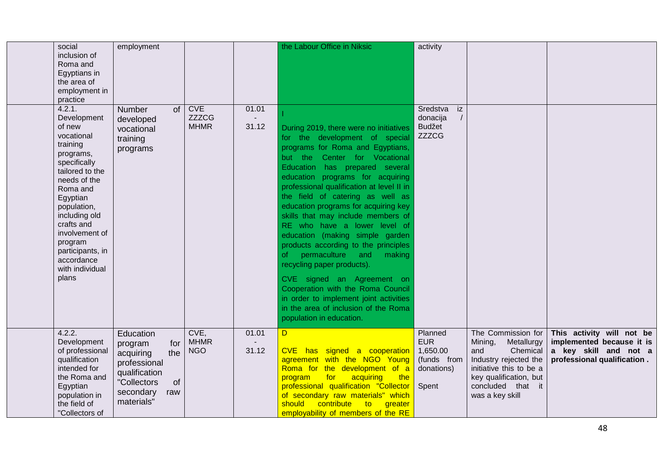| social<br>inclusion of<br>Roma and<br>Egyptians in<br>the area of<br>employment in<br>practice                                                                                                                                                                                             | employment                                                                                                                              |                                           |                | the Labour Office in Niksic                                                                                                                                                                                                                                                                                                                                                                                                                                                                                                                                                                                                                                                                                                                                 | activity                                                                |                                                                                                                                                                                      |                                                                                                                |
|--------------------------------------------------------------------------------------------------------------------------------------------------------------------------------------------------------------------------------------------------------------------------------------------|-----------------------------------------------------------------------------------------------------------------------------------------|-------------------------------------------|----------------|-------------------------------------------------------------------------------------------------------------------------------------------------------------------------------------------------------------------------------------------------------------------------------------------------------------------------------------------------------------------------------------------------------------------------------------------------------------------------------------------------------------------------------------------------------------------------------------------------------------------------------------------------------------------------------------------------------------------------------------------------------------|-------------------------------------------------------------------------|--------------------------------------------------------------------------------------------------------------------------------------------------------------------------------------|----------------------------------------------------------------------------------------------------------------|
| 4.2.1.<br>Development<br>of new<br>vocational<br>training<br>programs,<br>specifically<br>tailored to the<br>needs of the<br>Roma and<br>Egyptian<br>population,<br>including old<br>crafts and<br>involvement of<br>program<br>participants, in<br>accordance<br>with individual<br>plans | <b>Number</b><br>$\circ$ f<br>developed<br>vocational<br>training<br>programs                                                           | <b>CVE</b><br><b>ZZZCG</b><br><b>MHMR</b> | 01.01<br>31.12 | During 2019, there were no initiatives<br>for the development of special<br>programs for Roma and Egyptians,<br>but the Center for Vocational<br>Education has prepared several<br>education programs for acquiring<br>professional qualification at level II in<br>the field of catering as well as<br>education programs for acquiring key<br>skills that may include members of<br>RE who have a lower level of<br>education (making simple garden<br>products according to the principles<br>permaculture and<br>making<br><sub>of</sub><br>recycling paper products).<br>CVE signed an Agreement on<br>Cooperation with the Roma Council<br>in order to implement joint activities<br>in the area of inclusion of the Roma<br>population in education. | Sredstva<br>iz<br>donacija<br><b>Budžet</b><br><b>ZZZCG</b>             |                                                                                                                                                                                      |                                                                                                                |
| 4.2.2.<br>Development<br>of professional<br>qualification<br>intended for<br>the Roma and<br>Egyptian<br>population in<br>the field of<br>"Collectors of                                                                                                                                   | Education<br>for<br>program<br>the<br>acquiring<br>professional<br>qualification<br>"Collectors<br>of<br>secondary<br>raw<br>materials" | CVE,<br><b>MHMR</b><br><b>NGO</b>         | 01.01<br>31.12 | D<br>CVE has signed a cooperation<br>agreement with the NGO Young<br>Roma for the development of a<br>for<br>acquiring<br>the<br>program<br>professional qualification "Collector<br>of secondary raw materials" which<br>should<br>contribute<br>to<br>greater<br>employability of members of the RE                                                                                                                                                                                                                                                                                                                                                                                                                                                       | Planned<br><b>EUR</b><br>1,650.00<br>(funds from<br>donations)<br>Spent | The Commission for<br>Mining,<br>Metallurgy<br>Chemical<br>and<br>Industry rejected the<br>initiative this to be a<br>key qualification, but<br>concluded that it<br>was a key skill | This activity will not be<br>implemented because it is<br>a key skill and not a<br>professional qualification. |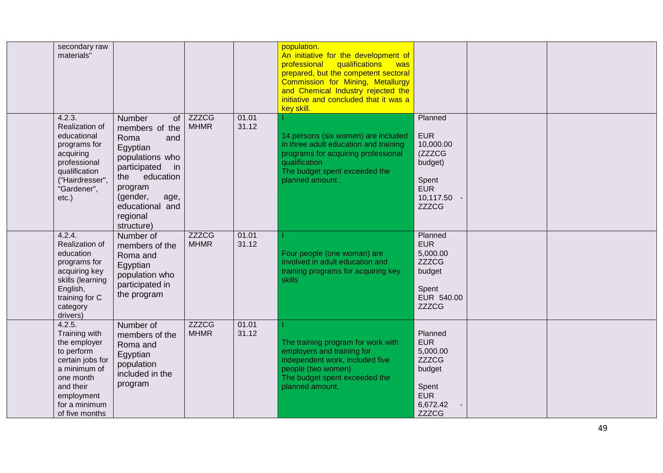| secondary raw<br>materials"                                                                                                                                          |                                                                                                                                                                                                           |                             |                | population.<br>An initiative for the development of<br>professional qualifications<br><b>Was</b><br>prepared, but the competent sectoral<br>Commission for Mining, Metallurgy<br>and Chemical Industry rejected the<br>initiative and concluded that it was a<br>key skill. |                                                                                                                |  |
|----------------------------------------------------------------------------------------------------------------------------------------------------------------------|-----------------------------------------------------------------------------------------------------------------------------------------------------------------------------------------------------------|-----------------------------|----------------|-----------------------------------------------------------------------------------------------------------------------------------------------------------------------------------------------------------------------------------------------------------------------------|----------------------------------------------------------------------------------------------------------------|--|
| 4.2.3.<br>Realization of<br>educational<br>programs for<br>acquiring<br>professional<br>qualification<br>("Hairdresser",<br>"Gardener",<br>$etc.$ )                  | <b>Number</b><br>of<br>members of the<br>Roma<br>and<br>Egyptian<br>populations who<br>participated<br>in<br>education<br>the<br>program<br>(gender,<br>age,<br>educational and<br>regional<br>structure) | <b>ZZZCG</b><br><b>MHMR</b> | 01.01<br>31.12 | 14 persons (six women) are included<br>in three adult education and training<br>programs for acquiring professional<br>qualification<br>The budget spent exceeded the<br>planned amount.                                                                                    | Planned<br><b>EUR</b><br>10,000.00<br>(ZZZCG<br>budget)<br>Spent<br><b>EUR</b><br>10,117.50 -<br><b>ZZZCG</b>  |  |
| 4.2.4.<br>Realization of<br>education<br>programs for<br>acquiring key<br>skills (learning<br>English,<br>training for C<br>category<br>drivers)                     | Number of<br>members of the<br>Roma and<br>Egyptian<br>population who<br>participated in<br>the program                                                                                                   | <b>ZZZCG</b><br><b>MHMR</b> | 01.01<br>31.12 | Four people (one woman) are<br>involved in adult education and<br>training programs for acquiring key<br>skills                                                                                                                                                             | Planned<br><b>EUR</b><br>5,000.00<br><b>ZZZCG</b><br>budget<br>Spent<br>EUR 540.00<br><b>ZZZCG</b>             |  |
| 4.2.5.<br>Training with<br>the employer<br>to perform<br>certain jobs for<br>a minimum of<br>one month<br>and their<br>employment<br>for a minimum<br>of five months | Number of<br>members of the<br>Roma and<br>Egyptian<br>population<br>included in the<br>program                                                                                                           | <b>ZZZCG</b><br><b>MHMR</b> | 01.01<br>31.12 | The training program for work with<br>employers and training for<br>independent work, included five<br>people (two women)<br>The budget spent exceeded the<br>planned amount.                                                                                               | Planned<br><b>EUR</b><br>5,000.00<br><b>ZZZCG</b><br>budget<br>Spent<br><b>EUR</b><br>6,672.42<br><b>ZZZCG</b> |  |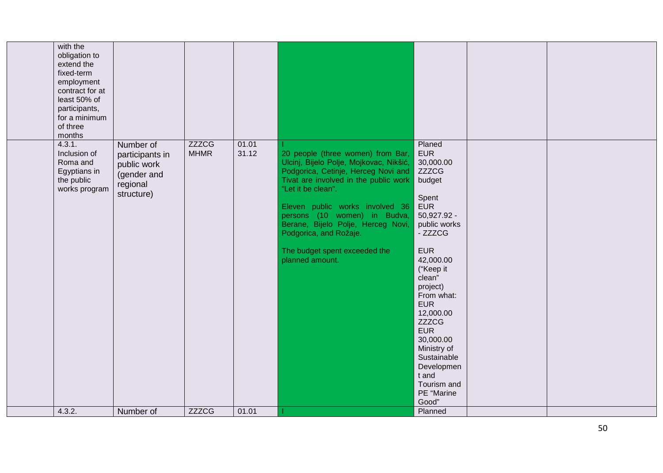| with the<br>obligation to<br>extend the<br>fixed-term<br>employment<br>contract for at<br>least 50% of<br>participants,<br>for a minimum<br>of three<br>months |                                                                                      |                             |                |                                                                                                                                                                                                                                                                                                                                                                           |                                                                                                                                                                                                                                                                                                                                                                           |  |
|----------------------------------------------------------------------------------------------------------------------------------------------------------------|--------------------------------------------------------------------------------------|-----------------------------|----------------|---------------------------------------------------------------------------------------------------------------------------------------------------------------------------------------------------------------------------------------------------------------------------------------------------------------------------------------------------------------------------|---------------------------------------------------------------------------------------------------------------------------------------------------------------------------------------------------------------------------------------------------------------------------------------------------------------------------------------------------------------------------|--|
| 4.3.1.<br>Inclusion of<br>Roma and<br>Egyptians in<br>the public<br>works program                                                                              | Number of<br>participants in<br>public work<br>(gender and<br>regional<br>structure) | <b>ZZZCG</b><br><b>MHMR</b> | 01.01<br>31.12 | 20 people (three women) from Bar,<br>Ulcinj, Bijelo Polje, Mojkovac, Nikšić,<br>Podgorica, Cetinje, Herceg Novi and<br>Tivat are involved in the public work<br>"Let it be clean".<br>Eleven public works involved 36<br>persons (10 women) in Budva,<br>Berane, Bijelo Polje, Herceg Novi,<br>Podgorica, and Rožaje.<br>The budget spent exceeded the<br>planned amount. | Planed<br><b>EUR</b><br>30,000.00<br><b>ZZZCG</b><br>budget<br>Spent<br><b>EUR</b><br>50,927.92 -<br>public works<br>- ZZZCG<br><b>EUR</b><br>42,000.00<br>("Keep it<br>clean"<br>project)<br>From what:<br><b>EUR</b><br>12,000.00<br><b>ZZZCG</b><br><b>EUR</b><br>30,000.00<br>Ministry of<br>Sustainable<br>Developmen<br>t and<br>Tourism and<br>PE "Marine<br>Good" |  |
| 4.3.2.                                                                                                                                                         | Number of                                                                            | <b>ZZZCG</b>                | 01.01          |                                                                                                                                                                                                                                                                                                                                                                           | Planned                                                                                                                                                                                                                                                                                                                                                                   |  |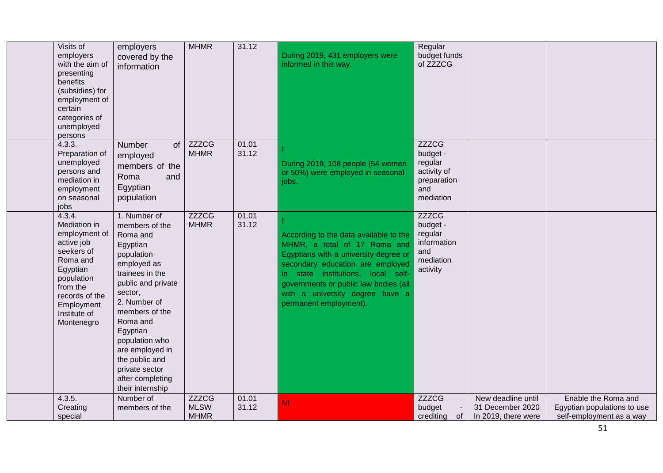| Visits of<br>employers<br>with the aim of<br>presenting<br>benefits<br>(subsidies) for<br>employment of<br>certain<br>categories of<br>unemployed<br>persons                        | employers<br>covered by the<br>information                                                                                                                                                                                                                                                                         | <b>MHMR</b>                                | 31.12          | During 2019, 431 employers were<br>informed in this way.                                                                                                                                                                                                                                        | Regular<br>budget funds<br>of ZZZCG                                                   |                                                               |                                                                                |
|-------------------------------------------------------------------------------------------------------------------------------------------------------------------------------------|--------------------------------------------------------------------------------------------------------------------------------------------------------------------------------------------------------------------------------------------------------------------------------------------------------------------|--------------------------------------------|----------------|-------------------------------------------------------------------------------------------------------------------------------------------------------------------------------------------------------------------------------------------------------------------------------------------------|---------------------------------------------------------------------------------------|---------------------------------------------------------------|--------------------------------------------------------------------------------|
| 4.3.3.<br>Preparation of<br>unemployed<br>persons and<br>mediation in<br>employment<br>on seasonal<br>jobs                                                                          | of<br>Number<br>employed<br>members of the<br>Roma<br>and<br>Egyptian<br>population                                                                                                                                                                                                                                | <b>ZZZCG</b><br><b>MHMR</b>                | 01.01<br>31.12 | During 2019, 108 people (54 women<br>or 50%) were employed in seasonal<br>jobs.                                                                                                                                                                                                                 | <b>ZZZCG</b><br>budget -<br>regular<br>activity of<br>preparation<br>and<br>mediation |                                                               |                                                                                |
| 4.3.4.<br>Mediation in<br>employment of<br>active job<br>seekers of<br>Roma and<br>Egyptian<br>population<br>from the<br>records of the<br>Employment<br>Institute of<br>Montenegro | 1. Number of<br>members of the<br>Roma and<br>Egyptian<br>population<br>employed as<br>trainees in the<br>public and private<br>sector,<br>2. Number of<br>members of the<br>Roma and<br>Egyptian<br>population who<br>are employed in<br>the public and<br>private sector<br>after completing<br>their internship | <b>ZZZCG</b><br><b>MHMR</b>                | 01.01<br>31.12 | According to the data available to the<br>MHMR, a total of 17 Roma and<br>Egyptians with a university degree or<br>secondary education are employed<br>in state institutions, local self-<br>governments or public law bodies (all<br>with a university degree have a<br>permanent employment). | <b>ZZZCG</b><br>budget -<br>regular<br>information<br>and<br>mediation<br>activity    |                                                               |                                                                                |
| 4.3.5.<br>Creating<br>special                                                                                                                                                       | Number of<br>members of the                                                                                                                                                                                                                                                                                        | <b>ZZZCG</b><br><b>MLSW</b><br><b>MHMR</b> | 01.01<br>31.12 | <b>NI</b>                                                                                                                                                                                                                                                                                       | <b>ZZZCG</b><br>budget<br>crediting<br>0f                                             | New deadline until<br>31 December 2020<br>In 2019, there were | Enable the Roma and<br>Egyptian populations to use<br>self-employment as a way |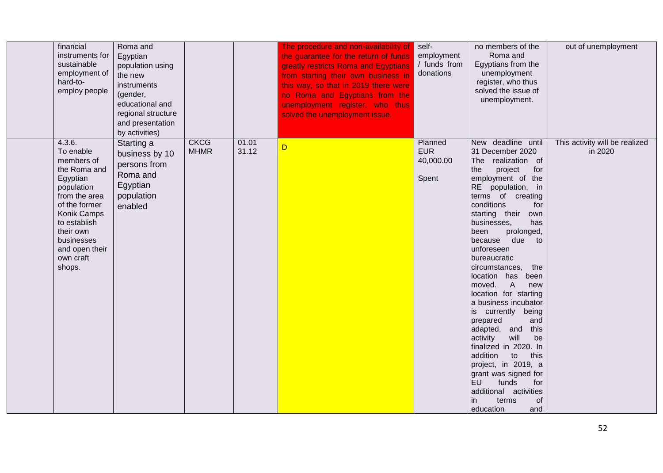| financial<br>instruments for<br>sustainable<br>employment of<br>hard-to-<br>employ people                                                                                                                        | Roma and<br>Egyptian<br>population using<br>the new<br>instruments<br>(gender,<br>educational and<br>regional structure<br>and presentation<br>by activities) |                            |                | The procedure and non-availability of<br>the guarantee for the return of funds<br>greatly restricts Roma and Egyptians<br>from starting their own business in<br>this way, so that in 2019 there were<br>no Roma and Egyptians from the<br>unemployment register, who thus<br>solved the unemployment issue. | self-<br>employment<br>/ funds from<br>donations | no members of the<br>Roma and<br>Egyptians from the<br>unemployment<br>register, who thus<br>solved the issue of<br>unemployment.                                                                                                                                                                                                                                                                                                                                                                                                                                                                                                                                                                                                | out of unemployment                       |
|------------------------------------------------------------------------------------------------------------------------------------------------------------------------------------------------------------------|---------------------------------------------------------------------------------------------------------------------------------------------------------------|----------------------------|----------------|--------------------------------------------------------------------------------------------------------------------------------------------------------------------------------------------------------------------------------------------------------------------------------------------------------------|--------------------------------------------------|----------------------------------------------------------------------------------------------------------------------------------------------------------------------------------------------------------------------------------------------------------------------------------------------------------------------------------------------------------------------------------------------------------------------------------------------------------------------------------------------------------------------------------------------------------------------------------------------------------------------------------------------------------------------------------------------------------------------------------|-------------------------------------------|
| 4.3.6.<br>To enable<br>members of<br>the Roma and<br>Egyptian<br>population<br>from the area<br>of the former<br>Konik Camps<br>to establish<br>their own<br>businesses<br>and open their<br>own craft<br>shops. | Starting a<br>business by 10<br>persons from<br>Roma and<br>Egyptian<br>population<br>enabled                                                                 | <b>CKCG</b><br><b>MHMR</b> | 01.01<br>31.12 | D                                                                                                                                                                                                                                                                                                            | Planned<br><b>EUR</b><br>40,000.00<br>Spent      | New deadline until<br>31 December 2020<br>realization of<br><b>The</b><br>the<br>project<br>for<br>employment of the<br>RE population, in<br>terms of creating<br>conditions<br>for<br>starting their<br>own<br>businesses.<br>has<br>prolonged,<br>been<br>because due to<br>unforeseen<br>bureaucratic<br>circumstances,<br>the<br>location has been<br>$\overline{A}$<br>moved.<br>new<br>location for starting<br>a business incubator<br>is currently being<br>prepared<br>and<br>adapted, and<br>this<br>will<br>be<br>activity<br>finalized in 2020. In<br>addition<br>to<br>this<br>project, in 2019, a<br>grant was signed for<br>EU<br>funds<br>for<br>additional activities<br>of<br>in.<br>terms<br>education<br>and | This activity will be realized<br>in 2020 |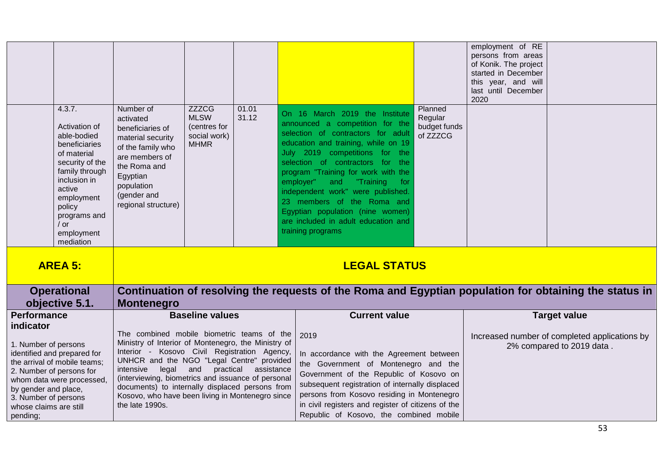| 4.3.7.<br>Activation of<br>able-bodied<br>beneficiaries<br>of material<br>security of the<br>family through<br>inclusion in<br>active<br>employment<br>policy<br>programs and                                                      | Number of<br>activated<br>beneficiaries of<br>material security<br>of the family who<br>are members of<br>the Roma and<br>Egyptian<br>population<br>(gender and<br>regional structure)                                                                                                                                                                                                               | <b>ZZZCG</b><br><b>MLSW</b><br>(centres for<br>social work)<br><b>MHMR</b> | 01.01<br>31.12 | On 16 March 2019 the Institute<br>announced a competition for the<br>selection of contractors for adult<br>education and training, while on 19<br>July 2019 competitions for the<br>selection of contractors for the<br>program "Training for work with the<br>employer"<br>"Training<br>and<br>for<br>independent work" were published.<br>23 members of the Roma and<br>Egyptian population (nine women) | Planned<br>Regular<br>budget funds<br>of ZZZCG | employment of RE<br>persons from areas<br>of Konik. The project<br>started in December<br>this year, and will<br>last until December<br>2020 |                                                                            |  |
|------------------------------------------------------------------------------------------------------------------------------------------------------------------------------------------------------------------------------------|------------------------------------------------------------------------------------------------------------------------------------------------------------------------------------------------------------------------------------------------------------------------------------------------------------------------------------------------------------------------------------------------------|----------------------------------------------------------------------------|----------------|------------------------------------------------------------------------------------------------------------------------------------------------------------------------------------------------------------------------------------------------------------------------------------------------------------------------------------------------------------------------------------------------------------|------------------------------------------------|----------------------------------------------------------------------------------------------------------------------------------------------|----------------------------------------------------------------------------|--|
| $/$ or<br>employment                                                                                                                                                                                                               |                                                                                                                                                                                                                                                                                                                                                                                                      |                                                                            |                | are included in adult education and<br>training programs                                                                                                                                                                                                                                                                                                                                                   |                                                |                                                                                                                                              |                                                                            |  |
| mediation<br><b>AREA 5:</b>                                                                                                                                                                                                        |                                                                                                                                                                                                                                                                                                                                                                                                      |                                                                            |                | <b>LEGAL STATUS</b>                                                                                                                                                                                                                                                                                                                                                                                        |                                                |                                                                                                                                              |                                                                            |  |
| <b>Operational</b><br>objective 5.1.                                                                                                                                                                                               | Continuation of resolving the requests of the Roma and Egyptian population for obtaining the status in<br><b>Montenegro</b>                                                                                                                                                                                                                                                                          |                                                                            |                |                                                                                                                                                                                                                                                                                                                                                                                                            |                                                |                                                                                                                                              |                                                                            |  |
| Performance<br>indicator                                                                                                                                                                                                           | <b>Baseline values</b>                                                                                                                                                                                                                                                                                                                                                                               |                                                                            |                | <b>Current value</b>                                                                                                                                                                                                                                                                                                                                                                                       |                                                |                                                                                                                                              | <b>Target value</b>                                                        |  |
| 1. Number of persons<br>identified and prepared for<br>the arrival of mobile teams;<br>2. Number of persons for<br>whom data were processed,<br>by gender and place,<br>3. Number of persons<br>whose claims are still<br>pending; | The combined mobile biometric teams of the<br>Ministry of Interior of Montenegro, the Ministry of<br>Interior - Kosovo Civil Registration Agency,<br>UNHCR and the NGO "Legal Centre" provided<br>intensive<br>legal<br>(interviewing, biometrics and issuance of personal<br>documents) to internally displaced persons from<br>Kosovo, who have been living in Montenegro since<br>the late 1990s. | and<br>practical                                                           | assistance     | 2019<br>In accordance with the Agreement between<br>the Government of Montenegro and the<br>Government of the Republic of Kosovo on<br>subsequent registration of internally displaced<br>persons from Kosovo residing in Montenegro<br>in civil registers and register of citizens of the<br>Republic of Kosovo, the combined mobile                                                                      |                                                |                                                                                                                                              | Increased number of completed applications by<br>2% compared to 2019 data. |  |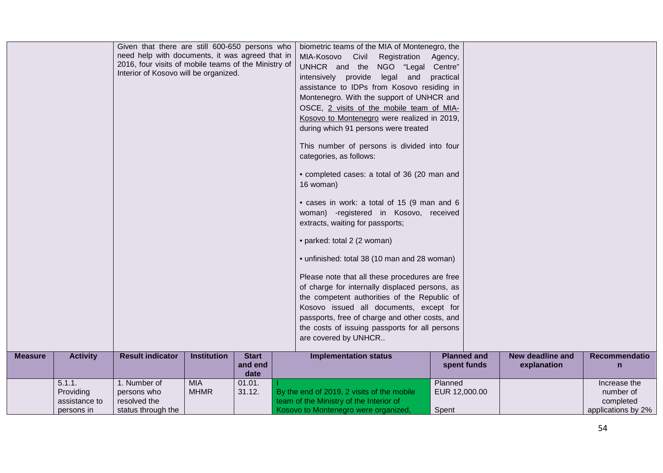|                |                                                    | Given that there are still 600-650 persons who<br>need help with documents, it was agreed that in<br>2016, four visits of mobile teams of the Ministry of<br>Interior of Kosovo will be organized. |                           |                  | biometric teams of the MIA of Montenegro, the<br>MIA-Kosovo Civil<br>Registration<br>UNHCR and the NGO "Legal<br>intensively provide legal and<br>assistance to IDPs from Kosovo residing in<br>Montenegro. With the support of UNHCR and<br>OSCE, 2 visits of the mobile team of MIA-<br>Kosovo to Montenegro were realized in 2019,<br>during which 91 persons were treated<br>This number of persons is divided into four<br>categories, as follows:<br>• completed cases: a total of 36 (20 man and<br>16 woman)<br>• cases in work: a total of 15 (9 man and 6<br>woman) -registered in Kosovo, received<br>extracts, waiting for passports;<br>• parked: total 2 (2 woman)<br>• unfinished: total 38 (10 man and 28 woman)<br>Please note that all these procedures are free<br>of charge for internally displaced persons, as<br>the competent authorities of the Republic of<br>Kosovo issued all documents, except for<br>passports, free of charge and other costs, and<br>the costs of issuing passports for all persons<br>are covered by UNHCR | Agency,<br>Centre"<br>practical   |                    |                  |                                                              |
|----------------|----------------------------------------------------|----------------------------------------------------------------------------------------------------------------------------------------------------------------------------------------------------|---------------------------|------------------|-------------------------------------------------------------------------------------------------------------------------------------------------------------------------------------------------------------------------------------------------------------------------------------------------------------------------------------------------------------------------------------------------------------------------------------------------------------------------------------------------------------------------------------------------------------------------------------------------------------------------------------------------------------------------------------------------------------------------------------------------------------------------------------------------------------------------------------------------------------------------------------------------------------------------------------------------------------------------------------------------------------------------------------------------------------|-----------------------------------|--------------------|------------------|--------------------------------------------------------------|
| <b>Measure</b> | <b>Activity</b>                                    | <b>Result indicator</b>                                                                                                                                                                            | <b>Institution</b>        | <b>Start</b>     | <b>Implementation status</b>                                                                                                                                                                                                                                                                                                                                                                                                                                                                                                                                                                                                                                                                                                                                                                                                                                                                                                                                                                                                                                |                                   | <b>Planned and</b> | New deadline and | Recommendatio                                                |
|                |                                                    |                                                                                                                                                                                                    |                           | and end<br>date  |                                                                                                                                                                                                                                                                                                                                                                                                                                                                                                                                                                                                                                                                                                                                                                                                                                                                                                                                                                                                                                                             |                                   | spent funds        | explanation      | $\mathsf{n}$                                                 |
|                | 5.1.1.<br>Providing<br>assistance to<br>persons in | 1. Number of<br>persons who<br>resolved the<br>status through the                                                                                                                                  | <b>MIA</b><br><b>MHMR</b> | 01.01.<br>31.12. | By the end of 2019, 2 visits of the mobile<br>team of the Ministry of the Interior of<br>Kosovo to Montenegro were organized,                                                                                                                                                                                                                                                                                                                                                                                                                                                                                                                                                                                                                                                                                                                                                                                                                                                                                                                               | Planned<br>EUR 12,000.00<br>Spent |                    |                  | Increase the<br>number of<br>completed<br>applications by 2% |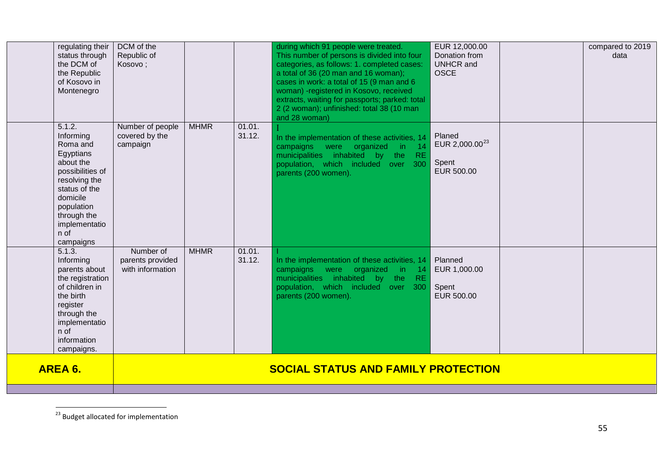<span id="page-54-0"></span>

| regulating their<br>status through<br>the DCM of<br>the Republic<br>of Kosovo in<br>Montenegro                                                                                                 | DCM of the<br>Republic of<br>Kosovo;              |             |                  | during which 91 people were treated.<br>This number of persons is divided into four<br>categories, as follows: 1. completed cases:<br>a total of 36 (20 man and 16 woman);<br>cases in work: a total of 15 (9 man and 6<br>woman) -registered in Kosovo, received<br>extracts, waiting for passports; parked: total<br>2 (2 woman); unfinished: total 38 (10 man<br>and 28 woman) | EUR 12,000.00<br>Donation from<br><b>UNHCR</b> and<br><b>OSCE</b> | compared to 2019<br>data |
|------------------------------------------------------------------------------------------------------------------------------------------------------------------------------------------------|---------------------------------------------------|-------------|------------------|-----------------------------------------------------------------------------------------------------------------------------------------------------------------------------------------------------------------------------------------------------------------------------------------------------------------------------------------------------------------------------------|-------------------------------------------------------------------|--------------------------|
| 5.1.2.<br>Informing<br>Roma and<br>Egyptians<br>about the<br>possibilities of<br>resolving the<br>status of the<br>domicile<br>population<br>through the<br>implementatio<br>n of<br>campaigns | Number of people<br>covered by the<br>campaign    | <b>MHMR</b> | 01.01.<br>31.12. | In the implementation of these activities, 14<br>campaigns were organized in<br>$-14$<br>municipalities inhabited by the<br>RE.<br>population, which included over<br>300<br>parents (200 women).                                                                                                                                                                                 | Planed<br>EUR 2,000.00 <sup>23</sup><br>Spent<br>EUR 500.00       |                          |
| 5.1.3.<br>Informing<br>parents about<br>the registration<br>of children in<br>the birth<br>register<br>through the<br>implementatio<br>n of<br>information<br>campaigns.                       | Number of<br>parents provided<br>with information | <b>MHMR</b> | 01.01.<br>31.12. | In the implementation of these activities, 14<br>organized in<br>campaigns<br>were<br>14<br>municipalities inhabited by the<br><b>RE</b><br>population, which included over<br>300<br>parents (200 women).                                                                                                                                                                        | Planned<br>EUR 1,000.00<br>Spent<br>EUR 500.00                    |                          |
| AREA 6.                                                                                                                                                                                        |                                                   |             |                  | <b>SOCIAL STATUS AND FAMILY PROTECTION</b>                                                                                                                                                                                                                                                                                                                                        |                                                                   |                          |

 $^{23}$  Budget allocated for implementation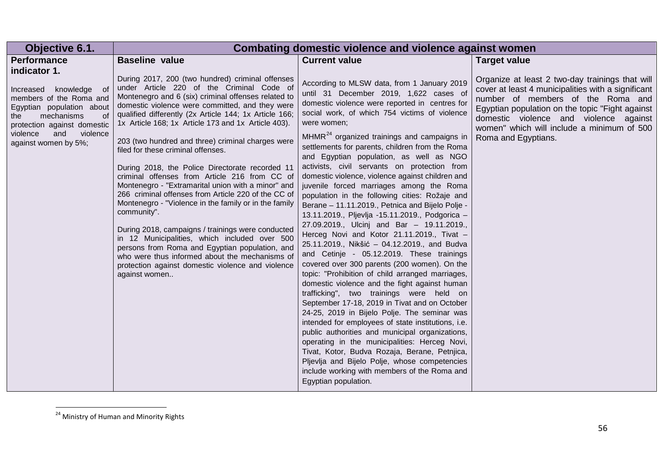<span id="page-55-0"></span>

| Objective 6.1.                                                                                                                                                                                                     |                                                                                                                                                                                                                                                                                                                                                                                                                                                                                                                                                                                                                                                                                                                                                                                                                                                                                                                                                                                              | Combating domestic violence and violence against women                                                                                                                                                                                                                                                                                                                                                                                                                                                                                                                                                                                                                                                                                                                                                                                                                                                                                                                                                                                                                                                                                                                                                                                                                                                                                                                                                                                                                                         |                                                                                                                                                                                                                                                                                                              |
|--------------------------------------------------------------------------------------------------------------------------------------------------------------------------------------------------------------------|----------------------------------------------------------------------------------------------------------------------------------------------------------------------------------------------------------------------------------------------------------------------------------------------------------------------------------------------------------------------------------------------------------------------------------------------------------------------------------------------------------------------------------------------------------------------------------------------------------------------------------------------------------------------------------------------------------------------------------------------------------------------------------------------------------------------------------------------------------------------------------------------------------------------------------------------------------------------------------------------|------------------------------------------------------------------------------------------------------------------------------------------------------------------------------------------------------------------------------------------------------------------------------------------------------------------------------------------------------------------------------------------------------------------------------------------------------------------------------------------------------------------------------------------------------------------------------------------------------------------------------------------------------------------------------------------------------------------------------------------------------------------------------------------------------------------------------------------------------------------------------------------------------------------------------------------------------------------------------------------------------------------------------------------------------------------------------------------------------------------------------------------------------------------------------------------------------------------------------------------------------------------------------------------------------------------------------------------------------------------------------------------------------------------------------------------------------------------------------------------------|--------------------------------------------------------------------------------------------------------------------------------------------------------------------------------------------------------------------------------------------------------------------------------------------------------------|
| Performance                                                                                                                                                                                                        | <b>Baseline value</b>                                                                                                                                                                                                                                                                                                                                                                                                                                                                                                                                                                                                                                                                                                                                                                                                                                                                                                                                                                        | <b>Current value</b>                                                                                                                                                                                                                                                                                                                                                                                                                                                                                                                                                                                                                                                                                                                                                                                                                                                                                                                                                                                                                                                                                                                                                                                                                                                                                                                                                                                                                                                                           | <b>Target value</b>                                                                                                                                                                                                                                                                                          |
| indicator 1.<br>Increased knowledge<br>of<br>members of the Roma and<br>Egyptian population about<br>mechanisms<br>of<br>the<br>protection against domestic<br>violence<br>and<br>violence<br>against women by 5%; | During 2017, 200 (two hundred) criminal offenses<br>under Article 220 of the Criminal Code of<br>Montenegro and 6 (six) criminal offenses related to<br>domestic violence were committed, and they were<br>qualified differently (2x Article 144; 1x Article 166;<br>1x Article 168; 1x Article 173 and 1x Article 403).<br>203 (two hundred and three) criminal charges were<br>filed for these criminal offenses.<br>During 2018, the Police Directorate recorded 11<br>criminal offenses from Article 216 from CC of<br>Montenegro - "Extramarital union with a minor" and<br>266 criminal offenses from Article 220 of the CC of<br>Montenegro - "Violence in the family or in the family<br>community".<br>During 2018, campaigns / trainings were conducted<br>in 12 Municipalities, which included over 500<br>persons from Roma and Egyptian population, and<br>who were thus informed about the mechanisms of<br>protection against domestic violence and violence<br>against women | According to MLSW data, from 1 January 2019<br>until 31 December 2019, 1,622 cases of<br>domestic violence were reported in centres for<br>social work, of which 754 victims of violence<br>were women;<br>$MHMR24$ organized trainings and campaigns in<br>settlements for parents, children from the Roma<br>and Egyptian population, as well as NGO<br>activists, civil servants on protection from<br>domestic violence, violence against children and<br>juvenile forced marriages among the Roma<br>population in the following cities: Rožaje and<br>Berane - 11.11.2019., Petnica and Bijelo Polje -<br>13.11.2019., Pljevlja -15.11.2019., Podgorica -<br>27.09.2019., Ulcinj and Bar - 19.11.2019.,<br>Herceg Novi and Kotor 21.11.2019., Tivat -<br>25.11.2019., Nikšić - 04.12.2019., and Budva<br>and Cetinje - 05.12.2019. These trainings<br>covered over 300 parents (200 women). On the<br>topic: "Prohibition of child arranged marriages,<br>domestic violence and the fight against human<br>trafficking", two trainings were held on<br>September 17-18, 2019 in Tivat and on October<br>24-25, 2019 in Bijelo Polje. The seminar was<br>intended for employees of state institutions, i.e.<br>public authorities and municipal organizations,<br>operating in the municipalities: Herceg Novi,<br>Tivat, Kotor, Budva Rozaja, Berane, Petnjica,<br>Pljevlja and Bijelo Polje, whose competencies<br>include working with members of the Roma and<br>Egyptian population. | Organize at least 2 two-day trainings that will<br>cover at least 4 municipalities with a significant<br>number of members of the Roma and<br>Egyptian population on the topic "Fight against<br>domestic violence and violence against<br>women" which will include a minimum of 500<br>Roma and Egyptians. |

<sup>&</sup>lt;sup>24</sup> Ministry of Human and Minority Rights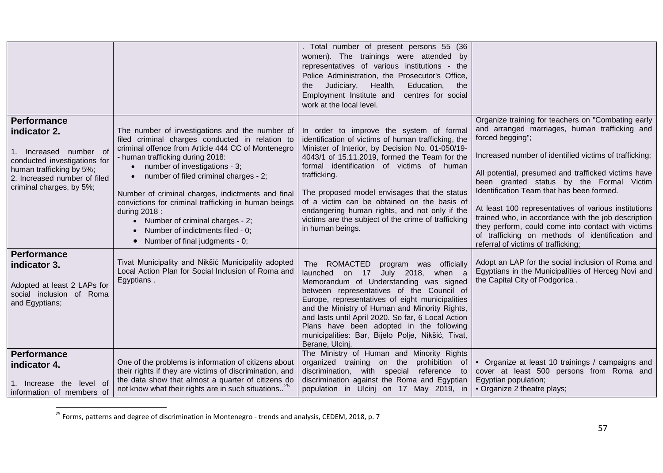<span id="page-56-0"></span>

|                                                                                                                                                                                   |                                                                                                                                                                                                                                                                                                                                                                                                                                                                                                                                 | . Total number of present persons 55 (36<br>women). The trainings were attended by<br>representatives of various institutions - the<br>Police Administration, the Prosecutor's Office,<br>Judiciary,<br>Health,<br>Education,<br>the<br>the<br>Employment Institute and<br>centres for social<br>work at the local level.                                                                                                                                                                    |                                                                                                                                                                                                                                                                                                                                                                                                                                                                                                                                                                                                  |
|-----------------------------------------------------------------------------------------------------------------------------------------------------------------------------------|---------------------------------------------------------------------------------------------------------------------------------------------------------------------------------------------------------------------------------------------------------------------------------------------------------------------------------------------------------------------------------------------------------------------------------------------------------------------------------------------------------------------------------|----------------------------------------------------------------------------------------------------------------------------------------------------------------------------------------------------------------------------------------------------------------------------------------------------------------------------------------------------------------------------------------------------------------------------------------------------------------------------------------------|--------------------------------------------------------------------------------------------------------------------------------------------------------------------------------------------------------------------------------------------------------------------------------------------------------------------------------------------------------------------------------------------------------------------------------------------------------------------------------------------------------------------------------------------------------------------------------------------------|
| <b>Performance</b><br>indicator 2.<br>Increased number of<br>conducted investigations for<br>human trafficking by 5%;<br>2. Increased number of filed<br>criminal charges, by 5%; | The number of investigations and the number of<br>filed criminal charges conducted in relation to<br>criminal offence from Article 444 CC of Montenegro<br>- human trafficking during 2018:<br>• number of investigations - 3;<br>number of filed criminal charges - 2;<br>$\bullet$<br>Number of criminal charges, indictments and final<br>convictions for criminal trafficking in human beings<br>during 2018 :<br>• Number of criminal charges - 2;<br>Number of indictments filed - 0;<br>• Number of final judgments - 0; | In order to improve the system of formal<br>identification of victims of human trafficking, the<br>Minister of Interior, by Decision No. 01-050/19-<br>4043/1 of 15.11.2019, formed the Team for the<br>formal identification of victims of human<br>trafficking.<br>The proposed model envisages that the status<br>of a victim can be obtained on the basis of<br>endangering human rights, and not only if the<br>victims are the subject of the crime of trafficking<br>in human beings. | Organize training for teachers on "Combating early<br>and arranged marriages, human trafficking and<br>forced begging";<br>Increased number of identified victims of trafficking;<br>All potential, presumed and trafficked victims have<br>been granted status by the Formal Victim<br>Identification Team that has been formed.<br>At least 100 representatives of various institutions<br>trained who, in accordance with the job description<br>they perform, could come into contact with victims<br>of trafficking on methods of identification and<br>referral of victims of trafficking; |
| <b>Performance</b><br>indicator 3.<br>Adopted at least 2 LAPs for<br>social inclusion of Roma<br>and Egyptians;                                                                   | Tivat Municipality and Nikšić Municipality adopted<br>Local Action Plan for Social Inclusion of Roma and<br>Egyptians.                                                                                                                                                                                                                                                                                                                                                                                                          | The ROMACTED<br>program was officially<br>launched on 17 July 2018, when a<br>Memorandum of Understanding was signed<br>between representatives of the Council of<br>Europe, representatives of eight municipalities<br>and the Ministry of Human and Minority Rights,<br>and lasts until April 2020. So far, 6 Local Action<br>Plans have been adopted in the following<br>municipalities: Bar, Bijelo Polje, Nikšić, Tivat,<br>Berane, Ulcinj.                                             | Adopt an LAP for the social inclusion of Roma and<br>Egyptians in the Municipalities of Herceg Novi and<br>the Capital City of Podgorica.                                                                                                                                                                                                                                                                                                                                                                                                                                                        |
| <b>Performance</b><br>indicator 4.<br>1. Increase the level of<br>information of members of                                                                                       | One of the problems is information of citizens about<br>their rights if they are victims of discrimination, and<br>the data show that almost a quarter of citizens do<br>not know what their rights are in such situations <sup>25</sup>                                                                                                                                                                                                                                                                                        | The Ministry of Human and Minority Rights<br>organized training on the<br>prohibition of<br>discrimination, with special reference<br>to<br>discrimination against the Roma and Egyptian<br>population in Ulcinj on 17 May 2019, in                                                                                                                                                                                                                                                          | • Organize at least 10 trainings / campaigns and<br>cover at least 500 persons from Roma and<br>Egyptian population;<br>• Organize 2 theatre plays;                                                                                                                                                                                                                                                                                                                                                                                                                                              |

 $^{25}$  Forms, patterns and degree of discrimination in Montenegro - trends and analysis, CEDEM, 2018, p. 7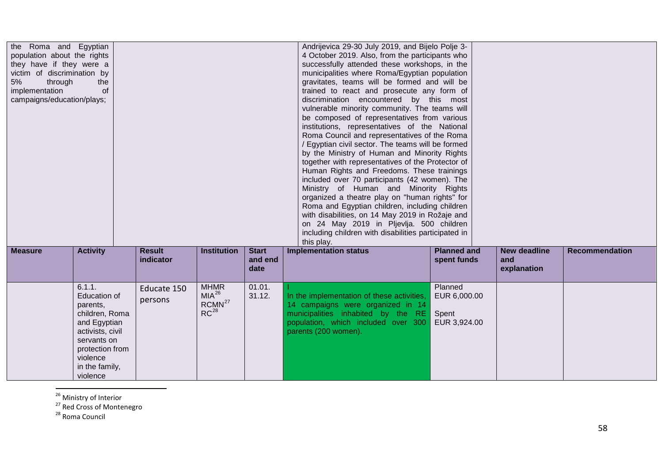<span id="page-57-2"></span><span id="page-57-1"></span><span id="page-57-0"></span>

| the Roma and Egyptian<br>population about the rights<br>they have if they were a<br>victim of discrimination by<br>5%<br>through<br>implementation<br>campaigns/education/plays; | the<br>of                                                                                                                                                                   |                            |                                                              |                                 | Andrijevica 29-30 July 2019, and Bijelo Polje 3-<br>4 October 2019. Also, from the participants who<br>successfully attended these workshops, in the<br>municipalities where Roma/Egyptian population<br>gravitates, teams will be formed and will be<br>trained to react and prosecute any form of<br>discrimination encountered by this most<br>vulnerable minority community. The teams will<br>be composed of representatives from various<br>institutions, representatives of the National<br>Roma Council and representatives of the Roma<br>/ Egyptian civil sector. The teams will be formed<br>by the Ministry of Human and Minority Rights<br>together with representatives of the Protector of<br>Human Rights and Freedoms. These trainings<br>included over 70 participants (42 women). The<br>Ministry of Human and Minority Rights<br>organized a theatre play on "human rights" for<br>Roma and Egyptian children, including children<br>with disabilities, on 14 May 2019 in Rožaje and<br>on 24 May 2019 in Pljevlja. 500 children<br>including children with disabilities participated in<br>this play. |                                                  |                                           |                       |
|----------------------------------------------------------------------------------------------------------------------------------------------------------------------------------|-----------------------------------------------------------------------------------------------------------------------------------------------------------------------------|----------------------------|--------------------------------------------------------------|---------------------------------|----------------------------------------------------------------------------------------------------------------------------------------------------------------------------------------------------------------------------------------------------------------------------------------------------------------------------------------------------------------------------------------------------------------------------------------------------------------------------------------------------------------------------------------------------------------------------------------------------------------------------------------------------------------------------------------------------------------------------------------------------------------------------------------------------------------------------------------------------------------------------------------------------------------------------------------------------------------------------------------------------------------------------------------------------------------------------------------------------------------------------|--------------------------------------------------|-------------------------------------------|-----------------------|
| <b>Measure</b>                                                                                                                                                                   | <b>Activity</b>                                                                                                                                                             | <b>Result</b><br>indicator | <b>Institution</b>                                           | <b>Start</b><br>and end<br>date | <b>Implementation status</b>                                                                                                                                                                                                                                                                                                                                                                                                                                                                                                                                                                                                                                                                                                                                                                                                                                                                                                                                                                                                                                                                                               | <b>Planned and</b><br>spent funds                | <b>New deadline</b><br>and<br>explanation | <b>Recommendation</b> |
|                                                                                                                                                                                  | 6.1.1.<br><b>Education of</b><br>parents,<br>children, Roma<br>and Egyptian<br>activists, civil<br>servants on<br>protection from<br>violence<br>in the family,<br>violence | Educate 150<br>persons     | <b>MHMR</b><br>$MIA^{26}$<br>RCMN <sup>27</sup><br>$RC^{28}$ | 01.01.<br>31.12.                | In the implementation of these activities,<br>14 campaigns were organized in 14<br>municipalities inhabited by the RE<br>population, which included over 300<br>parents (200 women).                                                                                                                                                                                                                                                                                                                                                                                                                                                                                                                                                                                                                                                                                                                                                                                                                                                                                                                                       | Planned<br>EUR 6,000.00<br>Spent<br>EUR 3,924.00 |                                           |                       |

 $\frac{26}{27}$  Ministry of Interior<br> $\frac{27}{28}$  Red Cross of Montenegro 28 Roma Council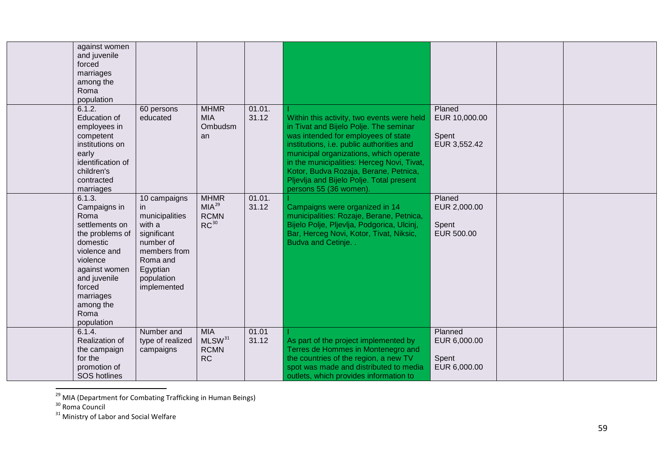<span id="page-58-2"></span><span id="page-58-1"></span><span id="page-58-0"></span>

| against women<br>and juvenile<br>forced<br>marriages<br>among the<br>Roma<br>population                                                                                                                |                                                                                                                                                  |                                                              |                 |                                                                                                                                                                                                                                                                                                                                                                                 |                                                  |  |
|--------------------------------------------------------------------------------------------------------------------------------------------------------------------------------------------------------|--------------------------------------------------------------------------------------------------------------------------------------------------|--------------------------------------------------------------|-----------------|---------------------------------------------------------------------------------------------------------------------------------------------------------------------------------------------------------------------------------------------------------------------------------------------------------------------------------------------------------------------------------|--------------------------------------------------|--|
| 6.1.2.<br><b>Education of</b><br>employees in<br>competent<br>institutions on<br>early<br>identification of<br>children's<br>contracted<br>marriages                                                   | 60 persons<br>educated                                                                                                                           | <b>MHMR</b><br><b>MIA</b><br>Ombudsm<br>an                   | 01.01.<br>31.12 | Within this activity, two events were held<br>in Tivat and Bijelo Polje. The seminar<br>was intended for employees of state<br>institutions, i.e. public authorities and<br>municipal organizations, which operate<br>in the municipalities: Herceg Novi, Tivat,<br>Kotor, Budva Rozaja, Berane, Petnica,<br>Pljevlja and Bijelo Polje. Total present<br>persons 55 (36 women). | Planed<br>EUR 10,000.00<br>Spent<br>EUR 3,552.42 |  |
| 6.1.3.<br>Campaigns in<br>Roma<br>settlements on<br>the problems of<br>domestic<br>violence and<br>violence<br>against women<br>and juvenile<br>forced<br>marriages<br>among the<br>Roma<br>population | 10 campaigns<br>in.<br>municipalities<br>with a<br>significant<br>number of<br>members from<br>Roma and<br>Egyptian<br>population<br>implemented | <b>MHMR</b><br>MIA <sup>29</sup><br><b>RCMN</b><br>$RC^{30}$ | 01.01.<br>31.12 | Campaigns were organized in 14<br>municipalities: Rozaje, Berane, Petnica,<br>Bijelo Polje, Pljevlja, Podgorica, Ulcinj,<br>Bar, Herceg Novi, Kotor, Tivat, Niksic,<br>Budva and Cetinje. .                                                                                                                                                                                     | Planed<br>EUR 2,000.00<br>Spent<br>EUR 500.00    |  |
| 6.1.4.<br>Realization of<br>the campaign<br>for the<br>promotion of<br><b>SOS</b> hotlines                                                                                                             | Number and<br>type of realized<br>campaigns                                                                                                      | <b>MIA</b><br>MLSW <sup>31</sup><br><b>RCMN</b><br><b>RC</b> | 01.01<br>31.12  | As part of the project implemented by<br>Terres de Hommes in Montenegro and<br>the countries of the region, a new TV<br>spot was made and distributed to media<br>outlets, which provides information to                                                                                                                                                                        | Planned<br>EUR 6,000.00<br>Spent<br>EUR 6,000.00 |  |

<sup>&</sup>lt;sup>29</sup> MIA (Department for Combating Trafficking in Human Beings)<br><sup>30</sup> Roma Council<br><sup>31</sup> Ministry of Labor and Social Welfare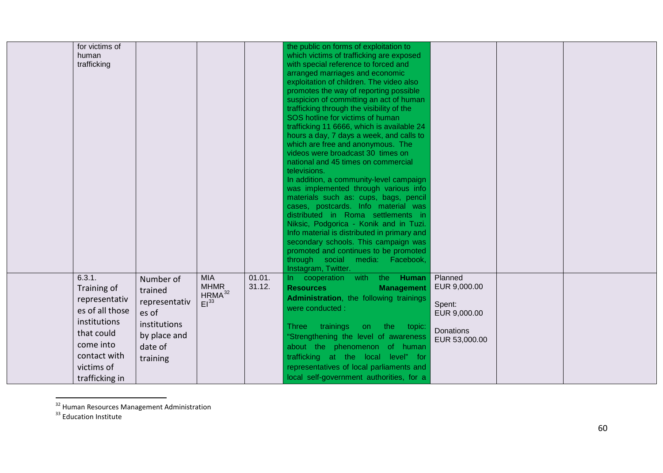<span id="page-59-1"></span><span id="page-59-0"></span>

| for victims of<br>human<br>trafficking                                                                                                               |                                                                                                       |                                                       |                  | the public on forms of exploitation to<br>which victims of trafficking are exposed<br>with special reference to forced and<br>arranged marriages and economic<br>exploitation of children. The video also<br>promotes the way of reporting possible<br>suspicion of committing an act of human<br>trafficking through the visibility of the<br>SOS hotline for victims of human<br>trafficking 11 6666, which is available 24<br>hours a day, 7 days a week, and calls to<br>which are free and anonymous. The<br>videos were broadcast 30 times on<br>national and 45 times on commercial<br>televisions.<br>In addition, a community-level campaign<br>was implemented through various info<br>materials such as: cups, bags, pencil<br>cases, postcards. Info material was<br>distributed in Roma settlements in<br>Niksic, Podgorica - Konik and in Tuzi.<br>Info material is distributed in primary and<br>secondary schools. This campaign was<br>promoted and continues to be promoted<br>through social media: Facebook, |                                                                                 |  |  |
|------------------------------------------------------------------------------------------------------------------------------------------------------|-------------------------------------------------------------------------------------------------------|-------------------------------------------------------|------------------|----------------------------------------------------------------------------------------------------------------------------------------------------------------------------------------------------------------------------------------------------------------------------------------------------------------------------------------------------------------------------------------------------------------------------------------------------------------------------------------------------------------------------------------------------------------------------------------------------------------------------------------------------------------------------------------------------------------------------------------------------------------------------------------------------------------------------------------------------------------------------------------------------------------------------------------------------------------------------------------------------------------------------------|---------------------------------------------------------------------------------|--|--|
| 6.3.1.<br>Training of<br>representativ<br>es of all those<br>institutions<br>that could<br>come into<br>contact with<br>victims of<br>trafficking in | Number of<br>trained<br>representativ<br>es of<br>institutions<br>by place and<br>date of<br>training | <b>MIA</b><br><b>MHMR</b><br>$HRMA^{32}$<br>$El^{33}$ | 01.01.<br>31.12. | Instagram, Twitter.<br>In cooperation with the Human<br><b>Resources</b><br><b>Management</b><br>Administration, the following trainings<br>were conducted :<br>trainings<br><b>Three</b><br>the<br>topic:<br>on<br>"Strengthening the level of awareness<br>about the phenomenon of human<br>trafficking at the local level" for<br>representatives of local parliaments and<br>local self-government authorities, for a                                                                                                                                                                                                                                                                                                                                                                                                                                                                                                                                                                                                        | Planned<br>EUR 9,000.00<br>Spent:<br>EUR 9,000.00<br>Donations<br>EUR 53,000.00 |  |  |

 $\frac{32}{32}$  Human Resources Management Administration  $\frac{33}{32}$  Education Institute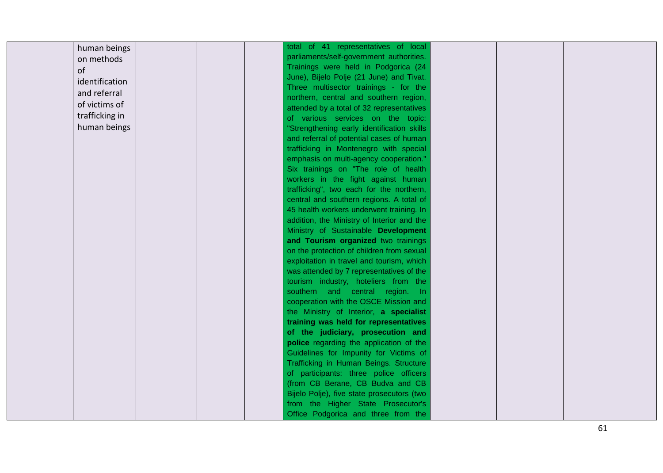| human beings   | total of 41 representatives of local       |  |
|----------------|--------------------------------------------|--|
|                | parliaments/self-government authorities.   |  |
| on methods     | Trainings were held in Podgorica (24       |  |
| of             | June), Bijelo Polje (21 June) and Tivat.   |  |
| identification | Three multisector trainings - for the      |  |
| and referral   | northern, central and southern region,     |  |
| of victims of  | attended by a total of 32 representatives  |  |
| trafficking in | of various services on the topic:          |  |
| human beings   | "Strengthening early identification skills |  |
|                | and referral of potential cases of human   |  |
|                | trafficking in Montenegro with special     |  |
|                | emphasis on multi-agency cooperation."     |  |
|                | Six trainings on "The role of health       |  |
|                | workers in the fight against human         |  |
|                | trafficking", two each for the northern,   |  |
|                | central and southern regions. A total of   |  |
|                | 45 health workers underwent training. In   |  |
|                | addition, the Ministry of Interior and the |  |
|                | Ministry of Sustainable Development        |  |
|                | and Tourism organized two trainings        |  |
|                | on the protection of children from sexual  |  |
|                | exploitation in travel and tourism, which  |  |
|                | was attended by 7 representatives of the   |  |
|                | tourism industry, hoteliers from the       |  |
|                | southern and central region. In            |  |
|                | cooperation with the OSCE Mission and      |  |
|                | the Ministry of Interior, a specialist     |  |
|                | training was held for representatives      |  |
|                | of the judiciary, prosecution and          |  |
|                | police regarding the application of the    |  |
|                | Guidelines for Impunity for Victims of     |  |
|                | Trafficking in Human Beings. Structure     |  |
|                | of participants: three police officers     |  |
|                | (from CB Berane, CB Budva and CB           |  |
|                | Bijelo Polje), five state prosecutors (two |  |
|                | from the Higher State Prosecutor's         |  |
|                | Office Podgorica and three from the        |  |

61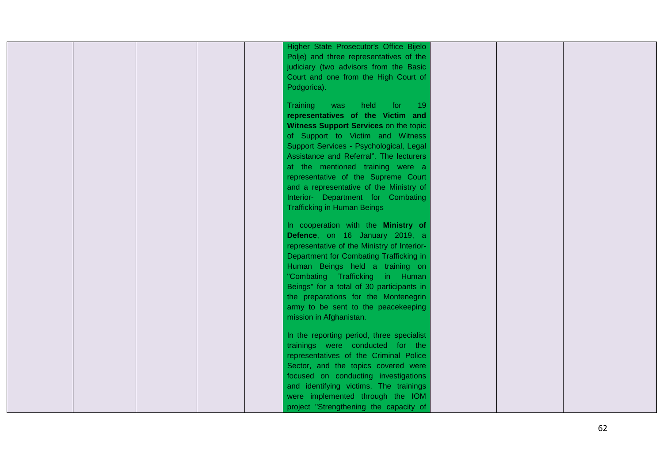| Higher State Prosecutor's Office Bijelo<br>Polje) and three representatives of the<br>judiciary (two advisors from the Basic<br>Court and one from the High Court of<br>Podgorica).                                                                                                                                                                                                                                                               |
|---------------------------------------------------------------------------------------------------------------------------------------------------------------------------------------------------------------------------------------------------------------------------------------------------------------------------------------------------------------------------------------------------------------------------------------------------|
| Training<br>was<br>held<br>for<br>$-19$<br>representatives of the Victim and<br>Witness Support Services on the topic<br>of Support to Victim and Witness<br>Support Services - Psychological, Legal<br>Assistance and Referral". The lecturers<br>at the mentioned training were a<br>representative of the Supreme Court<br>and a representative of the Ministry of<br>Interior- Department for Combating<br><b>Trafficking in Human Beings</b> |
| In cooperation with the Ministry of<br>Defence, on 16 January 2019, a<br>representative of the Ministry of Interior-<br>Department for Combating Trafficking in<br>Human Beings held a training on<br>"Combating Trafficking in Human<br>Beings" for a total of 30 participants in<br>the preparations for the Montenegrin<br>army to be sent to the peacekeeping<br>mission in Afghanistan.                                                      |
| In the reporting period, three specialist<br>trainings were conducted for the<br>representatives of the Criminal Police<br>Sector, and the topics covered were<br>focused on conducting investigations<br>and identifying victims. The trainings<br>were implemented through the IOM<br>project "Strengthening the capacity of                                                                                                                    |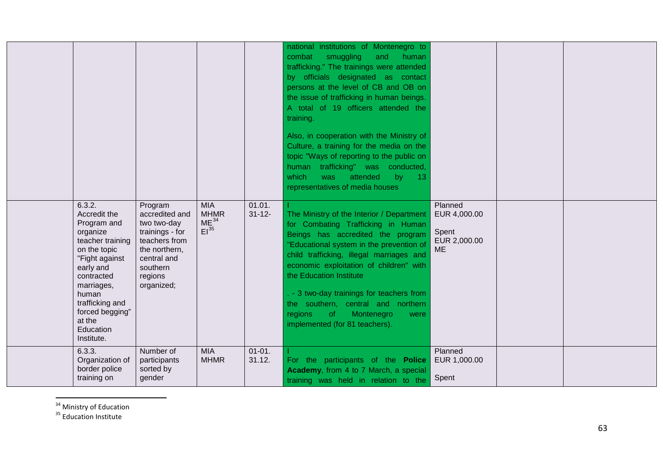<span id="page-62-1"></span><span id="page-62-0"></span>

|                                                                                                                                                                                                                                      |                                                                                                                                                   |                                                            |                       | national institutions of Montenegro to<br>combat<br>smuggling<br>and<br>human<br>trafficking." The trainings were attended<br>by officials designated as contact<br>persons at the level of CB and OB on<br>the issue of trafficking in human beings.<br>A total of 19 officers attended the<br>training.<br>Also, in cooperation with the Ministry of<br>Culture, a training for the media on the<br>topic "Ways of reporting to the public on<br>human trafficking" was conducted,<br>which<br>attended<br>by<br>13 <sub>1</sub><br>was<br>representatives of media houses |                                                               |  |
|--------------------------------------------------------------------------------------------------------------------------------------------------------------------------------------------------------------------------------------|---------------------------------------------------------------------------------------------------------------------------------------------------|------------------------------------------------------------|-----------------------|------------------------------------------------------------------------------------------------------------------------------------------------------------------------------------------------------------------------------------------------------------------------------------------------------------------------------------------------------------------------------------------------------------------------------------------------------------------------------------------------------------------------------------------------------------------------------|---------------------------------------------------------------|--|
| 6.3.2.<br>Accredit the<br>Program and<br>organize<br>teacher training<br>on the topic<br>"Fight against<br>early and<br>contracted<br>marriages,<br>human<br>trafficking and<br>forced begging"<br>at the<br>Education<br>Institute. | Program<br>accredited and<br>two two-day<br>trainings - for<br>teachers from<br>the northern,<br>central and<br>southern<br>regions<br>organized; | <b>MIA</b><br><b>MHMR</b><br>ME <sup>34</sup><br>$EI^{35}$ | 01.01.<br>$31 - 12 -$ | The Ministry of the Interior / Department<br>for Combating Trafficking in Human<br>Beings has accredited the program<br>"Educational system in the prevention of<br>child trafficking, illegal marriages and<br>economic exploitation of children" with<br>the Education Institute<br>. - 3 two-day trainings for teachers from<br>the southern, central and northern<br>regions<br><b>of</b><br>Montenegro<br>were<br>implemented (for 81 teachers).                                                                                                                        | Planned<br>EUR 4,000.00<br>Spent<br>EUR 2,000.00<br><b>ME</b> |  |
| 6.3.3.<br>Organization of<br>border police<br>training on                                                                                                                                                                            | Number of<br>participants<br>sorted by<br>gender                                                                                                  | <b>MIA</b><br><b>MHMR</b>                                  | $01 - 01$ .<br>31.12. | For the participants of the Police<br>Academy, from 4 to 7 March, a special<br>training was held in relation to the                                                                                                                                                                                                                                                                                                                                                                                                                                                          | Planned<br>EUR 1,000.00<br>Spent                              |  |

 $34$  Ministry of Education<br> $35$  Education Institute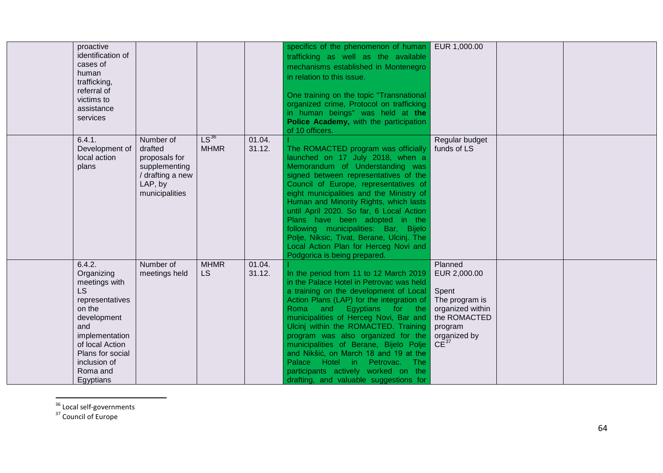<span id="page-63-1"></span><span id="page-63-0"></span>

| proactive<br>identification of<br>cases of<br>human<br>trafficking,<br>referral of<br>victims to<br>assistance<br>services                                                                       |                                                                                                         |                          |                  | specifics of the phenomenon of human<br>trafficking as well as the available<br>mechanisms established in Montenegro<br>in relation to this issue.<br>One training on the topic "Transnational<br>organized crime, Protocol on trafficking<br>in human beings" was held at the<br>Police Academy, with the participation<br>of 10 officers.                                                                                                                                                                                                | EUR 1,000.00                                                                                                                   |  |
|--------------------------------------------------------------------------------------------------------------------------------------------------------------------------------------------------|---------------------------------------------------------------------------------------------------------|--------------------------|------------------|--------------------------------------------------------------------------------------------------------------------------------------------------------------------------------------------------------------------------------------------------------------------------------------------------------------------------------------------------------------------------------------------------------------------------------------------------------------------------------------------------------------------------------------------|--------------------------------------------------------------------------------------------------------------------------------|--|
| 6.4.1.<br>Development of<br>local action<br>plans                                                                                                                                                | Number of<br>drafted<br>proposals for<br>supplementing<br>/ drafting a new<br>LAP, by<br>municipalities | $LS^{36}$<br><b>MHMR</b> | 01.04.<br>31.12. | The ROMACTED program was officially<br>launched on 17 July 2018, when a<br>Memorandum of Understanding was<br>signed between representatives of the<br>Council of Europe, representatives of<br>eight municipalities and the Ministry of<br>Human and Minority Rights, which lasts<br>until April 2020. So far, 6 Local Action<br>Plans have been adopted in the<br>following municipalities: Bar, Bijelo<br>Polje, Niksic, Tivat, Berane, Ulcinj. The<br>Local Action Plan for Herceg Novi and<br>Podgorica is being prepared.            | Regular budget<br>funds of LS                                                                                                  |  |
| 6.4.2.<br>Organizing<br>meetings with<br>LS<br>representatives<br>on the<br>development<br>and<br>implementation<br>of local Action<br>Plans for social<br>inclusion of<br>Roma and<br>Egyptians | Number of<br>meetings held                                                                              | <b>MHMR</b><br><b>LS</b> | 01.04.<br>31.12. | In the period from 11 to 12 March 2019<br>in the Palace Hotel in Petrovac was held<br>a training on the development of Local<br>Action Plans (LAP) for the integration of<br>and<br>Egyptians for the<br>Roma<br>municipalities of Herceg Novi, Bar and<br>Ulcinj within the ROMACTED. Training<br>program was also organized for the<br>municipalities of Berane, Bijelo Polje<br>and Nikšić, on March 18 and 19 at the<br>Palace Hotel in Petrovac. The<br>participants actively worked on the<br>drafting, and valuable suggestions for | Planned<br>EUR 2,000.00<br>Spent<br>The program is<br>organized within<br>the ROMACTED<br>program<br>organized by<br>$CE^{37}$ |  |

 $\frac{36}{37}$  Local self-governments<br> $\frac{37}{37}$  Council of Europe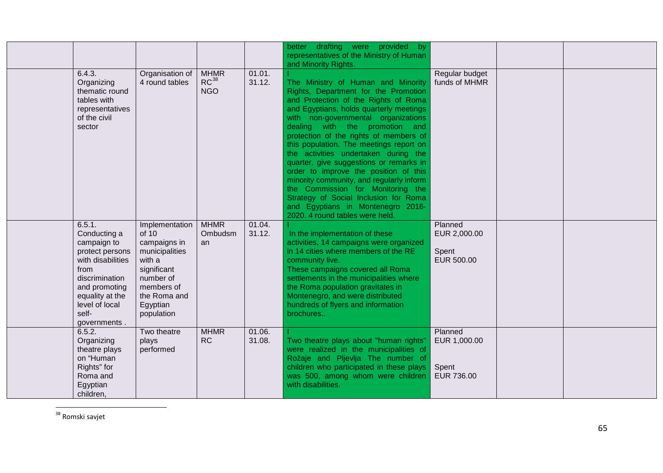<span id="page-64-0"></span>

|                                                                                                                                                                                        |                                                                                                                                                         |                                        |                  | better drafting were provided by<br>representatives of the Ministry of Human                                                                                                                                                                                                                                                                                                                                                                                                                                                                                                                                                                                                      |                                                |  |
|----------------------------------------------------------------------------------------------------------------------------------------------------------------------------------------|---------------------------------------------------------------------------------------------------------------------------------------------------------|----------------------------------------|------------------|-----------------------------------------------------------------------------------------------------------------------------------------------------------------------------------------------------------------------------------------------------------------------------------------------------------------------------------------------------------------------------------------------------------------------------------------------------------------------------------------------------------------------------------------------------------------------------------------------------------------------------------------------------------------------------------|------------------------------------------------|--|
| 6.4.3.<br>Organizing<br>thematic round<br>tables with<br>representatives<br>of the civil<br>sector                                                                                     | Organisation of<br>4 round tables                                                                                                                       | <b>MHMR</b><br>$RC^{38}$<br><b>NGO</b> | 01.01.<br>31.12. | and Minority Rights.<br>The Ministry of Human and Minority<br>Rights, Department for the Promotion<br>and Protection of the Rights of Roma<br>and Egyptians, holds quarterly meetings<br>with non-governmental organizations<br>dealing with the promotion and<br>protection of the rights of members of<br>this population. The meetings report on<br>the activities undertaken during the<br>quarter, give suggestions or remarks in<br>order to improve the position of this<br>minority community, and regularly inform<br>the Commission for Monitoring the<br>Strategy of Social Inclusion for Roma<br>and Egyptians in Montenegro 2016-<br>2020. 4 round tables were held. | Regular budget<br>funds of MHMR                |  |
| 6.5.1.<br>Conducting a<br>campaign to<br>protect persons<br>with disabilities<br>from<br>discrimination<br>and promoting<br>equality at the<br>level of local<br>self-<br>governments. | Implementation<br>of 10<br>campaigns in<br>municipalities<br>with a<br>significant<br>number of<br>members of<br>the Roma and<br>Egyptian<br>population | <b>MHMR</b><br>Ombudsm<br>an           | 01.04.<br>31.12. | In the implementation of these<br>activities, 14 campaigns were organized<br>in 14 cities where members of the RE<br>community live.<br>These campaigns covered all Roma<br>settlements in the municipalities where<br>the Roma population gravitates in<br>Montenegro, and were distributed<br>hundreds of flyers and information<br>brochures                                                                                                                                                                                                                                                                                                                                   | Planned<br>EUR 2,000.00<br>Spent<br>EUR 500.00 |  |
| 6.5.2.<br>Organizing<br>theatre plays<br>on "Human<br>Rights" for<br>Roma and<br>Egyptian<br>children,                                                                                 | Two theatre<br>plays<br>performed                                                                                                                       | <b>MHMR</b><br><b>RC</b>               | 01.06.<br>31.08. | Two theatre plays about "human rights"<br>were realized in the municipalities of<br>Rožaje and Pljevlja The number of<br>children who participated in these plays<br>was 500, among whom were children<br>with disabilities.                                                                                                                                                                                                                                                                                                                                                                                                                                                      | Planned<br>EUR 1,000.00<br>Spent<br>EUR 736.00 |  |

 <sup>38</sup> Romski savjet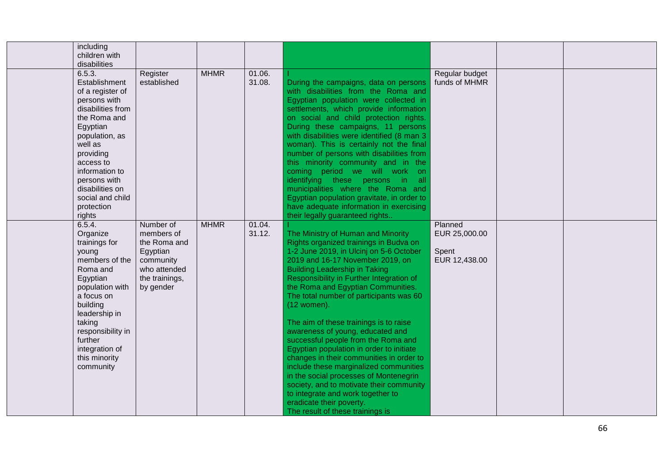| including<br>children with<br>disabilities                                                                                                                                                                                                                           |                                                                                                                 |             |                  |                                                                                                                                                                                                                                                                                                                                                                                                                                                                                                                                                                                                                                                                                                                                                                                                   |                                                    |  |
|----------------------------------------------------------------------------------------------------------------------------------------------------------------------------------------------------------------------------------------------------------------------|-----------------------------------------------------------------------------------------------------------------|-------------|------------------|---------------------------------------------------------------------------------------------------------------------------------------------------------------------------------------------------------------------------------------------------------------------------------------------------------------------------------------------------------------------------------------------------------------------------------------------------------------------------------------------------------------------------------------------------------------------------------------------------------------------------------------------------------------------------------------------------------------------------------------------------------------------------------------------------|----------------------------------------------------|--|
| 6.5.3.<br>Establishment<br>of a register of<br>persons with<br>disabilities from<br>the Roma and<br>Egyptian<br>population, as<br>well as<br>providing<br>access to<br>information to<br>persons with<br>disabilities on<br>social and child<br>protection<br>rights | Register<br>established                                                                                         | <b>MHMR</b> | 01.06.<br>31.08. | During the campaigns, data on persons<br>with disabilities from the Roma and<br>Egyptian population were collected in<br>settlements, which provide information<br>on social and child protection rights.<br>During these campaigns, 11 persons<br>with disabilities were identified (8 man 3<br>woman). This is certainly not the final<br>number of persons with disabilities from<br>this minority community and in the<br>coming period we will work<br>on<br>identifying these persons in<br>all all<br>municipalities where the Roma and<br>Egyptian population gravitate, in order to<br>have adequate information in exercising<br>their legally guaranteed rights                                                                                                                        | Regular budget<br>funds of MHMR                    |  |
| 6.5.4.<br>Organize<br>trainings for<br>young<br>members of the<br>Roma and<br>Egyptian<br>population with<br>a focus on<br>building<br>leadership in<br>taking<br>responsibility in<br>further<br>integration of<br>this minority<br>community                       | Number of<br>members of<br>the Roma and<br>Egyptian<br>community<br>who attended<br>the trainings,<br>by gender | <b>MHMR</b> | 01.04.<br>31.12. | The Ministry of Human and Minority<br>Rights organized trainings in Budva on<br>1-2 June 2019, in Ulcinj on 5-6 October<br>2019 and 16-17 November 2019, on<br><b>Building Leadership in Taking</b><br>Responsibility in Further Integration of<br>the Roma and Egyptian Communities.<br>The total number of participants was 60<br>(12 women).<br>The aim of these trainings is to raise<br>awareness of young, educated and<br>successful people from the Roma and<br>Egyptian population in order to initiate<br>changes in their communities in order to<br>include these marginalized communities<br>in the social processes of Montenegrin<br>society, and to motivate their community<br>to integrate and work together to<br>eradicate their poverty.<br>The result of these trainings is | Planned<br>EUR 25,000.00<br>Spent<br>EUR 12,438.00 |  |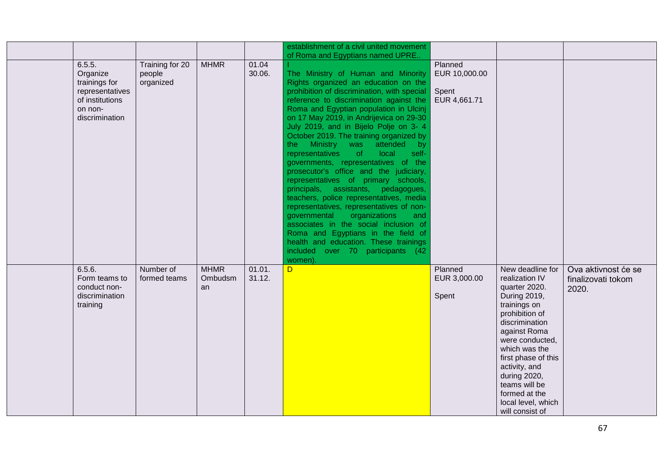|                                                                                                        |                                        |                              |                  | establishment of a civil united movement<br>of Roma and Egyptians named UPRE                                                                                                                                                                                                                                                                                                                                                                                                                                                                                                                                                                                                                                                                                                                                                                                                                            |                                                   |                                                                                                                                                                                                                                                                                                                |                                                    |
|--------------------------------------------------------------------------------------------------------|----------------------------------------|------------------------------|------------------|---------------------------------------------------------------------------------------------------------------------------------------------------------------------------------------------------------------------------------------------------------------------------------------------------------------------------------------------------------------------------------------------------------------------------------------------------------------------------------------------------------------------------------------------------------------------------------------------------------------------------------------------------------------------------------------------------------------------------------------------------------------------------------------------------------------------------------------------------------------------------------------------------------|---------------------------------------------------|----------------------------------------------------------------------------------------------------------------------------------------------------------------------------------------------------------------------------------------------------------------------------------------------------------------|----------------------------------------------------|
| 6.5.5.<br>Organize<br>trainings for<br>representatives<br>of institutions<br>on non-<br>discrimination | Training for 20<br>people<br>organized | <b>MHMR</b>                  | 01.04<br>30.06.  | The Ministry of Human and Minority<br>Rights organized an education on the<br>prohibition of discrimination, with special<br>reference to discrimination against the<br>Roma and Egyptian population in Ulcinj<br>on 17 May 2019, in Andrijevica on 29-30<br>July 2019, and in Bijelo Polje on 3- 4<br>October 2019. The training organized by<br>Ministry was<br>attended by<br>the :<br>representatives<br>local<br>of<br>self-<br>governments, representatives of the<br>prosecutor's office and the judiciary,<br>representatives of primary schools,<br>principals, assistants, pedagogues,<br>teachers, police representatives, media<br>representatives, representatives of non-<br>organizations<br>governmental<br>and<br>associates in the social inclusion of<br>Roma and Egyptians in the field of<br>health and education. These trainings<br>included over 70 participants (42<br>women). | Planned<br>EUR 10,000.00<br>Spent<br>EUR 4,661.71 |                                                                                                                                                                                                                                                                                                                |                                                    |
| 6.5.6.<br>Form teams to<br>conduct non-<br>discrimination<br>training                                  | Number of<br>formed teams              | <b>MHMR</b><br>Ombudsm<br>an | 01.01.<br>31.12. | D                                                                                                                                                                                                                                                                                                                                                                                                                                                                                                                                                                                                                                                                                                                                                                                                                                                                                                       | Planned<br>EUR 3,000.00<br>Spent                  | New deadline for<br>realization IV<br>quarter 2020.<br>During 2019,<br>trainings on<br>prohibition of<br>discrimination<br>against Roma<br>were conducted,<br>which was the<br>first phase of this<br>activity, and<br>during 2020,<br>teams will be<br>formed at the<br>local level, which<br>will consist of | Ova aktivnost će se<br>finalizovati tokom<br>2020. |

 $\blacksquare$ 

-L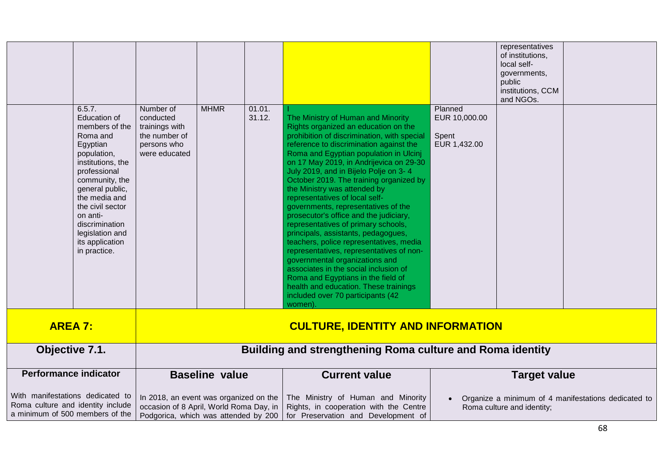|                              | 6.5.7.<br><b>Education of</b><br>members of the<br>Roma and<br>Egyptian<br>population,<br>institutions, the                                                                | Number of<br>conducted<br>trainings with<br>the number of<br>persons who<br>were educated | <b>MHMR</b>    | 01.01.<br>31.12. | The Ministry of Human and Minority<br>Rights organized an education on the<br>prohibition of discrimination, with special<br>reference to discrimination against the<br>Roma and Egyptian population in Ulcinj<br>on 17 May 2019, in Andrijevica on 29-30                                                                                                                                                                                                                                                                                                                                                         | Planned<br>EUR 10,000.00<br>Spent<br>EUR 1,432.00 | representatives<br>of institutions,<br>local self-<br>governments,<br>public<br>institutions, CCM<br>and NGOs. |  |
|------------------------------|----------------------------------------------------------------------------------------------------------------------------------------------------------------------------|-------------------------------------------------------------------------------------------|----------------|------------------|-------------------------------------------------------------------------------------------------------------------------------------------------------------------------------------------------------------------------------------------------------------------------------------------------------------------------------------------------------------------------------------------------------------------------------------------------------------------------------------------------------------------------------------------------------------------------------------------------------------------|---------------------------------------------------|----------------------------------------------------------------------------------------------------------------|--|
|                              | professional<br>community, the<br>general public,<br>the media and<br>the civil sector<br>on anti-<br>discrimination<br>legislation and<br>its application<br>in practice. |                                                                                           |                |                  | July 2019, and in Bijelo Polje on 3-4<br>October 2019. The training organized by<br>the Ministry was attended by<br>representatives of local self-<br>governments, representatives of the<br>prosecutor's office and the judiciary,<br>representatives of primary schools,<br>principals, assistants, pedagogues,<br>teachers, police representatives, media<br>representatives, representatives of non-<br>governmental organizations and<br>associates in the social inclusion of<br>Roma and Egyptians in the field of<br>health and education. These trainings<br>included over 70 participants (42<br>women) |                                                   |                                                                                                                |  |
| <b>AREA 7:</b>               |                                                                                                                                                                            |                                                                                           |                |                  | <b>CULTURE, IDENTITY AND INFORMATION</b>                                                                                                                                                                                                                                                                                                                                                                                                                                                                                                                                                                          |                                                   |                                                                                                                |  |
| Objective 7.1.               |                                                                                                                                                                            | <b>Building and strengthening Roma culture and Roma identity</b>                          |                |                  |                                                                                                                                                                                                                                                                                                                                                                                                                                                                                                                                                                                                                   |                                                   |                                                                                                                |  |
| <b>Performance indicator</b> |                                                                                                                                                                            |                                                                                           | Baseline value |                  | Current value                                                                                                                                                                                                                                                                                                                                                                                                                                                                                                                                                                                                     |                                                   | Target value                                                                                                   |  |

| <b>Performance indicator</b> | <b>Baseline value</b> | <b>Current value</b>                                                                                                                                                                                                                                                                                                                                     | Target value                                                                      |
|------------------------------|-----------------------|----------------------------------------------------------------------------------------------------------------------------------------------------------------------------------------------------------------------------------------------------------------------------------------------------------------------------------------------------------|-----------------------------------------------------------------------------------|
|                              |                       | With manifestations dedicated to   In 2018, an event was organized on the   The Ministry of Human and Minority<br>Roma culture and identity include   occasion of 8 April, World Roma Day, in   Rights, in cooperation with the Centre  <br>a minimum of 500 members of the   Podgorica, which was attended by 200   for Preservation and Development of | Organize a minimum of 4 manifestations dedicated to<br>Roma culture and identity; |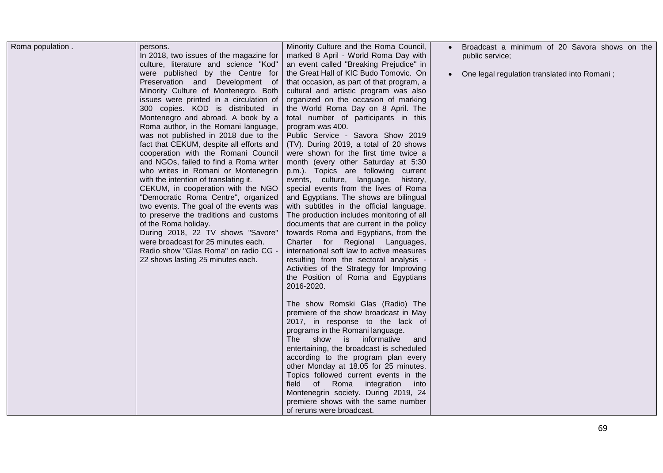|  | In 2018, two issues of the magazine for<br>culture, literature and science "Kod"<br>were published by the Centre for<br>Preservation and Development of<br>Minority Culture of Montenegro. Both<br>issues were printed in a circulation of<br>300 copies. KOD is distributed in<br>Montenegro and abroad. A book by a<br>Roma author, in the Romani language,<br>was not published in 2018 due to the<br>fact that CEKUM, despite all efforts and<br>cooperation with the Romani Council<br>and NGOs, failed to find a Roma writer<br>who writes in Romani or Montenegrin<br>with the intention of translating it.<br>CEKUM, in cooperation with the NGO<br>"Democratic Roma Centre", organized<br>two events. The goal of the events was<br>to preserve the traditions and customs<br>of the Roma holiday.<br>During 2018, 22 TV shows "Savore"<br>were broadcast for 25 minutes each.<br>Radio show "Glas Roma" on radio CG -<br>22 shows lasting 25 minutes each. | marked 8 April - World Roma Day with<br>an event called "Breaking Prejudice" in<br>the Great Hall of KIC Budo Tomovic. On<br>that occasion, as part of that program, a<br>cultural and artistic program was also<br>organized on the occasion of marking<br>the World Roma Day on 8 April. The<br>total number of participants in this<br>program was 400.<br>Public Service - Savora Show 2019<br>(TV). During 2019, a total of 20 shows<br>were shown for the first time twice a<br>month (every other Saturday at 5:30<br>p.m.). Topics are following current<br>events, culture, language,<br>history,<br>special events from the lives of Roma<br>and Egyptians. The shows are bilingual<br>with subtitles in the official language.<br>The production includes monitoring of all<br>documents that are current in the policy<br>towards Roma and Egyptians, from the<br>Charter for Regional Languages,<br>international soft law to active measures<br>resulting from the sectoral analysis -<br>Activities of the Strategy for Improving<br>the Position of Roma and Egyptians<br>2016-2020.<br>The show Romski Glas (Radio) The<br>premiere of the show broadcast in May<br>2017, in response to the lack of<br>programs in the Romani language.<br>show is informative<br>The l<br>and<br>entertaining, the broadcast is scheduled<br>according to the program plan every<br>other Monday at 18.05 for 25 minutes.<br>Topics followed current events in the<br>Roma integration into<br>field of | public service;<br>One legal regulation translated into Romani; |
|--|----------------------------------------------------------------------------------------------------------------------------------------------------------------------------------------------------------------------------------------------------------------------------------------------------------------------------------------------------------------------------------------------------------------------------------------------------------------------------------------------------------------------------------------------------------------------------------------------------------------------------------------------------------------------------------------------------------------------------------------------------------------------------------------------------------------------------------------------------------------------------------------------------------------------------------------------------------------------|------------------------------------------------------------------------------------------------------------------------------------------------------------------------------------------------------------------------------------------------------------------------------------------------------------------------------------------------------------------------------------------------------------------------------------------------------------------------------------------------------------------------------------------------------------------------------------------------------------------------------------------------------------------------------------------------------------------------------------------------------------------------------------------------------------------------------------------------------------------------------------------------------------------------------------------------------------------------------------------------------------------------------------------------------------------------------------------------------------------------------------------------------------------------------------------------------------------------------------------------------------------------------------------------------------------------------------------------------------------------------------------------------------------------------------------------------------------------------------------------------------|-----------------------------------------------------------------|
|--|----------------------------------------------------------------------------------------------------------------------------------------------------------------------------------------------------------------------------------------------------------------------------------------------------------------------------------------------------------------------------------------------------------------------------------------------------------------------------------------------------------------------------------------------------------------------------------------------------------------------------------------------------------------------------------------------------------------------------------------------------------------------------------------------------------------------------------------------------------------------------------------------------------------------------------------------------------------------|------------------------------------------------------------------------------------------------------------------------------------------------------------------------------------------------------------------------------------------------------------------------------------------------------------------------------------------------------------------------------------------------------------------------------------------------------------------------------------------------------------------------------------------------------------------------------------------------------------------------------------------------------------------------------------------------------------------------------------------------------------------------------------------------------------------------------------------------------------------------------------------------------------------------------------------------------------------------------------------------------------------------------------------------------------------------------------------------------------------------------------------------------------------------------------------------------------------------------------------------------------------------------------------------------------------------------------------------------------------------------------------------------------------------------------------------------------------------------------------------------------|-----------------------------------------------------------------|

Г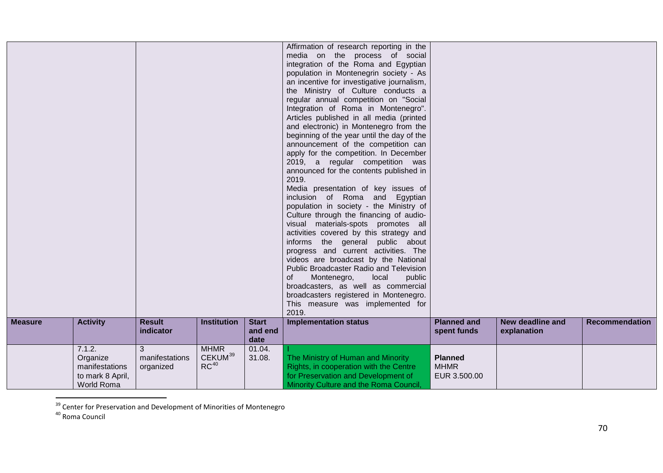<span id="page-69-1"></span><span id="page-69-0"></span>

|                |                                                                        |                                  |                                                        |                                 | Affirmation of research reporting in the<br>media on the process of social<br>integration of the Roma and Egyptian<br>population in Montenegrin society - As<br>an incentive for investigative journalism,<br>the Ministry of Culture conducts a<br>regular annual competition on "Social<br>Integration of Roma in Montenegro".<br>Articles published in all media (printed<br>and electronic) in Montenegro from the<br>beginning of the year until the day of the<br>announcement of the competition can<br>apply for the competition. In December<br>2019, a regular competition was<br>announced for the contents published in<br>2019.<br>Media presentation of key issues of<br>inclusion of Roma and Egyptian<br>population in society - the Ministry of<br>Culture through the financing of audio-<br>visual materials-spots promotes all<br>activities covered by this strategy and<br>informs the general public about<br>progress and current activities. The<br>videos are broadcast by the National<br>Public Broadcaster Radio and Television<br>0f<br>Montenegro,<br>public<br>local<br>broadcasters, as well as commercial<br>broadcasters registered in Montenegro.<br>This measure was implemented for<br>2019. |                                               |                                 |                       |
|----------------|------------------------------------------------------------------------|----------------------------------|--------------------------------------------------------|---------------------------------|------------------------------------------------------------------------------------------------------------------------------------------------------------------------------------------------------------------------------------------------------------------------------------------------------------------------------------------------------------------------------------------------------------------------------------------------------------------------------------------------------------------------------------------------------------------------------------------------------------------------------------------------------------------------------------------------------------------------------------------------------------------------------------------------------------------------------------------------------------------------------------------------------------------------------------------------------------------------------------------------------------------------------------------------------------------------------------------------------------------------------------------------------------------------------------------------------------------------------------|-----------------------------------------------|---------------------------------|-----------------------|
| <b>Measure</b> | <b>Activity</b>                                                        | <b>Result</b><br>indicator       | <b>Institution</b>                                     | <b>Start</b><br>and end<br>date | <b>Implementation status</b>                                                                                                                                                                                                                                                                                                                                                                                                                                                                                                                                                                                                                                                                                                                                                                                                                                                                                                                                                                                                                                                                                                                                                                                                       | <b>Planned and</b><br>spent funds             | New deadline and<br>explanation | <b>Recommendation</b> |
|                | 7.1.2.<br>Organize<br>manifestations<br>to mark 8 April,<br>World Roma | 3<br>manifestations<br>organized | <b>MHMR</b><br>CEKUM <sup>39</sup><br>RC <sup>40</sup> | 01.04.<br>31.08.                | The Ministry of Human and Minority<br>Rights, in cooperation with the Centre<br>for Preservation and Development of<br>Minority Culture and the Roma Council,                                                                                                                                                                                                                                                                                                                                                                                                                                                                                                                                                                                                                                                                                                                                                                                                                                                                                                                                                                                                                                                                      | <b>Planned</b><br><b>MHMR</b><br>EUR 3.500.00 |                                 |                       |

 $\frac{39}{39}$  Center for Preservation and Development of Minorities of Montenegro<br><sup>40</sup> Roma Council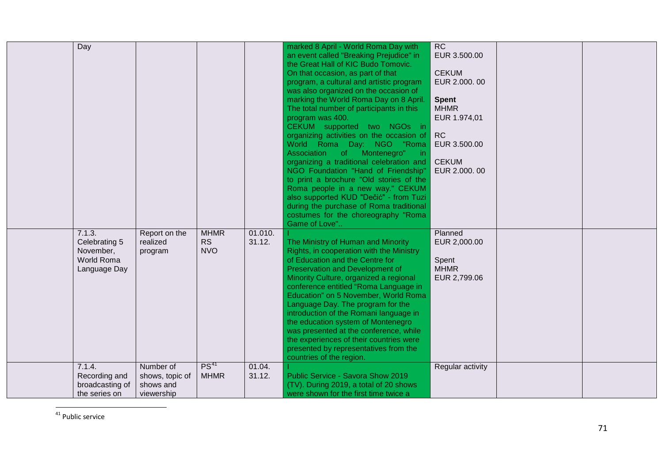<span id="page-70-0"></span>

| Day                                                                |                                                         |                                        |                   | marked 8 April - World Roma Day with<br>an event called "Breaking Prejudice" in<br>the Great Hall of KIC Budo Tomovic.<br>On that occasion, as part of that<br>program, a cultural and artistic program<br>was also organized on the occasion of<br>marking the World Roma Day on 8 April.<br>The total number of participants in this<br>program was 400.<br>CEKUM supported two NGOs in<br>organizing activities on the occasion of RC<br>World Roma Day: NGO "Roma<br>Association<br>of Montenegro"<br>in.<br>organizing a traditional celebration and<br>NGO Foundation "Hand of Friendship"<br>to print a brochure "Old stories of the<br>Roma people in a new way." CEKUM<br>also supported KUD "Dečić" - from Tuzi<br>during the purchase of Roma traditional<br>costumes for the choreography "Roma<br>Game of Love" | RC<br>EUR 3.500.00<br><b>CEKUM</b><br>EUR 2.000.00<br><b>Spent</b><br><b>MHMR</b><br>EUR 1.974,01<br>EUR 3.500.00<br><b>CEKUM</b><br>EUR 2.000.00 |  |
|--------------------------------------------------------------------|---------------------------------------------------------|----------------------------------------|-------------------|------------------------------------------------------------------------------------------------------------------------------------------------------------------------------------------------------------------------------------------------------------------------------------------------------------------------------------------------------------------------------------------------------------------------------------------------------------------------------------------------------------------------------------------------------------------------------------------------------------------------------------------------------------------------------------------------------------------------------------------------------------------------------------------------------------------------------|---------------------------------------------------------------------------------------------------------------------------------------------------|--|
| 7.1.3.<br>Celebrating 5<br>November,<br>World Roma<br>Language Day | Report on the<br>realized<br>program                    | <b>MHMR</b><br><b>RS</b><br><b>NVO</b> | 01.010.<br>31.12. | The Ministry of Human and Minority<br>Rights, in cooperation with the Ministry<br>of Education and the Centre for<br>Preservation and Development of<br>Minority Culture, organized a regional<br>conference entitled "Roma Language in<br>Education" on 5 November, World Roma<br>Language Day. The program for the<br>introduction of the Romani language in<br>the education system of Montenegro<br>was presented at the conference, while<br>the experiences of their countries were<br>presented by representatives from the<br>countries of the region.                                                                                                                                                                                                                                                               | Planned<br>EUR 2,000.00<br>Spent<br><b>MHMR</b><br>EUR 2,799.06                                                                                   |  |
| 7.1.4.<br>Recording and<br>broadcasting of<br>the series on        | Number of<br>shows, topic of<br>shows and<br>viewership | $PS^{41}$<br><b>MHMR</b>               | 01.04.<br>31.12.  | Public Service - Savora Show 2019<br>(TV). During 2019, a total of 20 shows<br>were shown for the first time twice a                                                                                                                                                                                                                                                                                                                                                                                                                                                                                                                                                                                                                                                                                                         | Regular activity                                                                                                                                  |  |

<sup>&</sup>lt;sup>41</sup> Public service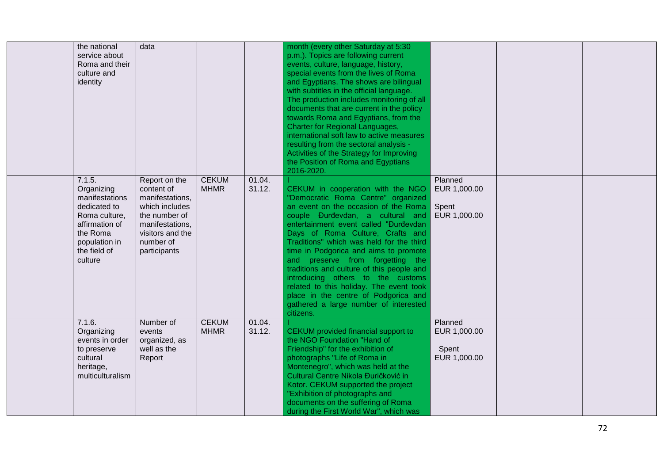| the national<br>service about<br>Roma and their<br>culture and<br>identity                                                                        | data                                                                                                                                                  |                             |                  | month (every other Saturday at 5:30<br>p.m.). Topics are following current<br>events, culture, language, history,<br>special events from the lives of Roma<br>and Egyptians. The shows are bilingual<br>with subtitles in the official language.<br>The production includes monitoring of all<br>documents that are current in the policy<br>towards Roma and Egyptians, from the<br><b>Charter for Regional Languages,</b><br>international soft law to active measures<br>resulting from the sectoral analysis -<br>Activities of the Strategy for Improving<br>the Position of Roma and Egyptians<br>2016-2020. |                                                  |  |
|---------------------------------------------------------------------------------------------------------------------------------------------------|-------------------------------------------------------------------------------------------------------------------------------------------------------|-----------------------------|------------------|--------------------------------------------------------------------------------------------------------------------------------------------------------------------------------------------------------------------------------------------------------------------------------------------------------------------------------------------------------------------------------------------------------------------------------------------------------------------------------------------------------------------------------------------------------------------------------------------------------------------|--------------------------------------------------|--|
| 7.1.5.<br>Organizing<br>manifestations<br>dedicated to<br>Roma culture,<br>affirmation of<br>the Roma<br>population in<br>the field of<br>culture | Report on the<br>content of<br>manifestations,<br>which includes<br>the number of<br>manifestations,<br>visitors and the<br>number of<br>participants | <b>CEKUM</b><br><b>MHMR</b> | 01.04.<br>31.12. | CEKUM in cooperation with the NGO<br>"Democratic Roma Centre" organized<br>an event on the occasion of the Roma<br>couple Đurđevdan, a cultural and<br>entertainment event called "Đurđevdan<br>Days of Roma Culture, Crafts and<br>Traditions" which was held for the third<br>time in Podgorica and aims to promote<br>and preserve from forgetting the<br>traditions and culture of this people and<br>introducing others to the customs<br>related to this holiday. The event took<br>place in the centre of Podgorica and<br>gathered a large number of interested<br>citizens.                               | Planned<br>EUR 1,000.00<br>Spent<br>EUR 1,000.00 |  |
| 7.1.6.<br>Organizing<br>events in order<br>to preserve<br>cultural<br>heritage,<br>multiculturalism                                               | Number of<br>events<br>organized, as<br>well as the<br>Report                                                                                         | <b>CEKUM</b><br><b>MHMR</b> | 01.04.<br>31.12. | CEKUM provided financial support to<br>the NGO Foundation "Hand of<br>Friendship" for the exhibition of<br>photographs "Life of Roma in<br>Montenegro", which was held at the<br>Cultural Centre Nikola Đuričković in<br>Kotor. CEKUM supported the project<br>"Exhibition of photographs and<br>documents on the suffering of Roma<br>during the First World War", which was                                                                                                                                                                                                                                      | Planned<br>EUR 1,000.00<br>Spent<br>EUR 1,000.00 |  |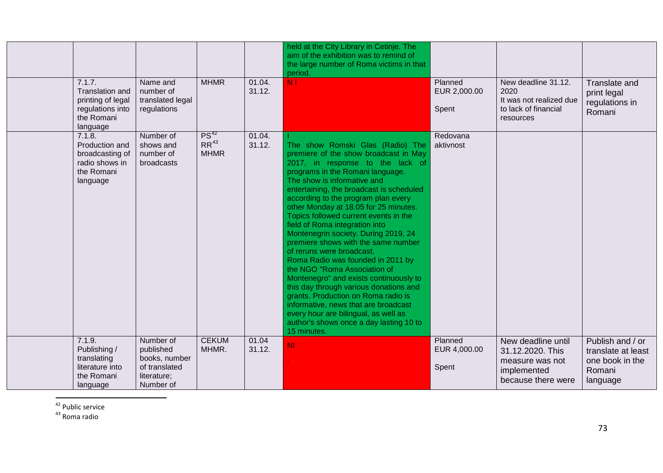<span id="page-72-1"></span><span id="page-72-0"></span>

|                                                                                              |                                                                                      |                                       |                  | held at the City Library in Cetinje. The<br>aim of the exhibition was to remind of<br>the large number of Roma victims in that<br>period.                                                                                                                                                                                                                                                                                                                                                                                                                                                                                                                                                                                                                                                                                                     |                                  |                                                                                                |                                                                                 |
|----------------------------------------------------------------------------------------------|--------------------------------------------------------------------------------------|---------------------------------------|------------------|-----------------------------------------------------------------------------------------------------------------------------------------------------------------------------------------------------------------------------------------------------------------------------------------------------------------------------------------------------------------------------------------------------------------------------------------------------------------------------------------------------------------------------------------------------------------------------------------------------------------------------------------------------------------------------------------------------------------------------------------------------------------------------------------------------------------------------------------------|----------------------------------|------------------------------------------------------------------------------------------------|---------------------------------------------------------------------------------|
| 7.1.7.<br>Translation and<br>printing of legal<br>regulations into<br>the Romani<br>language | Name and<br>number of<br>translated legal<br>regulations                             | <b>MHMR</b>                           | 01.04.<br>31.12. | <b>N</b> <sub>1</sub>                                                                                                                                                                                                                                                                                                                                                                                                                                                                                                                                                                                                                                                                                                                                                                                                                         | Planned<br>EUR 2,000.00<br>Spent | New deadline 31.12.<br>2020<br>It was not realized due<br>to lack of financial<br>resources    | Translate and<br>print legal<br>regulations in<br>Romani                        |
| 7.1.8.<br>Production and<br>broadcasting of<br>radio shows in<br>the Romani<br>language      | Number of<br>shows and<br>number of<br>broadcasts                                    | $PS^{42}$<br>$RR^{43}$<br><b>MHMR</b> | 01.04.<br>31.12. | The show Romski Glas (Radio) The<br>premiere of the show broadcast in May<br>2017, in response to the lack of<br>programs in the Romani language.<br>The show is informative and<br>entertaining, the broadcast is scheduled<br>according to the program plan every<br>other Monday at 18.05 for 25 minutes.<br>Topics followed current events in the<br>field of Roma integration into<br>Montenegrin society. During 2019, 24<br>premiere shows with the same number<br>of reruns were broadcast.<br>Roma Radio was founded in 2011 by<br>the NGO "Roma Association of<br>Montenegro" and exists continuously to<br>this day through various donations and<br>grants. Production on Roma radio is<br>informative, news that are broadcast<br>every hour are bilingual, as well as<br>author's shows once a day lasting 10 to<br>15 minutes. | Redovana<br>aktivnost            |                                                                                                |                                                                                 |
| 7.1.9.<br>Publishing /<br>translating<br>literature into<br>the Romani<br>language           | Number of<br>published<br>books, number<br>of translated<br>literature;<br>Number of | <b>CEKUM</b><br>MHMR.                 | 01.04<br>31.12.  | <b>NI</b>                                                                                                                                                                                                                                                                                                                                                                                                                                                                                                                                                                                                                                                                                                                                                                                                                                     | Planned<br>EUR 4,000.00<br>Spent | New deadline until<br>31.12.2020. This<br>measure was not<br>implemented<br>because there were | Publish and / or<br>translate at least<br>one book in the<br>Romani<br>language |

 $\frac{42}{43}$  Public service<br> $\frac{43}{43}$  Roma radio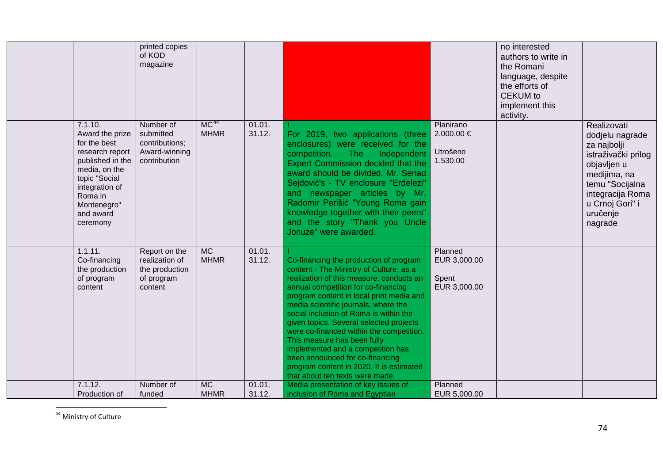<span id="page-73-0"></span>

|                                     | printed copies                |                  |        |                                                                                  |                      | no interested       |                     |
|-------------------------------------|-------------------------------|------------------|--------|----------------------------------------------------------------------------------|----------------------|---------------------|---------------------|
|                                     | of KOD                        |                  |        |                                                                                  |                      | authors to write in |                     |
|                                     | magazine                      |                  |        |                                                                                  |                      | the Romani          |                     |
|                                     |                               |                  |        |                                                                                  |                      | language, despite   |                     |
|                                     |                               |                  |        |                                                                                  |                      | the efforts of      |                     |
|                                     |                               |                  |        |                                                                                  |                      | <b>CEKUM</b> to     |                     |
|                                     |                               |                  |        |                                                                                  |                      | implement this      |                     |
|                                     |                               |                  |        |                                                                                  |                      | activity.           |                     |
| 7.1.10.                             | Number of                     | MC <sup>44</sup> | 01.01. |                                                                                  | Planirano            |                     | Realizovati         |
| Award the prize                     | submitted                     | <b>MHMR</b>      | 31.12. | For 2019, two applications (three                                                | 2.000.00 €           |                     | dodjelu nagrade     |
| for the best                        | contributions;                |                  |        | enclosures) were received for the                                                |                      |                     | za najbolji         |
| research report<br>published in the | Award-winning<br>contribution |                  |        | competition.<br>The<br>Independent                                               | Utrošeno<br>1.530,00 |                     | istraživački prilog |
| media, on the                       |                               |                  |        | <b>Expert Commission decided that the</b>                                        |                      |                     | objavljen u         |
| topic "Social                       |                               |                  |        | award should be divided. Mr. Senad                                               |                      |                     | medijima, na        |
| integration of                      |                               |                  |        | Sejdović's - TV enclosure "Erdelezi"                                             |                      |                     | temu "Socijalna     |
| Roma in                             |                               |                  |        | and newspaper articles by Mr.                                                    |                      |                     | integracija Roma    |
| Montenegro"                         |                               |                  |        | Radomir Perišić "Young Roma gain                                                 |                      |                     | u Crnoj Gori" i     |
| and award                           |                               |                  |        | knowledge together with their peers"<br>and the story "Thank you Uncle           |                      |                     | uručenje            |
| ceremony                            |                               |                  |        | Jonuze" were awarded.                                                            |                      |                     | nagrade             |
|                                     |                               |                  |        |                                                                                  |                      |                     |                     |
| 1.1.11.                             | Report on the                 | MC               | 01.01. |                                                                                  | Planned              |                     |                     |
| Co-financing                        | realization of                | <b>MHMR</b>      | 31.12. | Co-financing the production of program                                           | EUR 3,000.00         |                     |                     |
| the production                      | the production                |                  |        | content - The Ministry of Culture, as a                                          |                      |                     |                     |
| of program                          | of program                    |                  |        | realization of this measure, conducts an                                         | Spent                |                     |                     |
| content                             | content                       |                  |        | annual competition for co-financing                                              | EUR 3,000.00         |                     |                     |
|                                     |                               |                  |        | program content in local print media and<br>media scientific journals, where the |                      |                     |                     |
|                                     |                               |                  |        | social inclusion of Roma is within the                                           |                      |                     |                     |
|                                     |                               |                  |        | given topics. Several selected projects                                          |                      |                     |                     |
|                                     |                               |                  |        | were co-financed within the competition.                                         |                      |                     |                     |
|                                     |                               |                  |        | This measure has been fully                                                      |                      |                     |                     |
|                                     |                               |                  |        | implemented and a competition has                                                |                      |                     |                     |
|                                     |                               |                  |        | been announced for co-financing                                                  |                      |                     |                     |
|                                     |                               |                  |        | program content in 2020. It is estimated<br>that about ten texts were made.      |                      |                     |                     |
| 7.1.12.                             | Number of                     | <b>MC</b>        | 01.01. | Media presentation of key issues of                                              | Planned              |                     |                     |
| Production of                       | funded                        | <b>MHMR</b>      | 31.12. | inclusion of Roma and Egyptian                                                   | EUR 5,000.00         |                     |                     |

 <sup>44</sup> Ministry of Culture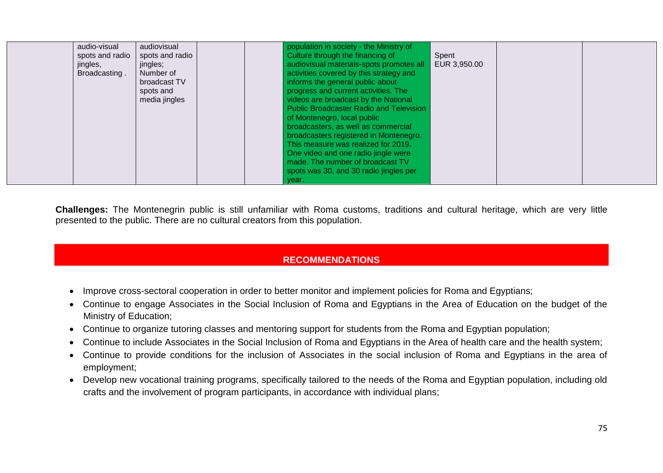| audio-visual    | audiovisual     | population in society - the Ministry of  |              |  |
|-----------------|-----------------|------------------------------------------|--------------|--|
| spots and radio | spots and radio | Culture through the financing of         | Spent        |  |
| jingles,        | jingles;        | audiovisual materials-spots promotes all | EUR 3,950.00 |  |
| Broadcasting.   | Number of       | activities covered by this strategy and  |              |  |
|                 | broadcast TV    | informs the general public about         |              |  |
|                 | spots and       | progress and current activities. The     |              |  |
|                 | media jingles   | videos are broadcast by the National     |              |  |
|                 |                 | Public Broadcaster Radio and Television  |              |  |
|                 |                 | of Montenegro, local public              |              |  |
|                 |                 | broadcasters, as well as commercial      |              |  |
|                 |                 | broadcasters registered in Montenegro.   |              |  |
|                 |                 | This measure was realized for 2019.      |              |  |
|                 |                 | One video and one radio jingle were      |              |  |
|                 |                 | made. The number of broadcast TV         |              |  |
|                 |                 | spots was 30, and 30 radio jingles per   |              |  |
|                 |                 |                                          |              |  |
|                 |                 | year.                                    |              |  |

**Challenges:** The Montenegrin public is still unfamiliar with Roma customs, traditions and cultural heritage, which are very little presented to the public. There are no cultural creators from this population.

### **RECOMMENDATIONS**

- Improve cross-sectoral cooperation in order to better monitor and implement policies for Roma and Egyptians;
- Continue to engage Associates in the Social Inclusion of Roma and Egyptians in the Area of Education on the budget of the Ministry of Education;
- Continue to organize tutoring classes and mentoring support for students from the Roma and Egyptian population;
- Continue to include Associates in the Social Inclusion of Roma and Egyptians in the Area of health care and the health system;
- Continue to provide conditions for the inclusion of Associates in the social inclusion of Roma and Egyptians in the area of employment;
- Develop new vocational training programs, specifically tailored to the needs of the Roma and Egyptian population, including old crafts and the involvement of program participants, in accordance with individual plans;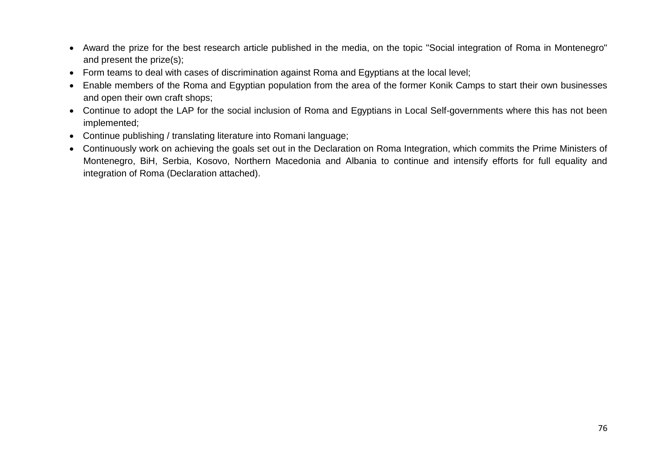- Award the prize for the best research article published in the media, on the topic "Social integration of Roma in Montenegro" and present the prize(s);
- Form teams to deal with cases of discrimination against Roma and Egyptians at the local level;
- Enable members of the Roma and Egyptian population from the area of the former Konik Camps to start their own businesses and open their own craft shops;
- Continue to adopt the LAP for the social inclusion of Roma and Egyptians in Local Self-governments where this has not been implemented;
- Continue publishing / translating literature into Romani language;
- Continuously work on achieving the goals set out in the Declaration on Roma Integration, which commits the Prime Ministers of Montenegro, BiH, Serbia, Kosovo, Northern Macedonia and Albania to continue and intensify efforts for full equality and integration of Roma (Declaration attached).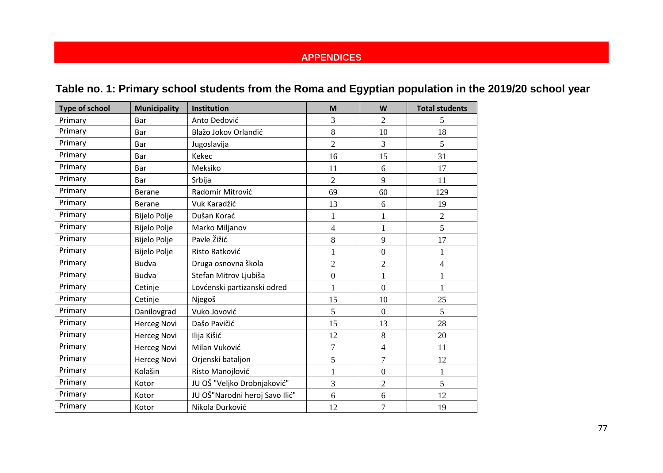# **APPENDICES**

|  |  |  | Table no. 1: Primary school students from the Roma and Egyptian population in the 2019/20 school year |  |
|--|--|--|-------------------------------------------------------------------------------------------------------|--|
|--|--|--|-------------------------------------------------------------------------------------------------------|--|

| <b>Type of school</b> | <b>Municipality</b> | Institution                    | M                        | W                | <b>Total students</b> |
|-----------------------|---------------------|--------------------------------|--------------------------|------------------|-----------------------|
| Primary               | Bar                 | Anto Đedović                   | 3                        | $\overline{2}$   | 5                     |
| Primary               | Bar                 | Blažo Jokov Orlandić           | 8                        | 10               | 18                    |
| Primary               | Bar                 | Jugoslavija                    | $\overline{2}$           | 3                | 5                     |
| Primary               | Bar                 | Kekec                          | 16                       | 15               | 31                    |
| Primary               | Bar                 | Meksiko                        | 11                       | 6                | 17                    |
| Primary               | Bar                 | Srbija                         | $\overline{2}$           | 9                | 11                    |
| Primary               | <b>Berane</b>       | Radomir Mitrović               | 69                       | 60               | 129                   |
| Primary               | <b>Berane</b>       | Vuk Karadžić                   | 13                       | 6                | 19                    |
| Primary               | <b>Bijelo Polje</b> | Dušan Korać                    | 1                        | $\mathbf{1}$     | $\overline{2}$        |
| Primary               | <b>Bijelo Polje</b> | Marko Miljanov                 | $\overline{\mathcal{A}}$ | $\mathbf{1}$     | 5                     |
| Primary               | <b>Bijelo Polje</b> | Pavle Žižić                    | 8                        | 9                | 17                    |
| Primary               | <b>Bijelo Polje</b> | Risto Ratković                 |                          | $\boldsymbol{0}$ | $\mathbf{1}$          |
| Primary               | <b>Budva</b>        | Druga osnovna škola            | $\overline{2}$           | $\overline{c}$   | $\overline{4}$        |
| Primary               | <b>Budva</b>        | Stefan Mitrov Ljubiša          | $\overline{0}$           | $\mathbf{1}$     | $\mathbf{1}$          |
| Primary               | Cetinje             | Lovćenski partizanski odred    |                          | $\boldsymbol{0}$ | $\mathbf{1}$          |
| Primary               | Cetinje             | Njegoš                         | 15                       | 10               | 25                    |
| Primary               | Danilovgrad         | Vuko Jovović                   | 5                        | $\boldsymbol{0}$ | 5                     |
| Primary               | <b>Herceg Novi</b>  | Dašo Pavičić                   | 15                       | 13               | 28                    |
| Primary               | <b>Herceg Novi</b>  | Ilija Kišić                    | 12                       | 8                | 20                    |
| Primary               | <b>Herceg Novi</b>  | Milan Vuković                  | $\overline{7}$           | $\overline{4}$   | 11                    |
| Primary               | <b>Herceg Novi</b>  | Orjenski bataljon              | 5                        | $\boldsymbol{7}$ | 12                    |
| Primary               | Kolašin             | Risto Manojlović               | 1                        | $\boldsymbol{0}$ | $\mathbf{1}$          |
| Primary               | Kotor               | JU OŠ "Veljko Drobnjaković"    | 3                        | $\overline{2}$   | 5                     |
| Primary               | Kotor               | JU OŠ"Narodni heroj Savo Ilić" | 6                        | 6                | 12                    |
| Primary               | Kotor               | Nikola Đurković                | 12                       | $\overline{7}$   | 19                    |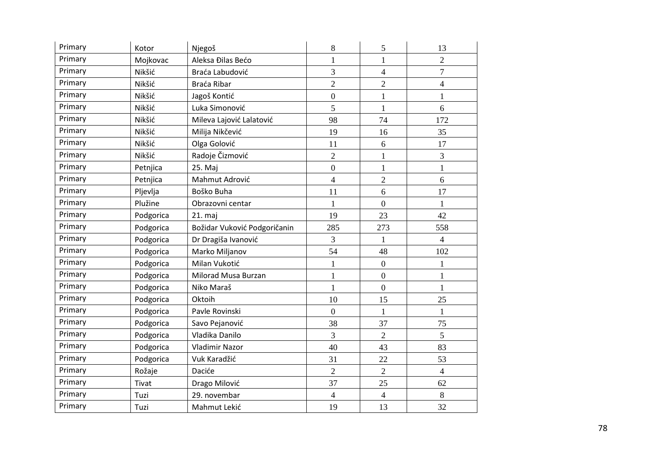| Primary | Kotor     | Njegoš                       | 8              | 5                | 13                       |
|---------|-----------|------------------------------|----------------|------------------|--------------------------|
| Primary | Mojkovac  | Aleksa Đilas Bećo            | $\mathbf{1}$   | $\mathbf{1}$     | $\overline{2}$           |
| Primary | Nikšić    | Braća Labudović              | 3              | $\overline{4}$   | $\overline{7}$           |
| Primary | Nikšić    | Braća Ribar                  | $\overline{2}$ | $\overline{2}$   | 4                        |
| Primary | Nikšić    | Jagoš Kontić                 | $\overline{0}$ | $\mathbf{1}$     | $\mathbf{1}$             |
| Primary | Nikšić    | Luka Simonović               | 5              | 1                | 6                        |
| Primary | Nikšić    | Mileva Lajović Lalatović     | 98             | 74               | 172                      |
| Primary | Nikšić    | Milija Nikčević              | 19             | 16               | 35                       |
| Primary | Nikšić    | Olga Golović                 | 11             | 6                | 17                       |
| Primary | Nikšić    | Radoje Čizmović              | $\overline{2}$ | 1                | 3                        |
| Primary | Petnjica  | 25. Maj                      | $\overline{0}$ | 1                | $\mathbf{1}$             |
| Primary | Petnjica  | Mahmut Adrović               | $\overline{4}$ | $\overline{2}$   | 6                        |
| Primary | Pljevlja  | Boško Buha                   | 11             | 6                | 17                       |
| Primary | Plužine   | Obrazovni centar             | $\mathbf{1}$   | $\mathbf{0}$     | $\mathbf{1}$             |
| Primary | Podgorica | 21. maj                      | 19             | 23               | 42                       |
| Primary | Podgorica | Božidar Vuković Podgoričanin | 285            | 273              | 558                      |
| Primary | Podgorica | Dr Dragiša Ivanović          | 3              | 1                | $\overline{\mathcal{L}}$ |
| Primary | Podgorica | Marko Miljanov               | 54             | 48               | 102                      |
| Primary | Podgorica | Milan Vukotić                | $\mathbf{1}$   | $\boldsymbol{0}$ | $\mathbf{1}$             |
| Primary | Podgorica | Milorad Musa Burzan          | 1              | $\mathbf{0}$     | $\mathbf{1}$             |
| Primary | Podgorica | Niko Maraš                   | 1              | $\mathbf{0}$     | 1                        |
| Primary | Podgorica | Oktoih                       | 10             | 15               | 25                       |
| Primary | Podgorica | Pavle Rovinski               | $\overline{0}$ | $\mathbf{1}$     | $\mathbf{1}$             |
| Primary | Podgorica | Savo Pejanović               | 38             | 37               | 75                       |
| Primary | Podgorica | Vladika Danilo               | 3              | $\overline{2}$   | 5                        |
| Primary | Podgorica | Vladimir Nazor               | 40             | 43               | 83                       |
| Primary | Podgorica | Vuk Karadžić                 | 31             | 22               | 53                       |
| Primary | Rožaje    | Daciće                       | $\overline{2}$ | $\overline{2}$   | $\overline{4}$           |
| Primary | Tivat     | Drago Milović                | 37             | 25               | 62                       |
| Primary | Tuzi      | 29. novembar                 | $\overline{4}$ | 4                | 8                        |
| Primary | Tuzi      | Mahmut Lekić                 | 19             | 13               | 32                       |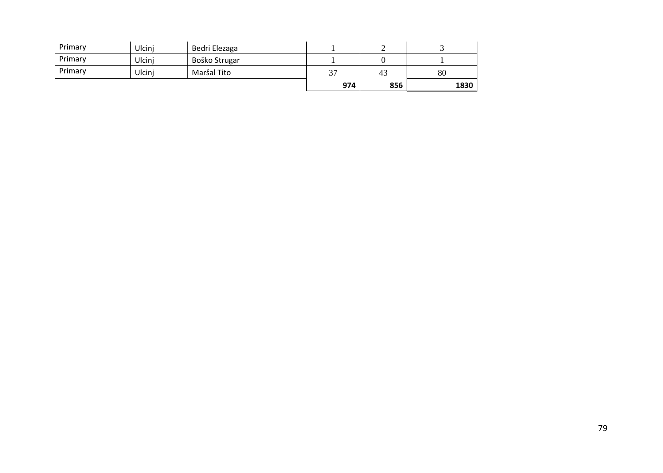| Primary | Ulcinj | Bedri Elezaga |           |     |      |
|---------|--------|---------------|-----------|-----|------|
| Primary | Ulcinj | Boško Strugar |           |     |      |
| Primary | Ulcini | Maršal Tito   | <u>^¬</u> | 43  | 80   |
|         |        |               | 974       | 856 | 1830 |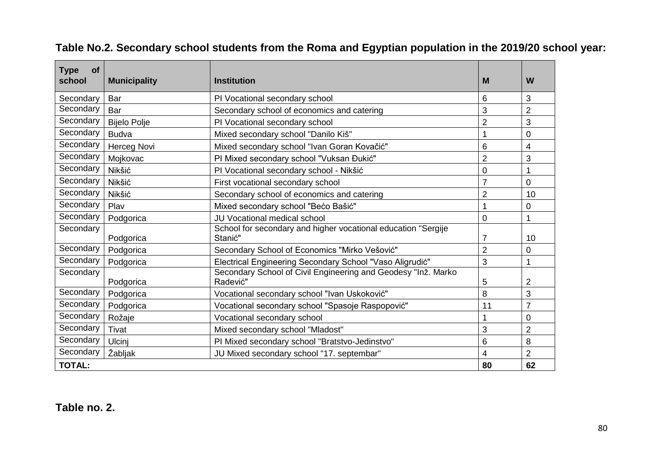| <b>Type</b><br>οf<br>school | <b>Municipality</b> | <b>Institution</b>                                                        | M              | W              |
|-----------------------------|---------------------|---------------------------------------------------------------------------|----------------|----------------|
| Secondary                   | Bar                 | PI Vocational secondary school                                            | 6              | 3              |
| Secondary                   | Bar                 | Secondary school of economics and catering                                | 3              | $\overline{2}$ |
| Secondary                   | <b>Bijelo Polje</b> | PI Vocational secondary school                                            | $\overline{2}$ | 3              |
| Secondary                   | <b>Budva</b>        | Mixed secondary school "Danilo Kiš"                                       |                | 0              |
| Secondary                   | Herceg Novi         | Mixed secondary school "Ivan Goran Kovačić"                               | 6              | 4              |
| Secondary                   | Mojkovac            | PI Mixed secondary school "Vuksan Đukić"                                  | $\overline{2}$ | 3              |
| Secondary                   | Nikšić              | PI Vocational secondary school - Nikšić                                   | 0              |                |
| Secondary                   | Nikšić              | First vocational secondary school                                         | $\overline{7}$ | 0              |
| Secondary                   | Nikšić              | Secondary school of economics and catering                                | $\overline{2}$ | 10             |
| Secondary                   | Play                | Mixed secondary school "Bećo Bašić"                                       | 1              | 0              |
| Secondary                   | Podgorica           | <b>JU Vocational medical school</b>                                       | 0              |                |
| Secondary                   | Podgorica           | School for secondary and higher vocational education "Sergije<br>Stanić"  | $\overline{7}$ | 10             |
| Secondary                   | Podgorica           | Secondary School of Economics "Mirko Vešović"                             | $\overline{2}$ | 0              |
| Secondary                   | Podgorica           | Electrical Engineering Secondary School "Vaso Aligrudić"                  | 3              |                |
| Secondary                   | Podgorica           | Secondary School of Civil Engineering and Geodesy "Inž. Marko<br>Radević" | 5              | 2              |
| Secondary                   | Podgorica           | Vocational secondary school "Ivan Uskoković"                              | 8              | 3              |
| Secondary                   | Podgorica           | Vocational secondary school "Spasoje Raspopović"                          | 11             | $\overline{7}$ |
| Secondary                   | Rožaje              | Vocational secondary school                                               | 1              | 0              |
| Secondary                   | Tivat               | Mixed secondary school "Mladost"                                          | 3              | $\overline{2}$ |
| Secondary                   | <b>Ulcini</b>       | PI Mixed secondary school "Bratstvo-Jedinstvo"                            | 6              | 8              |
| Secondary                   | Žabljak             | JU Mixed secondary school "17. septembar"                                 | 4              | $\overline{2}$ |
| <b>TOTAL:</b>               |                     |                                                                           | 80             | 62             |

# **Table No.2. Secondary school students from the Roma and Egyptian population in the 2019/20 school year:**

## **Table no. 2.**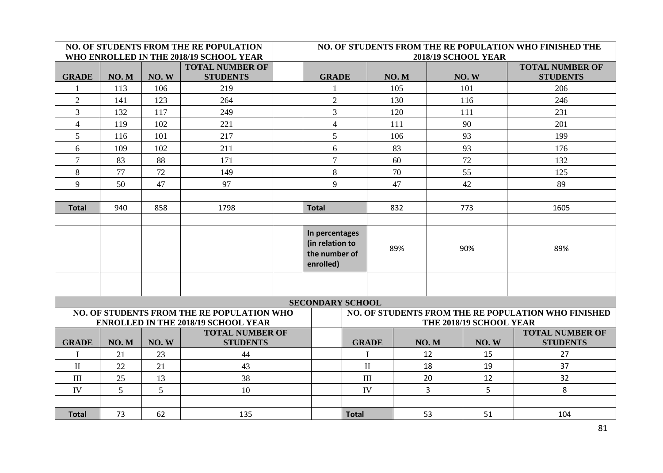|                |      |       | NO. OF STUDENTS FROM THE RE POPULATION<br>WHO ENROLLED IN THE 2018/19 SCHOOL YEAR        |   | NO. OF STUDENTS FROM THE RE POPULATION WHO FINISHED THE<br>2018/19 SCHOOL YEAR |              |  |      |      |                         |                                                     |
|----------------|------|-------|------------------------------------------------------------------------------------------|---|--------------------------------------------------------------------------------|--------------|--|------|------|-------------------------|-----------------------------------------------------|
| <b>GRADE</b>   | NO.M | NO.W  | <b>TOTAL NUMBER OF</b><br><b>STUDENTS</b>                                                |   | <b>GRADE</b>                                                                   |              |  | NO.M |      | NO.W                    | <b>TOTAL NUMBER OF</b><br><b>STUDENTS</b>           |
|                | 113  | 106   | 219                                                                                      |   |                                                                                |              |  | 105  |      | 101                     | 206                                                 |
| $\overline{2}$ | 141  | 123   | 264                                                                                      |   | $\overline{2}$                                                                 |              |  | 130  |      | 116                     | 246                                                 |
| $\overline{3}$ | 132  | 117   | 249                                                                                      |   | $\overline{3}$                                                                 |              |  | 120  |      | 111                     | 231                                                 |
| $\overline{4}$ | 119  | 102   | 221                                                                                      |   | $\overline{4}$                                                                 |              |  | 111  |      | 90                      | 201                                                 |
| 5              | 116  | 101   | 217                                                                                      |   | 5                                                                              |              |  | 106  |      | 93                      | 199                                                 |
| 6              | 109  | 102   | 211                                                                                      |   | 6                                                                              |              |  | 83   |      | 93                      | 176                                                 |
| $\overline{7}$ | 83   | 88    | 171                                                                                      |   | $\overline{7}$                                                                 |              |  | 60   |      | 72                      | 132                                                 |
| $8\,$          | 77   | 72    | 149                                                                                      |   | $\,8\,$                                                                        |              |  | 70   |      | 55                      | 125                                                 |
| 9              | 50   | 47    | 97                                                                                       | 9 |                                                                                |              |  | 47   |      | 42                      | 89                                                  |
|                |      |       |                                                                                          |   |                                                                                |              |  |      |      |                         |                                                     |
| <b>Total</b>   | 940  | 858   | 1798                                                                                     |   | <b>Total</b>                                                                   |              |  | 832  |      | 773                     | 1605                                                |
|                |      |       |                                                                                          |   |                                                                                |              |  |      |      |                         |                                                     |
|                |      |       |                                                                                          |   | In percentages<br>(in relation to<br>the number of<br>enrolled)                |              |  | 89%  |      | 90%                     | 89%                                                 |
|                |      |       |                                                                                          |   |                                                                                |              |  |      |      |                         |                                                     |
|                |      |       |                                                                                          |   |                                                                                |              |  |      |      |                         |                                                     |
|                |      |       |                                                                                          |   | <b>SECONDARY SCHOOL</b>                                                        |              |  |      |      |                         |                                                     |
|                |      |       | NO. OF STUDENTS FROM THE RE POPULATION WHO<br><b>ENROLLED IN THE 2018/19 SCHOOL YEAR</b> |   |                                                                                |              |  |      |      | THE 2018/19 SCHOOL YEAR | NO. OF STUDENTS FROM THE RE POPULATION WHO FINISHED |
| <b>GRADE</b>   | NO.M | NO. W | <b>TOTAL NUMBER OF</b><br><b>STUDENTS</b>                                                |   |                                                                                | <b>GRADE</b> |  |      | NO.M | NO.W                    | <b>TOTAL NUMBER OF</b><br><b>STUDENTS</b>           |
|                | 21   | 23    | 44                                                                                       |   |                                                                                |              |  |      | 12   | 15                      | 27                                                  |
| $\mathbf{I}$   | 22   | 21    | 43                                                                                       |   |                                                                                | $\mathbf{I}$ |  |      | 18   | 19                      | 37                                                  |
| $\rm III$      | 25   | 13    | 38                                                                                       |   |                                                                                | III          |  |      | 20   | 12                      | 32                                                  |
| IV             | 5    | 5     | 10                                                                                       |   |                                                                                | IV           |  |      | 3    | 5                       | 8                                                   |
|                |      |       |                                                                                          |   |                                                                                |              |  |      |      |                         |                                                     |
| <b>Total</b>   | 73   | 62    | 135                                                                                      |   |                                                                                | <b>Total</b> |  |      | 53   | 51                      | 104                                                 |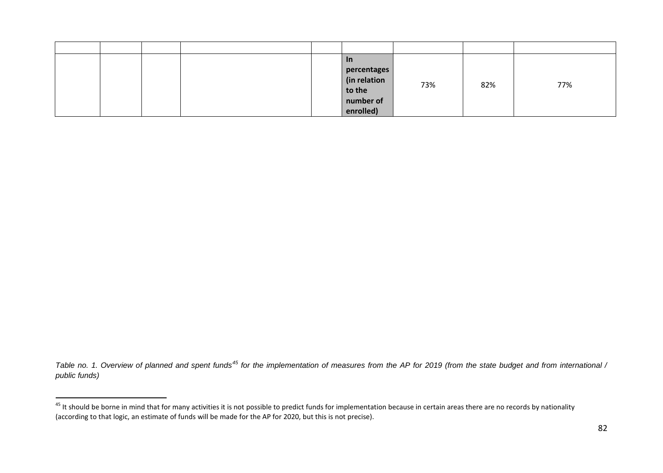<span id="page-81-0"></span>

|  |  | <u>In</u>                   |     |     |     |
|--|--|-----------------------------|-----|-----|-----|
|  |  | percentages<br>(in relation |     |     |     |
|  |  |                             | 73% | 82% | 77% |
|  |  | to the                      |     |     |     |
|  |  | number of                   |     |     |     |
|  |  | enrolled)                   |     |     |     |

*Table no. 1. Overview of planned and spent funds[45](#page-81-0) for the implementation of measures from the AP for 2019 (from the state budget and from international / public funds)* 

<sup>&</sup>lt;sup>45</sup> It should be borne in mind that for many activities it is not possible to predict funds for implementation because in certain areas there are no records by nationality (according to that logic, an estimate of funds will be made for the AP for 2020, but this is not precise).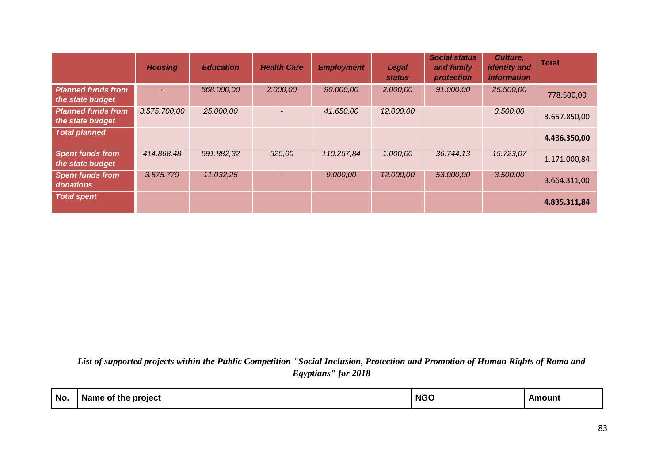|                                               | <b>Housing</b> | <b>Education</b> | <b>Health Care</b> | <b>Employment</b> | Legal<br><b>status</b> | <b>Social status</b><br>and family<br>protection | Culture,<br><b>identity</b> and<br><i>information</i> | <b>Total</b> |
|-----------------------------------------------|----------------|------------------|--------------------|-------------------|------------------------|--------------------------------------------------|-------------------------------------------------------|--------------|
| <b>Planned funds from</b><br>the state budget | $\sim$         | 568.000,00       | 2.000,00           | 90.000,00         | 2.000,00               | 91.000,00                                        | 25.500,00                                             | 778.500,00   |
| <b>Planned funds from</b><br>the state budget | 3.575.700,00   | 25.000,00        |                    | 41.650,00         | 12.000,00              |                                                  | 3.500,00                                              | 3.657.850,00 |
| <b>Total planned</b>                          |                |                  |                    |                   |                        |                                                  |                                                       | 4.436.350,00 |
| <b>Spent funds from</b><br>the state budget   | 414.868,48     | 591.882,32       | 525,00             | 110.257,84        | 1.000,00               | 36.744,13                                        | 15.723,07                                             | 1.171.000,84 |
| <b>Spent funds from</b><br>donations          | 3.575.779      | 11.032,25        |                    | 9.000,00          | 12.000,00              | 53.000,00                                        | 3.500,00                                              | 3.664.311,00 |
| <b>Total spent</b>                            |                |                  |                    |                   |                        |                                                  |                                                       | 4.835.311,84 |

*List of supported projects within the Public Competition "Social Inclusion, Protection and Promotion of Human Rights of Roma and Egyptians" for 2018*

| No. | Name of the project " | <b>NGC</b> | Amount |
|-----|-----------------------|------------|--------|
|     |                       |            |        |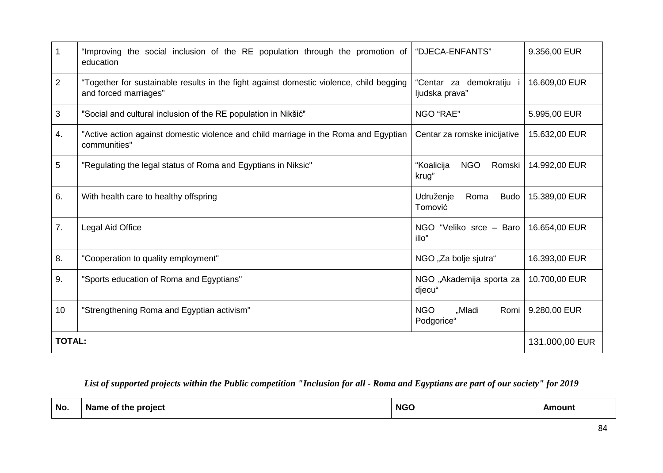|                | "Improving the social inclusion of the RE population through the promotion of<br>education                       | "DJECA-ENFANTS"                             | 9.356,00 EUR  |  |  |
|----------------|------------------------------------------------------------------------------------------------------------------|---------------------------------------------|---------------|--|--|
| $\overline{2}$ | "Together for sustainable results in the fight against domestic violence, child begging<br>and forced marriages" | demokratiju<br>"Centar za<br>ljudska prava" | 16.609,00 EUR |  |  |
| 3              | "Social and cultural inclusion of the RE population in Nikšić"                                                   | NGO "RAE"                                   | 5.995,00 EUR  |  |  |
| 4.             | "Active action against domestic violence and child marriage in the Roma and Egyptian<br>communities"             | Centar za romske inicijative                | 15.632,00 EUR |  |  |
| 5              | "Regulating the legal status of Roma and Egyptians in Niksic"                                                    | "Koalicija<br><b>NGO</b><br>Romski<br>krug" | 14.992,00 EUR |  |  |
| 6.             | With health care to healthy offspring                                                                            | Udruženje<br>Roma<br><b>Budo</b><br>Tomović | 15.389,00 EUR |  |  |
| 7.             | <b>Legal Aid Office</b>                                                                                          | NGO "Veliko srce - Baro<br>illo"            | 16.654,00 EUR |  |  |
| 8.             | "Cooperation to quality employment"                                                                              | NGO "Za bolje sjutra"                       | 16.393,00 EUR |  |  |
| 9.             | "Sports education of Roma and Egyptians"                                                                         | NGO "Akademija sporta za<br>djecu"          | 10.700,00 EUR |  |  |
| 10             | "Strengthening Roma and Egyptian activism"                                                                       | <b>NGO</b><br>"Mladi<br>Romi<br>Podgorice"  | 9.280,00 EUR  |  |  |
| <b>TOTAL:</b>  |                                                                                                                  |                                             |               |  |  |

## *List of supported projects within the Public competition "Inclusion for all - Roma and Egyptians are part of our society" for 2019*

| No. | .<br>Name of the project | <b>NGO</b> | Amount |
|-----|--------------------------|------------|--------|
|-----|--------------------------|------------|--------|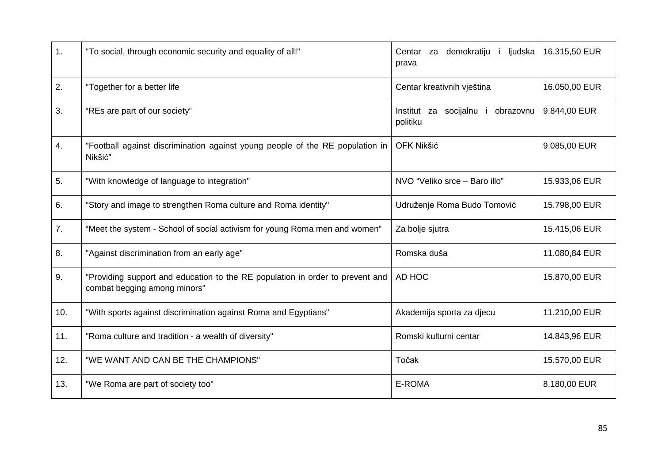| $\mathbf 1$ . | "To social, through economic security and equality of all!"                                                   | i ljudska<br>demokratiju<br>Centar<br>za<br>prava | 16.315,50 EUR |
|---------------|---------------------------------------------------------------------------------------------------------------|---------------------------------------------------|---------------|
| 2.            | "Together for a better life                                                                                   | Centar kreativnih vještina                        | 16.050,00 EUR |
| 3.            | "REs are part of our society"                                                                                 | Institut za socijalnu i<br>obrazovnu<br>politiku  | 9.844,00 EUR  |
| 4.            | "Football against discrimination against young people of the RE population in<br>Nikšić"                      | OFK Nikšić                                        | 9.085,00 EUR  |
| 5.            | "With knowledge of language to integration"                                                                   | NVO "Veliko srce - Baro illo"                     | 15.933,06 EUR |
| 6.            | "Story and image to strengthen Roma culture and Roma identity"                                                | Udruženje Roma Budo Tomović                       | 15.798,00 EUR |
| 7.            | "Meet the system - School of social activism for young Roma men and women"                                    | Za bolje sjutra                                   | 15.415,06 EUR |
| 8.            | "Against discrimination from an early age"                                                                    | Romska duša                                       | 11.080,84 EUR |
| 9.            | "Providing support and education to the RE population in order to prevent and<br>combat begging among minors" | AD HOC                                            | 15.870,00 EUR |
| 10.           | "With sports against discrimination against Roma and Egyptians"                                               | Akademija sporta za djecu                         | 11.210,00 EUR |
| 11.           | "Roma culture and tradition - a wealth of diversity"                                                          | Romski kulturni centar                            | 14.843,96 EUR |
| 12.           | "WE WANT AND CAN BE THE CHAMPIONS"                                                                            | Točak                                             | 15.570,00 EUR |
| 13.           | "We Roma are part of society too"                                                                             | E-ROMA                                            | 8.180,00 EUR  |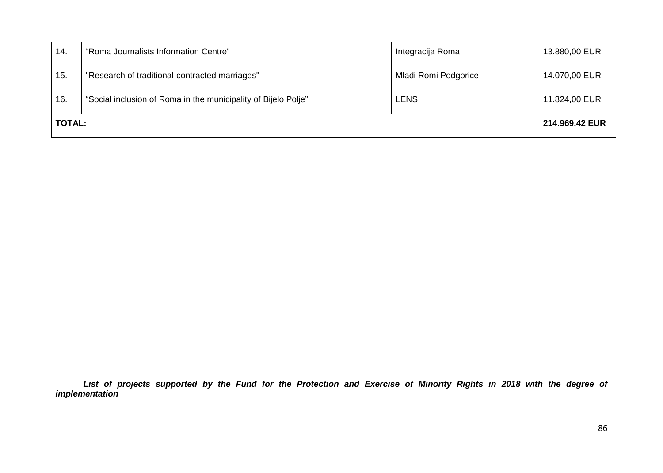| 14.           | "Roma Journalists Information Centre"                          | Integracija Roma     | 13.880,00 EUR |
|---------------|----------------------------------------------------------------|----------------------|---------------|
| 15.           | "Research of traditional-contracted marriages"                 | Mladi Romi Podgorice | 14.070,00 EUR |
| 16.           | "Social inclusion of Roma in the municipality of Bijelo Polje" | <b>LENS</b>          | 11.824,00 EUR |
| <b>TOTAL:</b> |                                                                |                      |               |

*List of projects supported by the Fund for the Protection and Exercise of Minority Rights in 2018 with the degree of implementation*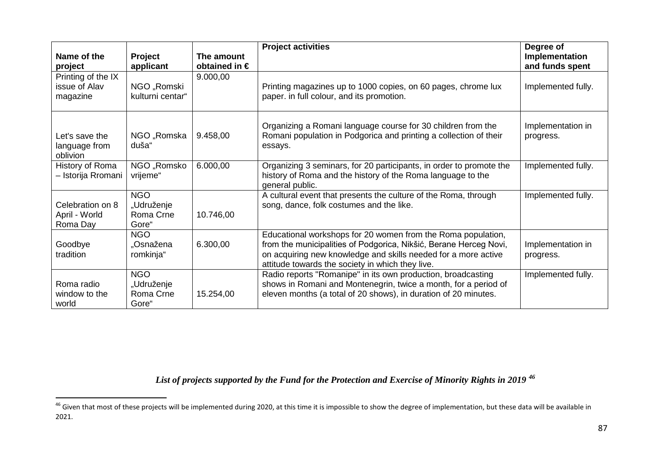<span id="page-86-0"></span>

| Name of the<br>project                          | Project<br>applicant                           | The amount<br>obtained in $\epsilon$ | <b>Project activities</b>                                                                                                                                                                                                                               | Degree of<br>Implementation<br>and funds spent |
|-------------------------------------------------|------------------------------------------------|--------------------------------------|---------------------------------------------------------------------------------------------------------------------------------------------------------------------------------------------------------------------------------------------------------|------------------------------------------------|
| Printing of the IX<br>issue of Alav<br>magazine | NGO "Romski<br>kulturni centar"                | 9.000,00                             | Printing magazines up to 1000 copies, on 60 pages, chrome lux<br>paper. in full colour, and its promotion.                                                                                                                                              | Implemented fully.                             |
| Let's save the<br>language from<br>oblivion     | NGO "Romska<br>duša"                           | 9.458,00                             | Organizing a Romani language course for 30 children from the<br>Romani population in Podgorica and printing a collection of their<br>essays.                                                                                                            | Implementation in<br>progress.                 |
| History of Roma<br>- Istorija Rromani           | NGO "Romsko<br>vrijeme"                        | 6.000,00                             | Organizing 3 seminars, for 20 participants, in order to promote the<br>history of Roma and the history of the Roma language to the<br>general public.                                                                                                   | Implemented fully.                             |
| Celebration on 8<br>April - World<br>Roma Day   | <b>NGO</b><br>"Udruženje<br>Roma Crne<br>Gore" | 10.746,00                            | A cultural event that presents the culture of the Roma, through<br>song, dance, folk costumes and the like.                                                                                                                                             | Implemented fully.                             |
| Goodbye<br>tradition                            | <b>NGO</b><br>"Osnažena<br>romkinja"           | 6.300,00                             | Educational workshops for 20 women from the Roma population,<br>from the municipalities of Podgorica, Nikšić, Berane Herceg Novi,<br>on acquiring new knowledge and skills needed for a more active<br>attitude towards the society in which they live. | Implementation in<br>progress.                 |
| Roma radio<br>window to the<br>world            | <b>NGO</b><br>"Udruženje<br>Roma Crne<br>Gore" | 15.254,00                            | Radio reports "Romanipe" in its own production, broadcasting<br>shows in Romani and Montenegrin, twice a month, for a period of<br>eleven months (a total of 20 shows), in duration of 20 minutes.                                                      | Implemented fully.                             |

*List of projects supported by the Fund for the Protection and Exercise of Minority Rights in 2019 [46](#page-86-0)*

<sup>&</sup>lt;sup>46</sup> Given that most of these projects will be implemented during 2020, at this time it is impossible to show the degree of implementation, but these data will be available in 2021.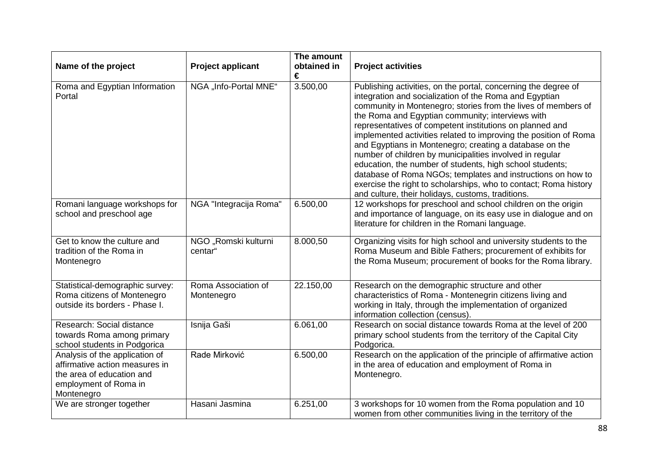|                                                                                                                                      |                                   | The amount       |                                                                                                                                                                                                                                                                                                                                                                                                                                                                                                                                                                                                                                                                                                                                                          |
|--------------------------------------------------------------------------------------------------------------------------------------|-----------------------------------|------------------|----------------------------------------------------------------------------------------------------------------------------------------------------------------------------------------------------------------------------------------------------------------------------------------------------------------------------------------------------------------------------------------------------------------------------------------------------------------------------------------------------------------------------------------------------------------------------------------------------------------------------------------------------------------------------------------------------------------------------------------------------------|
| Name of the project                                                                                                                  | <b>Project applicant</b>          | obtained in<br>€ | <b>Project activities</b>                                                                                                                                                                                                                                                                                                                                                                                                                                                                                                                                                                                                                                                                                                                                |
| Roma and Egyptian Information<br>Portal                                                                                              | NGA "Info-Portal MNE"             | 3.500,00         | Publishing activities, on the portal, concerning the degree of<br>integration and socialization of the Roma and Egyptian<br>community in Montenegro; stories from the lives of members of<br>the Roma and Egyptian community; interviews with<br>representatives of competent institutions on planned and<br>implemented activities related to improving the position of Roma<br>and Egyptians in Montenegro; creating a database on the<br>number of children by municipalities involved in regular<br>education, the number of students, high school students;<br>database of Roma NGOs; templates and instructions on how to<br>exercise the right to scholarships, who to contact; Roma history<br>and culture, their holidays, customs, traditions. |
| Romani language workshops for<br>school and preschool age                                                                            | NGA "Integracija Roma"            | 6.500,00         | 12 workshops for preschool and school children on the origin<br>and importance of language, on its easy use in dialogue and on<br>literature for children in the Romani language.                                                                                                                                                                                                                                                                                                                                                                                                                                                                                                                                                                        |
| Get to know the culture and<br>tradition of the Roma in<br>Montenegro                                                                | NGO "Romski kulturni<br>centar"   | 8.000,50         | Organizing visits for high school and university students to the<br>Roma Museum and Bible Fathers; procurement of exhibits for<br>the Roma Museum; procurement of books for the Roma library.                                                                                                                                                                                                                                                                                                                                                                                                                                                                                                                                                            |
| Statistical-demographic survey:<br>Roma citizens of Montenegro<br>outside its borders - Phase I.                                     | Roma Association of<br>Montenegro | 22.150,00        | Research on the demographic structure and other<br>characteristics of Roma - Montenegrin citizens living and<br>working in Italy, through the implementation of organized<br>information collection (census).                                                                                                                                                                                                                                                                                                                                                                                                                                                                                                                                            |
| Research: Social distance<br>towards Roma among primary<br>school students in Podgorica                                              | Isnija Gaši                       | 6.061,00         | Research on social distance towards Roma at the level of 200<br>primary school students from the territory of the Capital City<br>Podgorica.                                                                                                                                                                                                                                                                                                                                                                                                                                                                                                                                                                                                             |
| Analysis of the application of<br>affirmative action measures in<br>the area of education and<br>employment of Roma in<br>Montenegro | Rade Mirković                     | 6.500,00         | Research on the application of the principle of affirmative action<br>in the area of education and employment of Roma in<br>Montenegro.                                                                                                                                                                                                                                                                                                                                                                                                                                                                                                                                                                                                                  |
| We are stronger together                                                                                                             | Hasani Jasmina                    | 6.251,00         | 3 workshops for 10 women from the Roma population and 10<br>women from other communities living in the territory of the                                                                                                                                                                                                                                                                                                                                                                                                                                                                                                                                                                                                                                  |